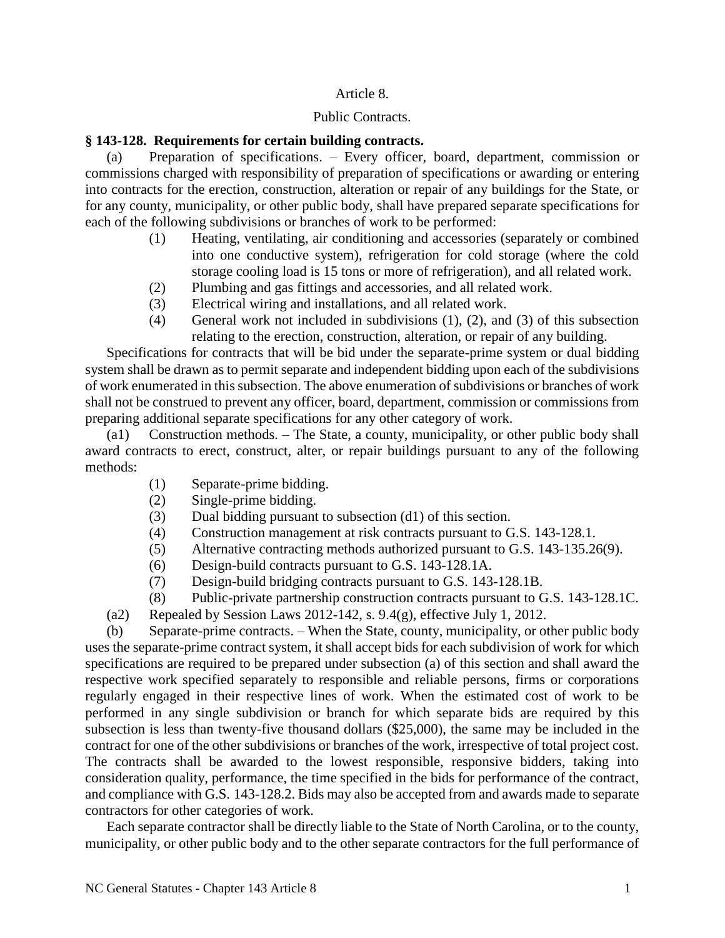## Article 8.

### Public Contracts.

## **§ 143-128. Requirements for certain building contracts.**

(a) Preparation of specifications. – Every officer, board, department, commission or commissions charged with responsibility of preparation of specifications or awarding or entering into contracts for the erection, construction, alteration or repair of any buildings for the State, or for any county, municipality, or other public body, shall have prepared separate specifications for each of the following subdivisions or branches of work to be performed:

- (1) Heating, ventilating, air conditioning and accessories (separately or combined into one conductive system), refrigeration for cold storage (where the cold storage cooling load is 15 tons or more of refrigeration), and all related work.
- (2) Plumbing and gas fittings and accessories, and all related work.
- (3) Electrical wiring and installations, and all related work.
- (4) General work not included in subdivisions (1), (2), and (3) of this subsection relating to the erection, construction, alteration, or repair of any building.

Specifications for contracts that will be bid under the separate-prime system or dual bidding system shall be drawn as to permit separate and independent bidding upon each of the subdivisions of work enumerated in this subsection. The above enumeration of subdivisions or branches of work shall not be construed to prevent any officer, board, department, commission or commissions from preparing additional separate specifications for any other category of work.

(a1) Construction methods. – The State, a county, municipality, or other public body shall award contracts to erect, construct, alter, or repair buildings pursuant to any of the following methods:

- (1) Separate-prime bidding.
- (2) Single-prime bidding.
- (3) Dual bidding pursuant to subsection (d1) of this section.
- (4) Construction management at risk contracts pursuant to G.S. 143-128.1.
- (5) Alternative contracting methods authorized pursuant to G.S. 143-135.26(9).
- (6) Design-build contracts pursuant to G.S. 143-128.1A.
- (7) Design-build bridging contracts pursuant to G.S. 143-128.1B.
- (8) Public-private partnership construction contracts pursuant to G.S. 143-128.1C.
- (a2) Repealed by Session Laws 2012-142, s.  $9.4(g)$ , effective July 1, 2012.

(b) Separate-prime contracts. – When the State, county, municipality, or other public body uses the separate-prime contract system, it shall accept bids for each subdivision of work for which specifications are required to be prepared under subsection (a) of this section and shall award the respective work specified separately to responsible and reliable persons, firms or corporations regularly engaged in their respective lines of work. When the estimated cost of work to be performed in any single subdivision or branch for which separate bids are required by this subsection is less than twenty-five thousand dollars (\$25,000), the same may be included in the contract for one of the other subdivisions or branches of the work, irrespective of total project cost. The contracts shall be awarded to the lowest responsible, responsive bidders, taking into consideration quality, performance, the time specified in the bids for performance of the contract, and compliance with G.S. 143-128.2. Bids may also be accepted from and awards made to separate contractors for other categories of work.

Each separate contractor shall be directly liable to the State of North Carolina, or to the county, municipality, or other public body and to the other separate contractors for the full performance of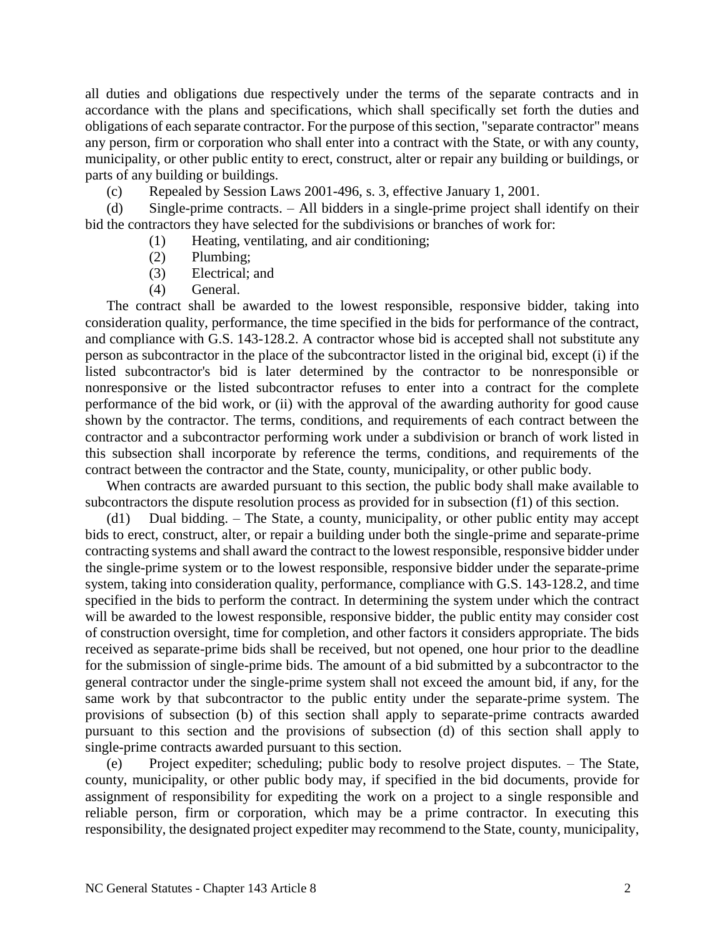all duties and obligations due respectively under the terms of the separate contracts and in accordance with the plans and specifications, which shall specifically set forth the duties and obligations of each separate contractor. For the purpose of this section, "separate contractor" means any person, firm or corporation who shall enter into a contract with the State, or with any county, municipality, or other public entity to erect, construct, alter or repair any building or buildings, or parts of any building or buildings.

(c) Repealed by Session Laws 2001-496, s. 3, effective January 1, 2001.

(d) Single-prime contracts. – All bidders in a single-prime project shall identify on their bid the contractors they have selected for the subdivisions or branches of work for:

- (1) Heating, ventilating, and air conditioning;
- (2) Plumbing;
- (3) Electrical; and
- (4) General.

The contract shall be awarded to the lowest responsible, responsive bidder, taking into consideration quality, performance, the time specified in the bids for performance of the contract, and compliance with G.S. 143-128.2. A contractor whose bid is accepted shall not substitute any person as subcontractor in the place of the subcontractor listed in the original bid, except (i) if the listed subcontractor's bid is later determined by the contractor to be nonresponsible or nonresponsive or the listed subcontractor refuses to enter into a contract for the complete performance of the bid work, or (ii) with the approval of the awarding authority for good cause shown by the contractor. The terms, conditions, and requirements of each contract between the contractor and a subcontractor performing work under a subdivision or branch of work listed in this subsection shall incorporate by reference the terms, conditions, and requirements of the contract between the contractor and the State, county, municipality, or other public body.

When contracts are awarded pursuant to this section, the public body shall make available to subcontractors the dispute resolution process as provided for in subsection (f1) of this section.

(d1) Dual bidding. – The State, a county, municipality, or other public entity may accept bids to erect, construct, alter, or repair a building under both the single-prime and separate-prime contracting systems and shall award the contract to the lowest responsible, responsive bidder under the single-prime system or to the lowest responsible, responsive bidder under the separate-prime system, taking into consideration quality, performance, compliance with G.S. 143-128.2, and time specified in the bids to perform the contract. In determining the system under which the contract will be awarded to the lowest responsible, responsive bidder, the public entity may consider cost of construction oversight, time for completion, and other factors it considers appropriate. The bids received as separate-prime bids shall be received, but not opened, one hour prior to the deadline for the submission of single-prime bids. The amount of a bid submitted by a subcontractor to the general contractor under the single-prime system shall not exceed the amount bid, if any, for the same work by that subcontractor to the public entity under the separate-prime system. The provisions of subsection (b) of this section shall apply to separate-prime contracts awarded pursuant to this section and the provisions of subsection (d) of this section shall apply to single-prime contracts awarded pursuant to this section.

(e) Project expediter; scheduling; public body to resolve project disputes. – The State, county, municipality, or other public body may, if specified in the bid documents, provide for assignment of responsibility for expediting the work on a project to a single responsible and reliable person, firm or corporation, which may be a prime contractor. In executing this responsibility, the designated project expediter may recommend to the State, county, municipality,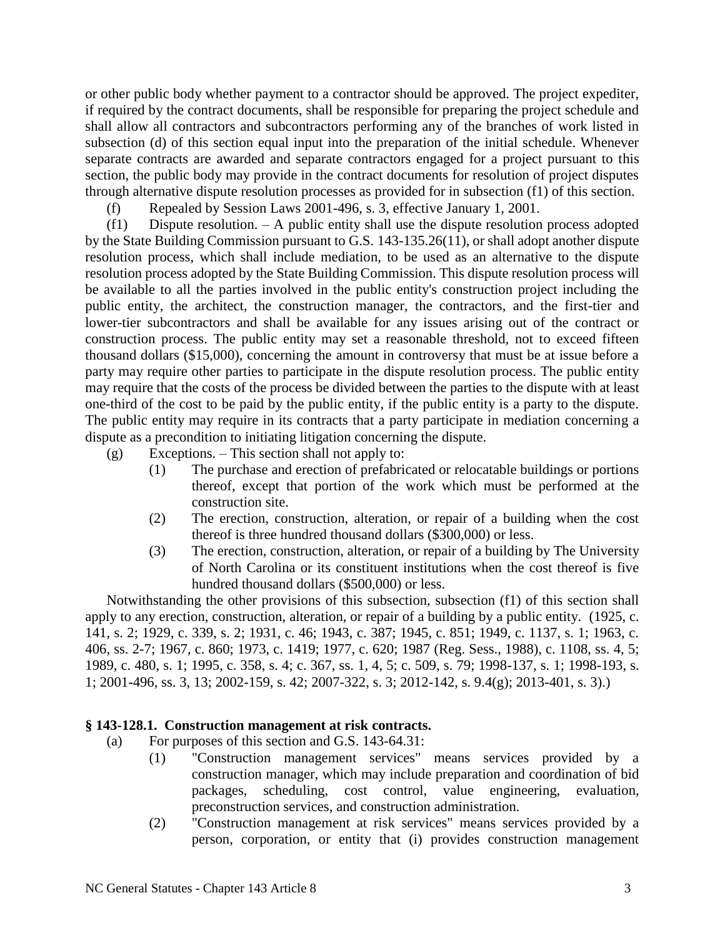or other public body whether payment to a contractor should be approved. The project expediter, if required by the contract documents, shall be responsible for preparing the project schedule and shall allow all contractors and subcontractors performing any of the branches of work listed in subsection (d) of this section equal input into the preparation of the initial schedule. Whenever separate contracts are awarded and separate contractors engaged for a project pursuant to this section, the public body may provide in the contract documents for resolution of project disputes through alternative dispute resolution processes as provided for in subsection (f1) of this section.

(f) Repealed by Session Laws 2001-496, s. 3, effective January 1, 2001.

(f1) Dispute resolution. – A public entity shall use the dispute resolution process adopted by the State Building Commission pursuant to G.S. 143-135.26(11), or shall adopt another dispute resolution process, which shall include mediation, to be used as an alternative to the dispute resolution process adopted by the State Building Commission. This dispute resolution process will be available to all the parties involved in the public entity's construction project including the public entity, the architect, the construction manager, the contractors, and the first-tier and lower-tier subcontractors and shall be available for any issues arising out of the contract or construction process. The public entity may set a reasonable threshold, not to exceed fifteen thousand dollars (\$15,000), concerning the amount in controversy that must be at issue before a party may require other parties to participate in the dispute resolution process. The public entity may require that the costs of the process be divided between the parties to the dispute with at least one-third of the cost to be paid by the public entity, if the public entity is a party to the dispute. The public entity may require in its contracts that a party participate in mediation concerning a dispute as a precondition to initiating litigation concerning the dispute.

(g) Exceptions. – This section shall not apply to:

- (1) The purchase and erection of prefabricated or relocatable buildings or portions thereof, except that portion of the work which must be performed at the construction site.
- (2) The erection, construction, alteration, or repair of a building when the cost thereof is three hundred thousand dollars (\$300,000) or less.
- (3) The erection, construction, alteration, or repair of a building by The University of North Carolina or its constituent institutions when the cost thereof is five hundred thousand dollars (\$500,000) or less.

Notwithstanding the other provisions of this subsection, subsection (f1) of this section shall apply to any erection, construction, alteration, or repair of a building by a public entity. (1925, c. 141, s. 2; 1929, c. 339, s. 2; 1931, c. 46; 1943, c. 387; 1945, c. 851; 1949, c. 1137, s. 1; 1963, c. 406, ss. 2-7; 1967, c. 860; 1973, c. 1419; 1977, c. 620; 1987 (Reg. Sess., 1988), c. 1108, ss. 4, 5; 1989, c. 480, s. 1; 1995, c. 358, s. 4; c. 367, ss. 1, 4, 5; c. 509, s. 79; 1998-137, s. 1; 1998-193, s. 1; 2001-496, ss. 3, 13; 2002-159, s. 42; 2007-322, s. 3; 2012-142, s. 9.4(g); 2013-401, s. 3).)

## **§ 143-128.1. Construction management at risk contracts.**

- (a) For purposes of this section and G.S. 143-64.31:
	- (1) "Construction management services" means services provided by a construction manager, which may include preparation and coordination of bid packages, scheduling, cost control, value engineering, evaluation, preconstruction services, and construction administration.
	- (2) "Construction management at risk services" means services provided by a person, corporation, or entity that (i) provides construction management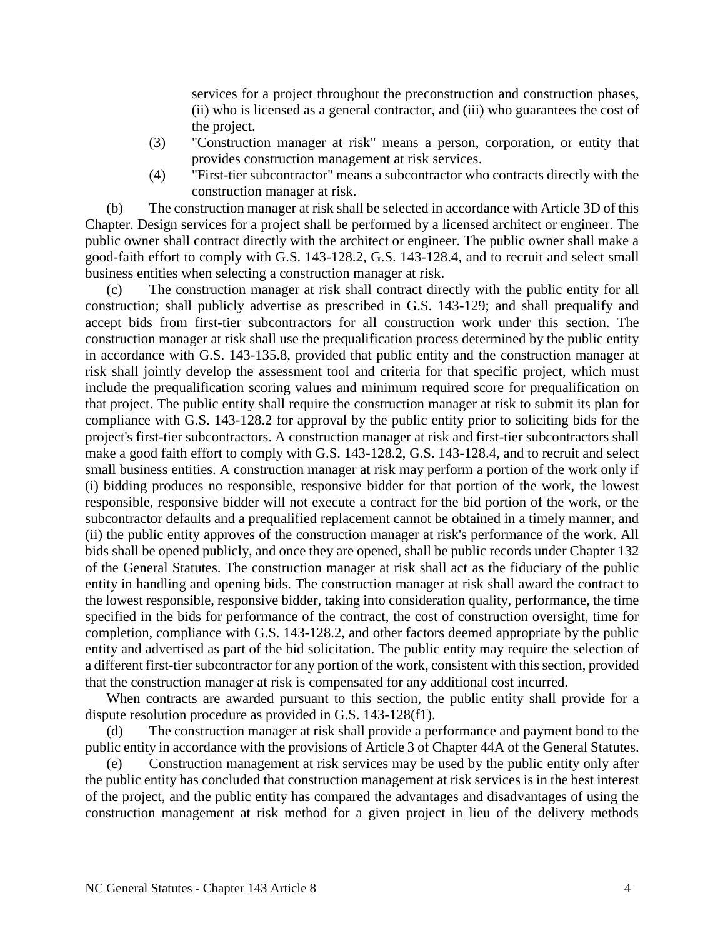services for a project throughout the preconstruction and construction phases, (ii) who is licensed as a general contractor, and (iii) who guarantees the cost of the project.

- (3) "Construction manager at risk" means a person, corporation, or entity that provides construction management at risk services.
- (4) "First-tier subcontractor" means a subcontractor who contracts directly with the construction manager at risk.

(b) The construction manager at risk shall be selected in accordance with Article 3D of this Chapter. Design services for a project shall be performed by a licensed architect or engineer. The public owner shall contract directly with the architect or engineer. The public owner shall make a good-faith effort to comply with G.S. 143-128.2, G.S. 143-128.4, and to recruit and select small business entities when selecting a construction manager at risk.

(c) The construction manager at risk shall contract directly with the public entity for all construction; shall publicly advertise as prescribed in G.S. 143-129; and shall prequalify and accept bids from first-tier subcontractors for all construction work under this section. The construction manager at risk shall use the prequalification process determined by the public entity in accordance with G.S. 143-135.8, provided that public entity and the construction manager at risk shall jointly develop the assessment tool and criteria for that specific project, which must include the prequalification scoring values and minimum required score for prequalification on that project. The public entity shall require the construction manager at risk to submit its plan for compliance with G.S. 143-128.2 for approval by the public entity prior to soliciting bids for the project's first-tier subcontractors. A construction manager at risk and first-tier subcontractors shall make a good faith effort to comply with G.S. 143-128.2, G.S. 143-128.4, and to recruit and select small business entities. A construction manager at risk may perform a portion of the work only if (i) bidding produces no responsible, responsive bidder for that portion of the work, the lowest responsible, responsive bidder will not execute a contract for the bid portion of the work, or the subcontractor defaults and a prequalified replacement cannot be obtained in a timely manner, and (ii) the public entity approves of the construction manager at risk's performance of the work. All bids shall be opened publicly, and once they are opened, shall be public records under Chapter 132 of the General Statutes. The construction manager at risk shall act as the fiduciary of the public entity in handling and opening bids. The construction manager at risk shall award the contract to the lowest responsible, responsive bidder, taking into consideration quality, performance, the time specified in the bids for performance of the contract, the cost of construction oversight, time for completion, compliance with G.S. 143-128.2, and other factors deemed appropriate by the public entity and advertised as part of the bid solicitation. The public entity may require the selection of a different first-tier subcontractor for any portion of the work, consistent with this section, provided that the construction manager at risk is compensated for any additional cost incurred.

When contracts are awarded pursuant to this section, the public entity shall provide for a dispute resolution procedure as provided in G.S. 143-128(f1).

(d) The construction manager at risk shall provide a performance and payment bond to the public entity in accordance with the provisions of Article 3 of Chapter 44A of the General Statutes.

(e) Construction management at risk services may be used by the public entity only after the public entity has concluded that construction management at risk services is in the best interest of the project, and the public entity has compared the advantages and disadvantages of using the construction management at risk method for a given project in lieu of the delivery methods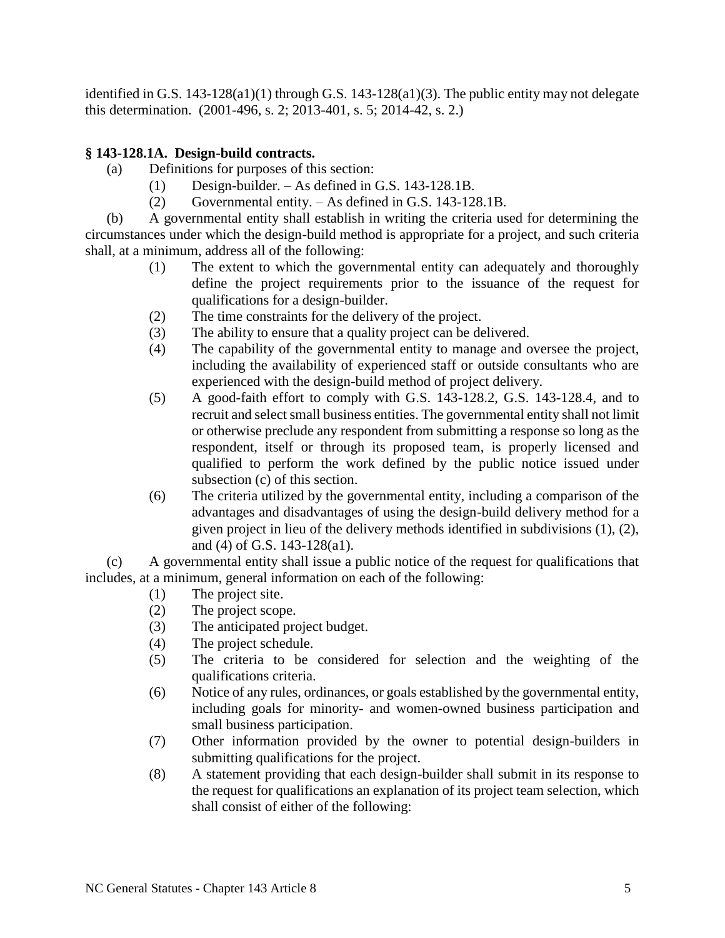identified in G.S.  $143-128(a1)(1)$  through G.S.  $143-128(a1)(3)$ . The public entity may not delegate this determination. (2001-496, s. 2; 2013-401, s. 5; 2014-42, s. 2.)

# **§ 143-128.1A. Design-build contracts.**

- (a) Definitions for purposes of this section:
	- (1) Design-builder. As defined in G.S. 143-128.1B.
	- (2) Governmental entity. As defined in G.S. 143-128.1B.

(b) A governmental entity shall establish in writing the criteria used for determining the circumstances under which the design-build method is appropriate for a project, and such criteria shall, at a minimum, address all of the following:

- (1) The extent to which the governmental entity can adequately and thoroughly define the project requirements prior to the issuance of the request for qualifications for a design-builder.
- (2) The time constraints for the delivery of the project.
- (3) The ability to ensure that a quality project can be delivered.
- (4) The capability of the governmental entity to manage and oversee the project, including the availability of experienced staff or outside consultants who are experienced with the design-build method of project delivery.
- (5) A good-faith effort to comply with G.S. 143-128.2, G.S. 143-128.4, and to recruit and select small business entities. The governmental entity shall not limit or otherwise preclude any respondent from submitting a response so long as the respondent, itself or through its proposed team, is properly licensed and qualified to perform the work defined by the public notice issued under subsection (c) of this section.
- (6) The criteria utilized by the governmental entity, including a comparison of the advantages and disadvantages of using the design-build delivery method for a given project in lieu of the delivery methods identified in subdivisions (1), (2), and (4) of G.S. 143-128(a1).

(c) A governmental entity shall issue a public notice of the request for qualifications that includes, at a minimum, general information on each of the following:

- (1) The project site.
- (2) The project scope.
- (3) The anticipated project budget.
- (4) The project schedule.
- (5) The criteria to be considered for selection and the weighting of the qualifications criteria.
- (6) Notice of any rules, ordinances, or goals established by the governmental entity, including goals for minority- and women-owned business participation and small business participation.
- (7) Other information provided by the owner to potential design-builders in submitting qualifications for the project.
- (8) A statement providing that each design-builder shall submit in its response to the request for qualifications an explanation of its project team selection, which shall consist of either of the following: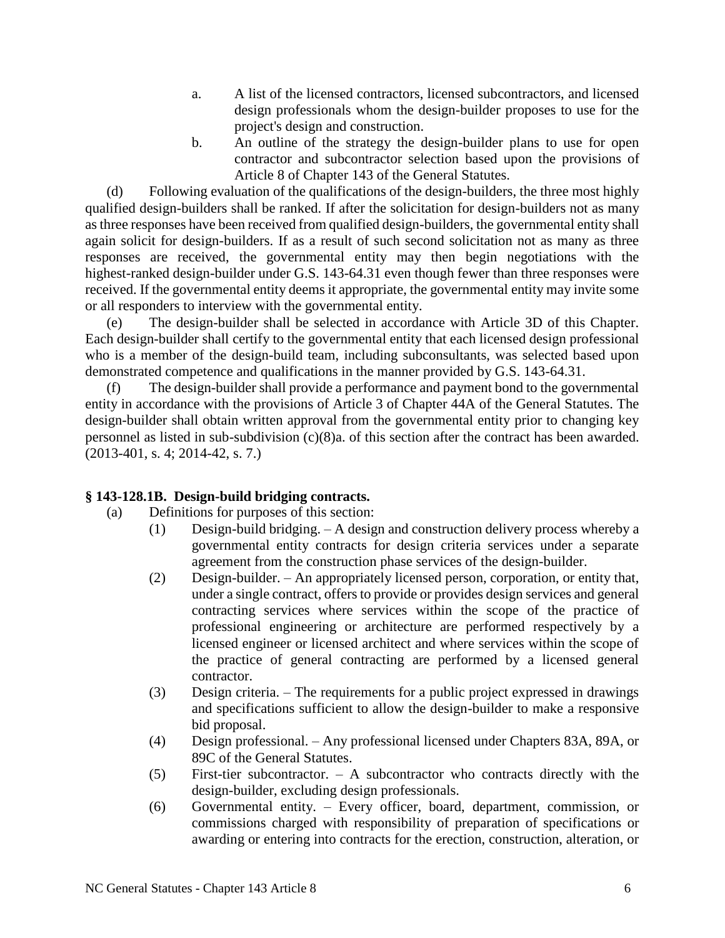- a. A list of the licensed contractors, licensed subcontractors, and licensed design professionals whom the design-builder proposes to use for the project's design and construction.
- b. An outline of the strategy the design-builder plans to use for open contractor and subcontractor selection based upon the provisions of Article 8 of Chapter 143 of the General Statutes.

(d) Following evaluation of the qualifications of the design-builders, the three most highly qualified design-builders shall be ranked. If after the solicitation for design-builders not as many as three responses have been received from qualified design-builders, the governmental entity shall again solicit for design-builders. If as a result of such second solicitation not as many as three responses are received, the governmental entity may then begin negotiations with the highest-ranked design-builder under G.S. 143-64.31 even though fewer than three responses were received. If the governmental entity deems it appropriate, the governmental entity may invite some or all responders to interview with the governmental entity.

(e) The design-builder shall be selected in accordance with Article 3D of this Chapter. Each design-builder shall certify to the governmental entity that each licensed design professional who is a member of the design-build team, including subconsultants, was selected based upon demonstrated competence and qualifications in the manner provided by G.S. 143-64.31.

(f) The design-builder shall provide a performance and payment bond to the governmental entity in accordance with the provisions of Article 3 of Chapter 44A of the General Statutes. The design-builder shall obtain written approval from the governmental entity prior to changing key personnel as listed in sub-subdivision (c)(8)a. of this section after the contract has been awarded. (2013-401, s. 4; 2014-42, s. 7.)

# **§ 143-128.1B. Design-build bridging contracts.**

- (a) Definitions for purposes of this section:
	- (1) Design-build bridging. A design and construction delivery process whereby a governmental entity contracts for design criteria services under a separate agreement from the construction phase services of the design-builder.
	- (2) Design-builder. An appropriately licensed person, corporation, or entity that, under a single contract, offers to provide or provides design services and general contracting services where services within the scope of the practice of professional engineering or architecture are performed respectively by a licensed engineer or licensed architect and where services within the scope of the practice of general contracting are performed by a licensed general contractor.
	- (3) Design criteria. The requirements for a public project expressed in drawings and specifications sufficient to allow the design-builder to make a responsive bid proposal.
	- (4) Design professional. Any professional licensed under Chapters 83A, 89A, or 89C of the General Statutes.
	- (5) First-tier subcontractor. A subcontractor who contracts directly with the design-builder, excluding design professionals.
	- (6) Governmental entity. Every officer, board, department, commission, or commissions charged with responsibility of preparation of specifications or awarding or entering into contracts for the erection, construction, alteration, or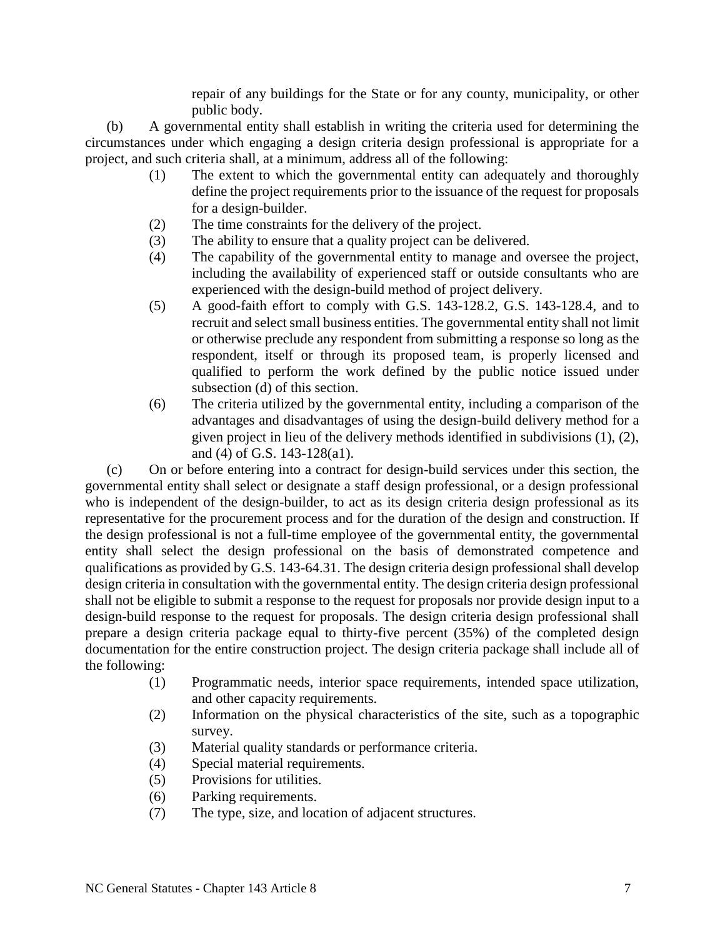repair of any buildings for the State or for any county, municipality, or other public body.

(b) A governmental entity shall establish in writing the criteria used for determining the circumstances under which engaging a design criteria design professional is appropriate for a project, and such criteria shall, at a minimum, address all of the following:

- (1) The extent to which the governmental entity can adequately and thoroughly define the project requirements prior to the issuance of the request for proposals for a design-builder.
- (2) The time constraints for the delivery of the project.
- (3) The ability to ensure that a quality project can be delivered.
- (4) The capability of the governmental entity to manage and oversee the project, including the availability of experienced staff or outside consultants who are experienced with the design-build method of project delivery.
- (5) A good-faith effort to comply with G.S. 143-128.2, G.S. 143-128.4, and to recruit and select small business entities. The governmental entity shall not limit or otherwise preclude any respondent from submitting a response so long as the respondent, itself or through its proposed team, is properly licensed and qualified to perform the work defined by the public notice issued under subsection (d) of this section.
- (6) The criteria utilized by the governmental entity, including a comparison of the advantages and disadvantages of using the design-build delivery method for a given project in lieu of the delivery methods identified in subdivisions (1), (2), and (4) of G.S. 143-128(a1).

(c) On or before entering into a contract for design-build services under this section, the governmental entity shall select or designate a staff design professional, or a design professional who is independent of the design-builder, to act as its design criteria design professional as its representative for the procurement process and for the duration of the design and construction. If the design professional is not a full-time employee of the governmental entity, the governmental entity shall select the design professional on the basis of demonstrated competence and qualifications as provided by G.S. 143-64.31. The design criteria design professional shall develop design criteria in consultation with the governmental entity. The design criteria design professional shall not be eligible to submit a response to the request for proposals nor provide design input to a design-build response to the request for proposals. The design criteria design professional shall prepare a design criteria package equal to thirty-five percent (35%) of the completed design documentation for the entire construction project. The design criteria package shall include all of the following:

- (1) Programmatic needs, interior space requirements, intended space utilization, and other capacity requirements.
- (2) Information on the physical characteristics of the site, such as a topographic survey.
- (3) Material quality standards or performance criteria.
- (4) Special material requirements.
- (5) Provisions for utilities.
- (6) Parking requirements.
- (7) The type, size, and location of adjacent structures.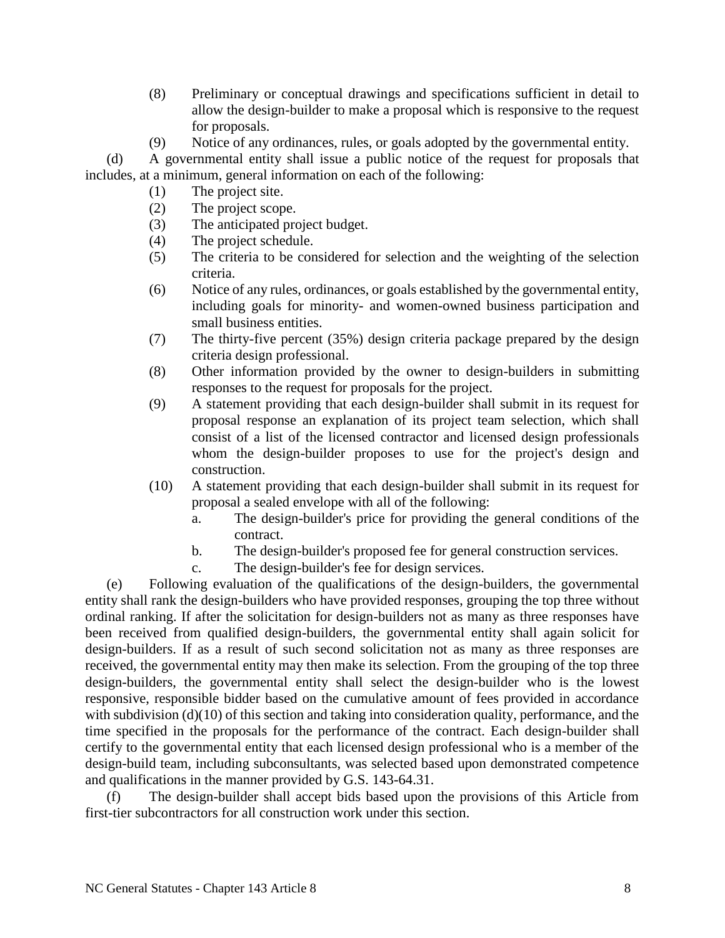- (8) Preliminary or conceptual drawings and specifications sufficient in detail to allow the design-builder to make a proposal which is responsive to the request for proposals.
- (9) Notice of any ordinances, rules, or goals adopted by the governmental entity.

(d) A governmental entity shall issue a public notice of the request for proposals that includes, at a minimum, general information on each of the following:

- (1) The project site.
- (2) The project scope.
- (3) The anticipated project budget.
- (4) The project schedule.
- (5) The criteria to be considered for selection and the weighting of the selection criteria.
- (6) Notice of any rules, ordinances, or goals established by the governmental entity, including goals for minority- and women-owned business participation and small business entities.
- (7) The thirty-five percent (35%) design criteria package prepared by the design criteria design professional.
- (8) Other information provided by the owner to design-builders in submitting responses to the request for proposals for the project.
- (9) A statement providing that each design-builder shall submit in its request for proposal response an explanation of its project team selection, which shall consist of a list of the licensed contractor and licensed design professionals whom the design-builder proposes to use for the project's design and construction.
- (10) A statement providing that each design-builder shall submit in its request for proposal a sealed envelope with all of the following:
	- a. The design-builder's price for providing the general conditions of the contract.
	- b. The design-builder's proposed fee for general construction services.
	- c. The design-builder's fee for design services.

(e) Following evaluation of the qualifications of the design-builders, the governmental entity shall rank the design-builders who have provided responses, grouping the top three without ordinal ranking. If after the solicitation for design-builders not as many as three responses have been received from qualified design-builders, the governmental entity shall again solicit for design-builders. If as a result of such second solicitation not as many as three responses are received, the governmental entity may then make its selection. From the grouping of the top three design-builders, the governmental entity shall select the design-builder who is the lowest responsive, responsible bidder based on the cumulative amount of fees provided in accordance with subdivision (d)(10) of this section and taking into consideration quality, performance, and the time specified in the proposals for the performance of the contract. Each design-builder shall certify to the governmental entity that each licensed design professional who is a member of the design-build team, including subconsultants, was selected based upon demonstrated competence and qualifications in the manner provided by G.S. 143-64.31.

(f) The design-builder shall accept bids based upon the provisions of this Article from first-tier subcontractors for all construction work under this section.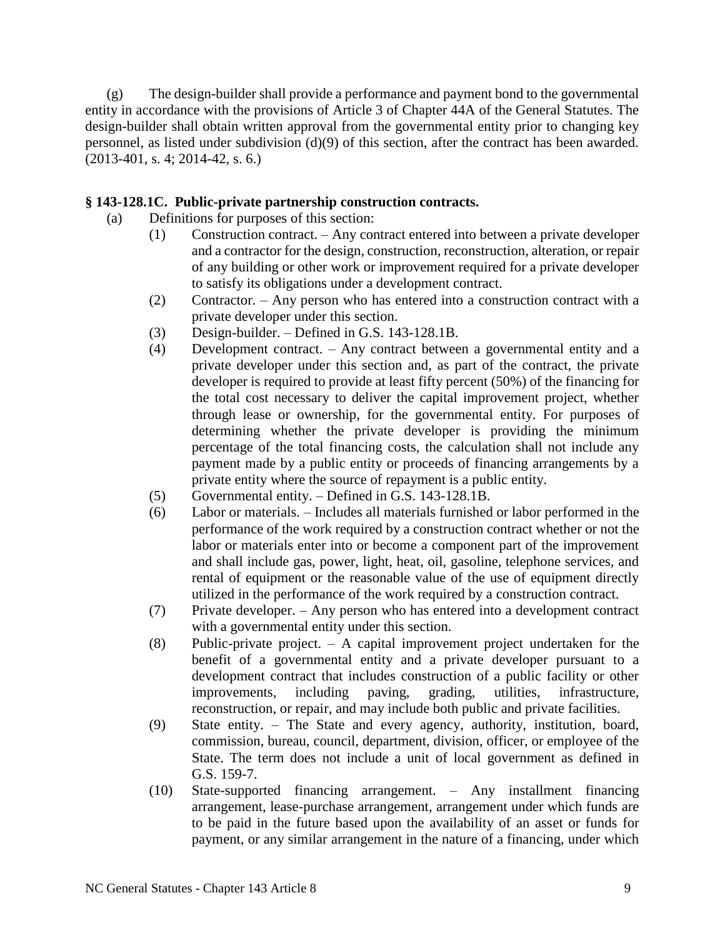(g) The design-builder shall provide a performance and payment bond to the governmental entity in accordance with the provisions of Article 3 of Chapter 44A of the General Statutes. The design-builder shall obtain written approval from the governmental entity prior to changing key personnel, as listed under subdivision (d)(9) of this section, after the contract has been awarded. (2013-401, s. 4; 2014-42, s. 6.)

## **§ 143-128.1C. Public-private partnership construction contracts.**

- (a) Definitions for purposes of this section:
	- (1) Construction contract. Any contract entered into between a private developer and a contractor for the design, construction, reconstruction, alteration, or repair of any building or other work or improvement required for a private developer to satisfy its obligations under a development contract.
	- (2) Contractor. Any person who has entered into a construction contract with a private developer under this section.
	- (3) Design-builder. Defined in G.S. 143-128.1B.
	- (4) Development contract. Any contract between a governmental entity and a private developer under this section and, as part of the contract, the private developer is required to provide at least fifty percent (50%) of the financing for the total cost necessary to deliver the capital improvement project, whether through lease or ownership, for the governmental entity. For purposes of determining whether the private developer is providing the minimum percentage of the total financing costs, the calculation shall not include any payment made by a public entity or proceeds of financing arrangements by a private entity where the source of repayment is a public entity.
	- (5) Governmental entity. Defined in G.S. 143-128.1B.
	- (6) Labor or materials. Includes all materials furnished or labor performed in the performance of the work required by a construction contract whether or not the labor or materials enter into or become a component part of the improvement and shall include gas, power, light, heat, oil, gasoline, telephone services, and rental of equipment or the reasonable value of the use of equipment directly utilized in the performance of the work required by a construction contract.
	- (7) Private developer. Any person who has entered into a development contract with a governmental entity under this section.
	- (8) Public-private project. A capital improvement project undertaken for the benefit of a governmental entity and a private developer pursuant to a development contract that includes construction of a public facility or other improvements, including paving, grading, utilities, infrastructure, reconstruction, or repair, and may include both public and private facilities.
	- (9) State entity. The State and every agency, authority, institution, board, commission, bureau, council, department, division, officer, or employee of the State. The term does not include a unit of local government as defined in G.S. 159-7.
	- (10) State-supported financing arrangement. Any installment financing arrangement, lease-purchase arrangement, arrangement under which funds are to be paid in the future based upon the availability of an asset or funds for payment, or any similar arrangement in the nature of a financing, under which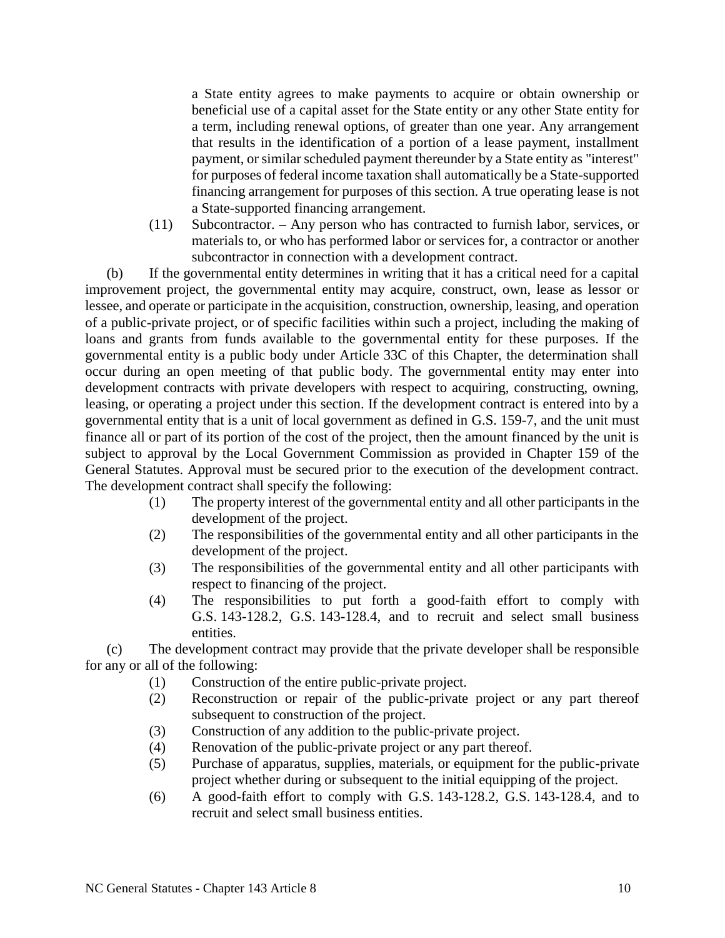a State entity agrees to make payments to acquire or obtain ownership or beneficial use of a capital asset for the State entity or any other State entity for a term, including renewal options, of greater than one year. Any arrangement that results in the identification of a portion of a lease payment, installment payment, or similar scheduled payment thereunder by a State entity as "interest" for purposes of federal income taxation shall automatically be a State-supported financing arrangement for purposes of this section. A true operating lease is not a State-supported financing arrangement.

(11) Subcontractor. – Any person who has contracted to furnish labor, services, or materials to, or who has performed labor or services for, a contractor or another subcontractor in connection with a development contract.

(b) If the governmental entity determines in writing that it has a critical need for a capital improvement project, the governmental entity may acquire, construct, own, lease as lessor or lessee, and operate or participate in the acquisition, construction, ownership, leasing, and operation of a public-private project, or of specific facilities within such a project, including the making of loans and grants from funds available to the governmental entity for these purposes. If the governmental entity is a public body under Article 33C of this Chapter, the determination shall occur during an open meeting of that public body. The governmental entity may enter into development contracts with private developers with respect to acquiring, constructing, owning, leasing, or operating a project under this section. If the development contract is entered into by a governmental entity that is a unit of local government as defined in G.S. 159-7, and the unit must finance all or part of its portion of the cost of the project, then the amount financed by the unit is subject to approval by the Local Government Commission as provided in Chapter 159 of the General Statutes. Approval must be secured prior to the execution of the development contract. The development contract shall specify the following:

- (1) The property interest of the governmental entity and all other participants in the development of the project.
- (2) The responsibilities of the governmental entity and all other participants in the development of the project.
- (3) The responsibilities of the governmental entity and all other participants with respect to financing of the project.
- (4) The responsibilities to put forth a good-faith effort to comply with G.S. 143-128.2, G.S. 143-128.4, and to recruit and select small business entities.

(c) The development contract may provide that the private developer shall be responsible for any or all of the following:

- (1) Construction of the entire public-private project.
- (2) Reconstruction or repair of the public-private project or any part thereof subsequent to construction of the project.
- (3) Construction of any addition to the public-private project.
- (4) Renovation of the public-private project or any part thereof.
- (5) Purchase of apparatus, supplies, materials, or equipment for the public-private project whether during or subsequent to the initial equipping of the project.
- (6) A good-faith effort to comply with G.S. 143-128.2, G.S. 143-128.4, and to recruit and select small business entities.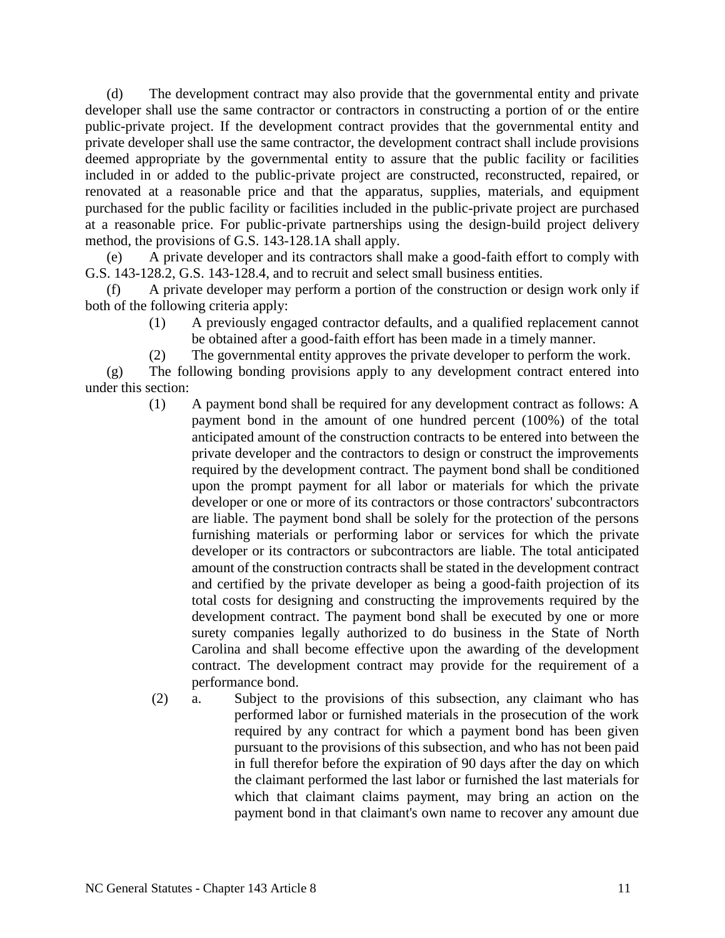(d) The development contract may also provide that the governmental entity and private developer shall use the same contractor or contractors in constructing a portion of or the entire public-private project. If the development contract provides that the governmental entity and private developer shall use the same contractor, the development contract shall include provisions deemed appropriate by the governmental entity to assure that the public facility or facilities included in or added to the public-private project are constructed, reconstructed, repaired, or renovated at a reasonable price and that the apparatus, supplies, materials, and equipment purchased for the public facility or facilities included in the public-private project are purchased at a reasonable price. For public-private partnerships using the design-build project delivery method, the provisions of G.S. 143-128.1A shall apply.

(e) A private developer and its contractors shall make a good-faith effort to comply with G.S. 143-128.2, G.S. 143-128.4, and to recruit and select small business entities.

(f) A private developer may perform a portion of the construction or design work only if both of the following criteria apply:

- (1) A previously engaged contractor defaults, and a qualified replacement cannot be obtained after a good-faith effort has been made in a timely manner.
- (2) The governmental entity approves the private developer to perform the work.

(g) The following bonding provisions apply to any development contract entered into under this section:

- (1) A payment bond shall be required for any development contract as follows: A payment bond in the amount of one hundred percent (100%) of the total anticipated amount of the construction contracts to be entered into between the private developer and the contractors to design or construct the improvements required by the development contract. The payment bond shall be conditioned upon the prompt payment for all labor or materials for which the private developer or one or more of its contractors or those contractors' subcontractors are liable. The payment bond shall be solely for the protection of the persons furnishing materials or performing labor or services for which the private developer or its contractors or subcontractors are liable. The total anticipated amount of the construction contracts shall be stated in the development contract and certified by the private developer as being a good-faith projection of its total costs for designing and constructing the improvements required by the development contract. The payment bond shall be executed by one or more surety companies legally authorized to do business in the State of North Carolina and shall become effective upon the awarding of the development contract. The development contract may provide for the requirement of a performance bond.
- (2) a. Subject to the provisions of this subsection, any claimant who has performed labor or furnished materials in the prosecution of the work required by any contract for which a payment bond has been given pursuant to the provisions of this subsection, and who has not been paid in full therefor before the expiration of 90 days after the day on which the claimant performed the last labor or furnished the last materials for which that claimant claims payment, may bring an action on the payment bond in that claimant's own name to recover any amount due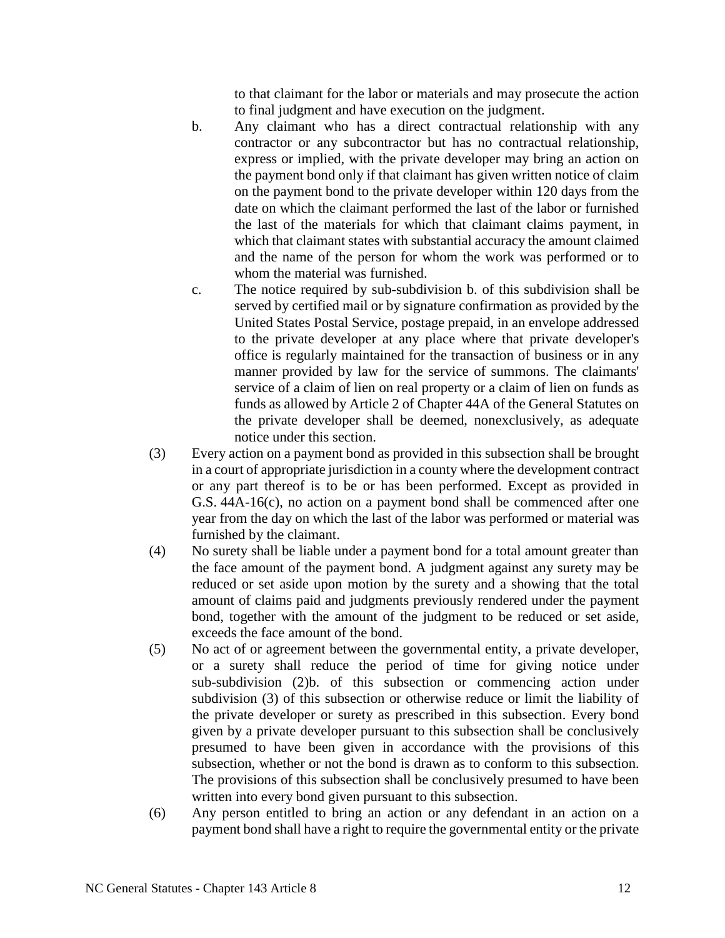to that claimant for the labor or materials and may prosecute the action to final judgment and have execution on the judgment.

- b. Any claimant who has a direct contractual relationship with any contractor or any subcontractor but has no contractual relationship, express or implied, with the private developer may bring an action on the payment bond only if that claimant has given written notice of claim on the payment bond to the private developer within 120 days from the date on which the claimant performed the last of the labor or furnished the last of the materials for which that claimant claims payment, in which that claimant states with substantial accuracy the amount claimed and the name of the person for whom the work was performed or to whom the material was furnished.
- c. The notice required by sub-subdivision b. of this subdivision shall be served by certified mail or by signature confirmation as provided by the United States Postal Service, postage prepaid, in an envelope addressed to the private developer at any place where that private developer's office is regularly maintained for the transaction of business or in any manner provided by law for the service of summons. The claimants' service of a claim of lien on real property or a claim of lien on funds as funds as allowed by Article 2 of Chapter 44A of the General Statutes on the private developer shall be deemed, nonexclusively, as adequate notice under this section.
- (3) Every action on a payment bond as provided in this subsection shall be brought in a court of appropriate jurisdiction in a county where the development contract or any part thereof is to be or has been performed. Except as provided in G.S. 44A-16(c), no action on a payment bond shall be commenced after one year from the day on which the last of the labor was performed or material was furnished by the claimant.
- (4) No surety shall be liable under a payment bond for a total amount greater than the face amount of the payment bond. A judgment against any surety may be reduced or set aside upon motion by the surety and a showing that the total amount of claims paid and judgments previously rendered under the payment bond, together with the amount of the judgment to be reduced or set aside, exceeds the face amount of the bond.
- (5) No act of or agreement between the governmental entity, a private developer, or a surety shall reduce the period of time for giving notice under sub-subdivision (2)b. of this subsection or commencing action under subdivision (3) of this subsection or otherwise reduce or limit the liability of the private developer or surety as prescribed in this subsection. Every bond given by a private developer pursuant to this subsection shall be conclusively presumed to have been given in accordance with the provisions of this subsection, whether or not the bond is drawn as to conform to this subsection. The provisions of this subsection shall be conclusively presumed to have been written into every bond given pursuant to this subsection.
- (6) Any person entitled to bring an action or any defendant in an action on a payment bond shall have a right to require the governmental entity or the private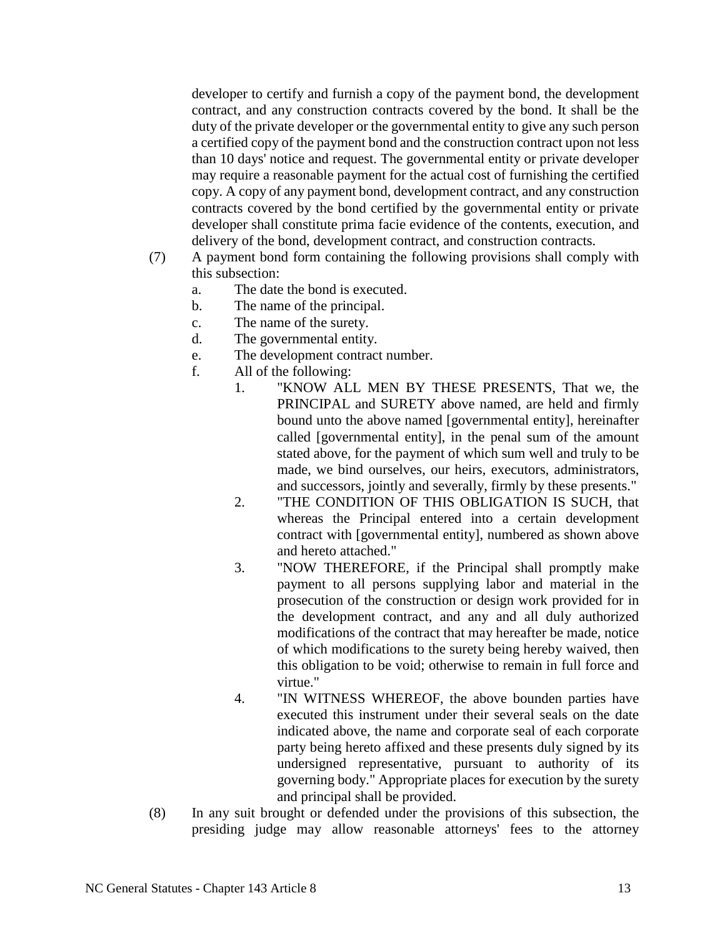developer to certify and furnish a copy of the payment bond, the development contract, and any construction contracts covered by the bond. It shall be the duty of the private developer or the governmental entity to give any such person a certified copy of the payment bond and the construction contract upon not less than 10 days' notice and request. The governmental entity or private developer may require a reasonable payment for the actual cost of furnishing the certified copy. A copy of any payment bond, development contract, and any construction contracts covered by the bond certified by the governmental entity or private developer shall constitute prima facie evidence of the contents, execution, and delivery of the bond, development contract, and construction contracts.

- (7) A payment bond form containing the following provisions shall comply with this subsection:
	- a. The date the bond is executed.
	- b. The name of the principal.
	- c. The name of the surety.
	- d. The governmental entity.
	- e. The development contract number.
	- f. All of the following:
		- 1. "KNOW ALL MEN BY THESE PRESENTS, That we, the PRINCIPAL and SURETY above named, are held and firmly bound unto the above named [governmental entity], hereinafter called [governmental entity], in the penal sum of the amount stated above, for the payment of which sum well and truly to be made, we bind ourselves, our heirs, executors, administrators, and successors, jointly and severally, firmly by these presents."
		- 2. "THE CONDITION OF THIS OBLIGATION IS SUCH, that whereas the Principal entered into a certain development contract with [governmental entity], numbered as shown above and hereto attached."
		- 3. "NOW THEREFORE, if the Principal shall promptly make payment to all persons supplying labor and material in the prosecution of the construction or design work provided for in the development contract, and any and all duly authorized modifications of the contract that may hereafter be made, notice of which modifications to the surety being hereby waived, then this obligation to be void; otherwise to remain in full force and virtue."
		- 4. "IN WITNESS WHEREOF, the above bounden parties have executed this instrument under their several seals on the date indicated above, the name and corporate seal of each corporate party being hereto affixed and these presents duly signed by its undersigned representative, pursuant to authority of its governing body." Appropriate places for execution by the surety and principal shall be provided.
- (8) In any suit brought or defended under the provisions of this subsection, the presiding judge may allow reasonable attorneys' fees to the attorney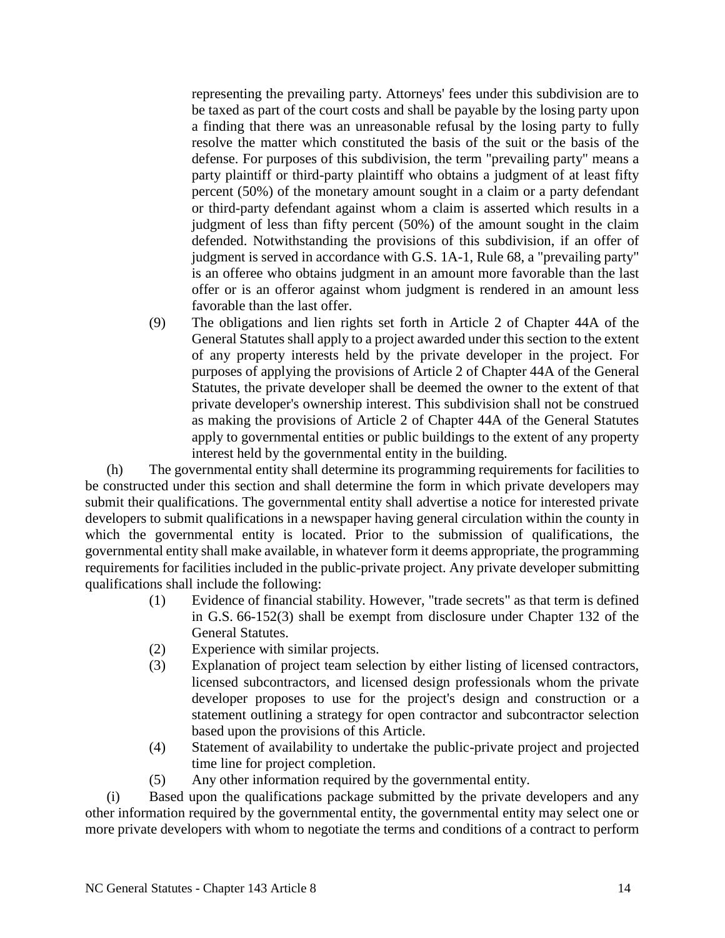representing the prevailing party. Attorneys' fees under this subdivision are to be taxed as part of the court costs and shall be payable by the losing party upon a finding that there was an unreasonable refusal by the losing party to fully resolve the matter which constituted the basis of the suit or the basis of the defense. For purposes of this subdivision, the term "prevailing party" means a party plaintiff or third-party plaintiff who obtains a judgment of at least fifty percent (50%) of the monetary amount sought in a claim or a party defendant or third-party defendant against whom a claim is asserted which results in a judgment of less than fifty percent (50%) of the amount sought in the claim defended. Notwithstanding the provisions of this subdivision, if an offer of judgment is served in accordance with G.S. 1A-1, Rule 68, a "prevailing party" is an offeree who obtains judgment in an amount more favorable than the last offer or is an offeror against whom judgment is rendered in an amount less favorable than the last offer.

(9) The obligations and lien rights set forth in Article 2 of Chapter 44A of the General Statutes shall apply to a project awarded under this section to the extent of any property interests held by the private developer in the project. For purposes of applying the provisions of Article 2 of Chapter 44A of the General Statutes, the private developer shall be deemed the owner to the extent of that private developer's ownership interest. This subdivision shall not be construed as making the provisions of Article 2 of Chapter 44A of the General Statutes apply to governmental entities or public buildings to the extent of any property interest held by the governmental entity in the building.

(h) The governmental entity shall determine its programming requirements for facilities to be constructed under this section and shall determine the form in which private developers may submit their qualifications. The governmental entity shall advertise a notice for interested private developers to submit qualifications in a newspaper having general circulation within the county in which the governmental entity is located. Prior to the submission of qualifications, the governmental entity shall make available, in whatever form it deems appropriate, the programming requirements for facilities included in the public-private project. Any private developer submitting qualifications shall include the following:

- (1) Evidence of financial stability. However, "trade secrets" as that term is defined in G.S. 66-152(3) shall be exempt from disclosure under Chapter 132 of the General Statutes.
- (2) Experience with similar projects.
- (3) Explanation of project team selection by either listing of licensed contractors, licensed subcontractors, and licensed design professionals whom the private developer proposes to use for the project's design and construction or a statement outlining a strategy for open contractor and subcontractor selection based upon the provisions of this Article.
- (4) Statement of availability to undertake the public-private project and projected time line for project completion.
- (5) Any other information required by the governmental entity.

(i) Based upon the qualifications package submitted by the private developers and any other information required by the governmental entity, the governmental entity may select one or more private developers with whom to negotiate the terms and conditions of a contract to perform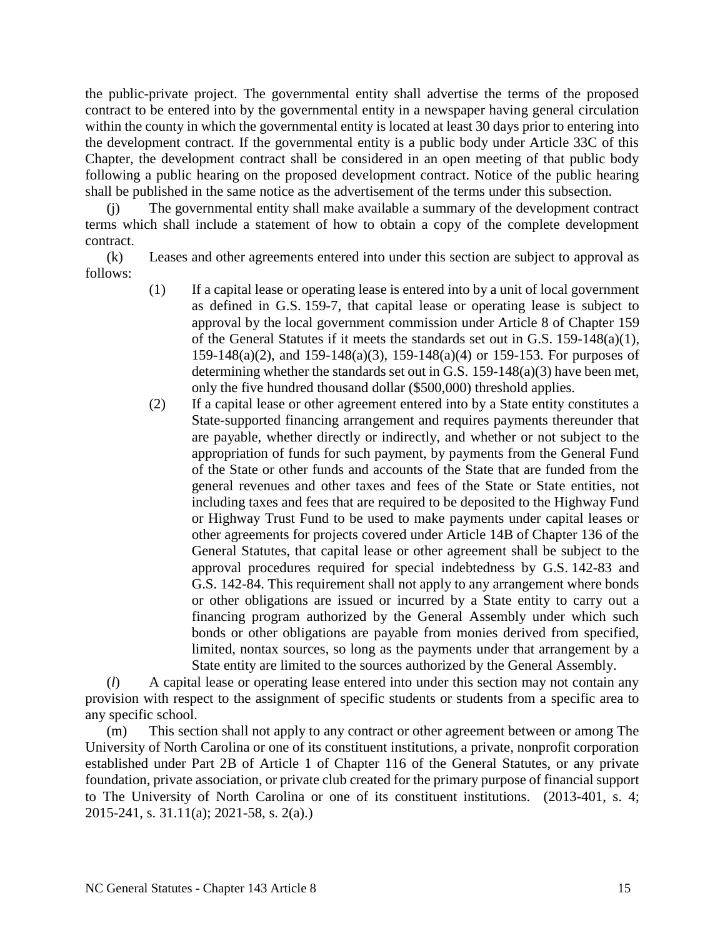the public-private project. The governmental entity shall advertise the terms of the proposed contract to be entered into by the governmental entity in a newspaper having general circulation within the county in which the governmental entity is located at least 30 days prior to entering into the development contract. If the governmental entity is a public body under Article 33C of this Chapter, the development contract shall be considered in an open meeting of that public body following a public hearing on the proposed development contract. Notice of the public hearing shall be published in the same notice as the advertisement of the terms under this subsection.

(j) The governmental entity shall make available a summary of the development contract terms which shall include a statement of how to obtain a copy of the complete development contract.

(k) Leases and other agreements entered into under this section are subject to approval as follows:

- (1) If a capital lease or operating lease is entered into by a unit of local government as defined in G.S. 159-7, that capital lease or operating lease is subject to approval by the local government commission under Article 8 of Chapter 159 of the General Statutes if it meets the standards set out in G.S. 159-148(a)(1), 159-148(a)(2), and 159-148(a)(3), 159-148(a)(4) or 159-153. For purposes of determining whether the standards set out in G.S. 159-148(a)(3) have been met, only the five hundred thousand dollar (\$500,000) threshold applies.
- (2) If a capital lease or other agreement entered into by a State entity constitutes a State-supported financing arrangement and requires payments thereunder that are payable, whether directly or indirectly, and whether or not subject to the appropriation of funds for such payment, by payments from the General Fund of the State or other funds and accounts of the State that are funded from the general revenues and other taxes and fees of the State or State entities, not including taxes and fees that are required to be deposited to the Highway Fund or Highway Trust Fund to be used to make payments under capital leases or other agreements for projects covered under Article 14B of Chapter 136 of the General Statutes, that capital lease or other agreement shall be subject to the approval procedures required for special indebtedness by G.S. 142-83 and G.S. 142-84. This requirement shall not apply to any arrangement where bonds or other obligations are issued or incurred by a State entity to carry out a financing program authorized by the General Assembly under which such bonds or other obligations are payable from monies derived from specified, limited, nontax sources, so long as the payments under that arrangement by a State entity are limited to the sources authorized by the General Assembly.

(*l*) A capital lease or operating lease entered into under this section may not contain any provision with respect to the assignment of specific students or students from a specific area to any specific school.

(m) This section shall not apply to any contract or other agreement between or among The University of North Carolina or one of its constituent institutions, a private, nonprofit corporation established under Part 2B of Article 1 of Chapter 116 of the General Statutes, or any private foundation, private association, or private club created for the primary purpose of financial support to The University of North Carolina or one of its constituent institutions. (2013-401, s. 4; 2015-241, s. 31.11(a); 2021-58, s. 2(a).)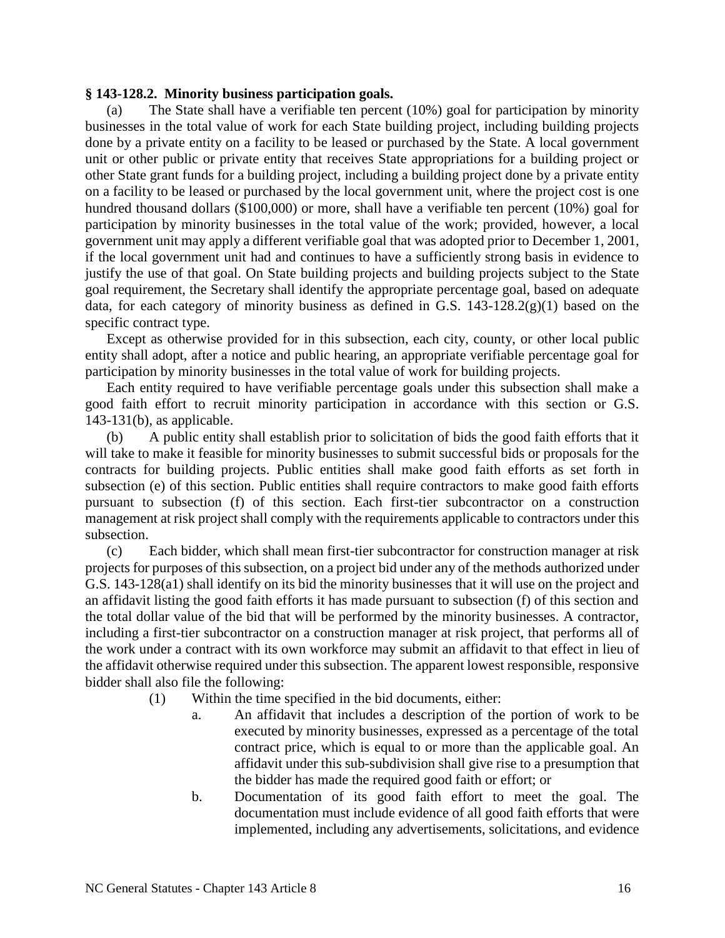#### **§ 143-128.2. Minority business participation goals.**

(a) The State shall have a verifiable ten percent (10%) goal for participation by minority businesses in the total value of work for each State building project, including building projects done by a private entity on a facility to be leased or purchased by the State. A local government unit or other public or private entity that receives State appropriations for a building project or other State grant funds for a building project, including a building project done by a private entity on a facility to be leased or purchased by the local government unit, where the project cost is one hundred thousand dollars (\$100,000) or more, shall have a verifiable ten percent (10%) goal for participation by minority businesses in the total value of the work; provided, however, a local government unit may apply a different verifiable goal that was adopted prior to December 1, 2001, if the local government unit had and continues to have a sufficiently strong basis in evidence to justify the use of that goal. On State building projects and building projects subject to the State goal requirement, the Secretary shall identify the appropriate percentage goal, based on adequate data, for each category of minority business as defined in G.S.  $143-128.2(g)(1)$  based on the specific contract type.

Except as otherwise provided for in this subsection, each city, county, or other local public entity shall adopt, after a notice and public hearing, an appropriate verifiable percentage goal for participation by minority businesses in the total value of work for building projects.

Each entity required to have verifiable percentage goals under this subsection shall make a good faith effort to recruit minority participation in accordance with this section or G.S. 143-131(b), as applicable.

(b) A public entity shall establish prior to solicitation of bids the good faith efforts that it will take to make it feasible for minority businesses to submit successful bids or proposals for the contracts for building projects. Public entities shall make good faith efforts as set forth in subsection (e) of this section. Public entities shall require contractors to make good faith efforts pursuant to subsection (f) of this section. Each first-tier subcontractor on a construction management at risk project shall comply with the requirements applicable to contractors under this subsection.

(c) Each bidder, which shall mean first-tier subcontractor for construction manager at risk projects for purposes of this subsection, on a project bid under any of the methods authorized under G.S. 143-128(a1) shall identify on its bid the minority businesses that it will use on the project and an affidavit listing the good faith efforts it has made pursuant to subsection (f) of this section and the total dollar value of the bid that will be performed by the minority businesses. A contractor, including a first-tier subcontractor on a construction manager at risk project, that performs all of the work under a contract with its own workforce may submit an affidavit to that effect in lieu of the affidavit otherwise required under this subsection. The apparent lowest responsible, responsive bidder shall also file the following:

- (1) Within the time specified in the bid documents, either:
	- a. An affidavit that includes a description of the portion of work to be executed by minority businesses, expressed as a percentage of the total contract price, which is equal to or more than the applicable goal. An affidavit under this sub-subdivision shall give rise to a presumption that the bidder has made the required good faith or effort; or
	- b. Documentation of its good faith effort to meet the goal. The documentation must include evidence of all good faith efforts that were implemented, including any advertisements, solicitations, and evidence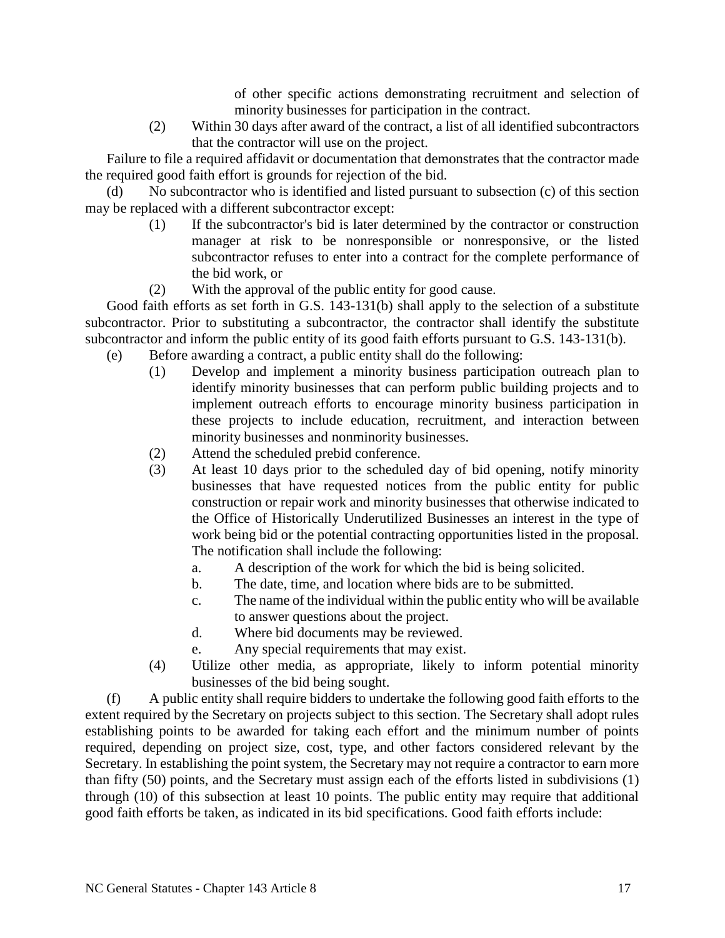of other specific actions demonstrating recruitment and selection of minority businesses for participation in the contract.

(2) Within 30 days after award of the contract, a list of all identified subcontractors that the contractor will use on the project.

Failure to file a required affidavit or documentation that demonstrates that the contractor made the required good faith effort is grounds for rejection of the bid.

(d) No subcontractor who is identified and listed pursuant to subsection (c) of this section may be replaced with a different subcontractor except:

- (1) If the subcontractor's bid is later determined by the contractor or construction manager at risk to be nonresponsible or nonresponsive, or the listed subcontractor refuses to enter into a contract for the complete performance of the bid work, or
- (2) With the approval of the public entity for good cause.

Good faith efforts as set forth in G.S. 143-131(b) shall apply to the selection of a substitute subcontractor. Prior to substituting a subcontractor, the contractor shall identify the substitute subcontractor and inform the public entity of its good faith efforts pursuant to G.S. 143-131(b).

- (e) Before awarding a contract, a public entity shall do the following:
	- (1) Develop and implement a minority business participation outreach plan to identify minority businesses that can perform public building projects and to implement outreach efforts to encourage minority business participation in these projects to include education, recruitment, and interaction between minority businesses and nonminority businesses.
		- (2) Attend the scheduled prebid conference.
	- (3) At least 10 days prior to the scheduled day of bid opening, notify minority businesses that have requested notices from the public entity for public construction or repair work and minority businesses that otherwise indicated to the Office of Historically Underutilized Businesses an interest in the type of work being bid or the potential contracting opportunities listed in the proposal. The notification shall include the following:
		- a. A description of the work for which the bid is being solicited.
		- b. The date, time, and location where bids are to be submitted.
		- c. The name of the individual within the public entity who will be available to answer questions about the project.
		- d. Where bid documents may be reviewed.
		- e. Any special requirements that may exist.
	- (4) Utilize other media, as appropriate, likely to inform potential minority businesses of the bid being sought.

(f) A public entity shall require bidders to undertake the following good faith efforts to the extent required by the Secretary on projects subject to this section. The Secretary shall adopt rules establishing points to be awarded for taking each effort and the minimum number of points required, depending on project size, cost, type, and other factors considered relevant by the Secretary. In establishing the point system, the Secretary may not require a contractor to earn more than fifty (50) points, and the Secretary must assign each of the efforts listed in subdivisions (1) through (10) of this subsection at least 10 points. The public entity may require that additional good faith efforts be taken, as indicated in its bid specifications. Good faith efforts include: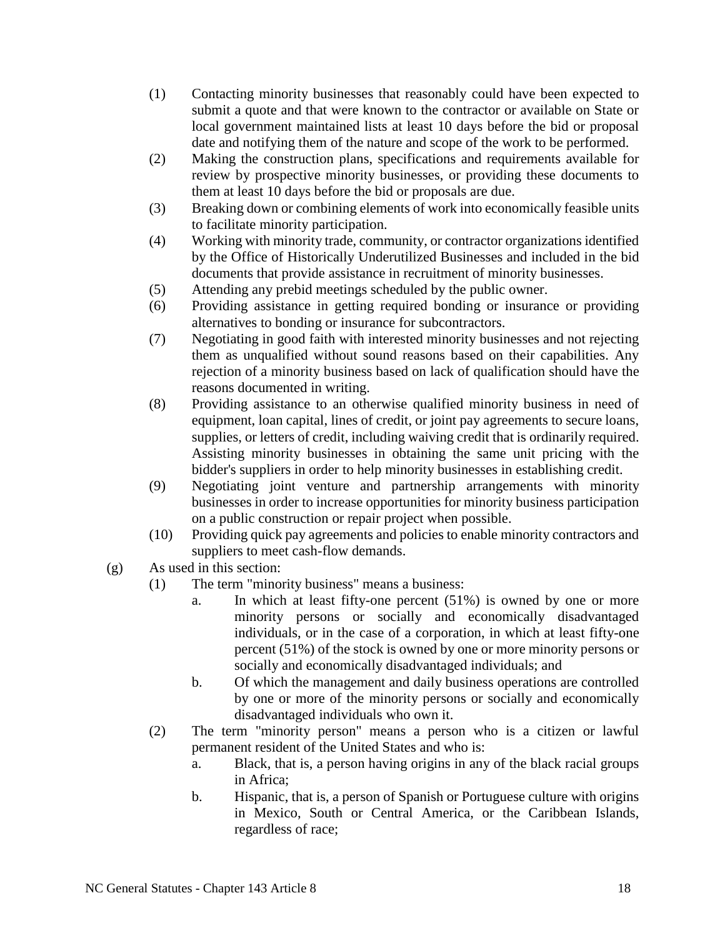- (1) Contacting minority businesses that reasonably could have been expected to submit a quote and that were known to the contractor or available on State or local government maintained lists at least 10 days before the bid or proposal date and notifying them of the nature and scope of the work to be performed.
- (2) Making the construction plans, specifications and requirements available for review by prospective minority businesses, or providing these documents to them at least 10 days before the bid or proposals are due.
- (3) Breaking down or combining elements of work into economically feasible units to facilitate minority participation.
- (4) Working with minority trade, community, or contractor organizations identified by the Office of Historically Underutilized Businesses and included in the bid documents that provide assistance in recruitment of minority businesses.
- (5) Attending any prebid meetings scheduled by the public owner.
- (6) Providing assistance in getting required bonding or insurance or providing alternatives to bonding or insurance for subcontractors.
- (7) Negotiating in good faith with interested minority businesses and not rejecting them as unqualified without sound reasons based on their capabilities. Any rejection of a minority business based on lack of qualification should have the reasons documented in writing.
- (8) Providing assistance to an otherwise qualified minority business in need of equipment, loan capital, lines of credit, or joint pay agreements to secure loans, supplies, or letters of credit, including waiving credit that is ordinarily required. Assisting minority businesses in obtaining the same unit pricing with the bidder's suppliers in order to help minority businesses in establishing credit.
- (9) Negotiating joint venture and partnership arrangements with minority businesses in order to increase opportunities for minority business participation on a public construction or repair project when possible.
- (10) Providing quick pay agreements and policies to enable minority contractors and suppliers to meet cash-flow demands.
- (g) As used in this section:
	- (1) The term "minority business" means a business:
		- a. In which at least fifty-one percent (51%) is owned by one or more minority persons or socially and economically disadvantaged individuals, or in the case of a corporation, in which at least fifty-one percent (51%) of the stock is owned by one or more minority persons or socially and economically disadvantaged individuals; and
		- b. Of which the management and daily business operations are controlled by one or more of the minority persons or socially and economically disadvantaged individuals who own it.
	- (2) The term "minority person" means a person who is a citizen or lawful permanent resident of the United States and who is:
		- a. Black, that is, a person having origins in any of the black racial groups in Africa;
		- b. Hispanic, that is, a person of Spanish or Portuguese culture with origins in Mexico, South or Central America, or the Caribbean Islands, regardless of race;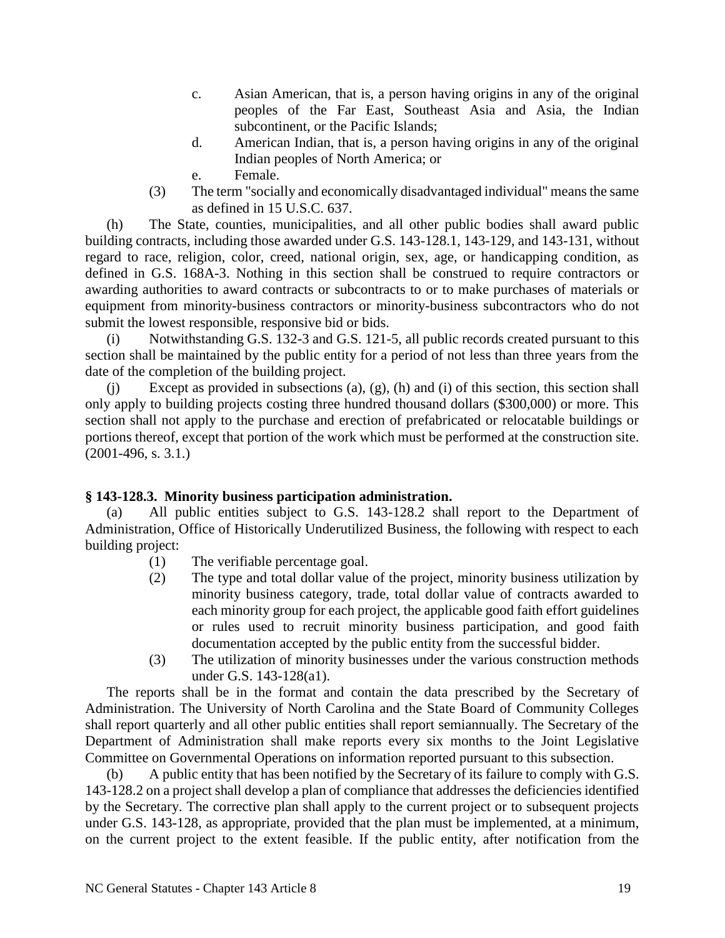- c. Asian American, that is, a person having origins in any of the original peoples of the Far East, Southeast Asia and Asia, the Indian subcontinent, or the Pacific Islands;
- d. American Indian, that is, a person having origins in any of the original Indian peoples of North America; or
- e. Female.
- (3) The term "socially and economically disadvantaged individual" means the same as defined in 15 U.S.C. 637.

(h) The State, counties, municipalities, and all other public bodies shall award public building contracts, including those awarded under G.S. 143-128.1, 143-129, and 143-131, without regard to race, religion, color, creed, national origin, sex, age, or handicapping condition, as defined in G.S. 168A-3. Nothing in this section shall be construed to require contractors or awarding authorities to award contracts or subcontracts to or to make purchases of materials or equipment from minority-business contractors or minority-business subcontractors who do not submit the lowest responsible, responsive bid or bids.

(i) Notwithstanding G.S. 132-3 and G.S. 121-5, all public records created pursuant to this section shall be maintained by the public entity for a period of not less than three years from the date of the completion of the building project.

(j) Except as provided in subsections (a), (g), (h) and (i) of this section, this section shall only apply to building projects costing three hundred thousand dollars (\$300,000) or more. This section shall not apply to the purchase and erection of prefabricated or relocatable buildings or portions thereof, except that portion of the work which must be performed at the construction site. (2001-496, s. 3.1.)

# **§ 143-128.3. Minority business participation administration.**

(a) All public entities subject to G.S. 143-128.2 shall report to the Department of Administration, Office of Historically Underutilized Business, the following with respect to each building project:

- (1) The verifiable percentage goal.
- (2) The type and total dollar value of the project, minority business utilization by minority business category, trade, total dollar value of contracts awarded to each minority group for each project, the applicable good faith effort guidelines or rules used to recruit minority business participation, and good faith documentation accepted by the public entity from the successful bidder.
- (3) The utilization of minority businesses under the various construction methods under G.S. 143-128(a1).

The reports shall be in the format and contain the data prescribed by the Secretary of Administration. The University of North Carolina and the State Board of Community Colleges shall report quarterly and all other public entities shall report semiannually. The Secretary of the Department of Administration shall make reports every six months to the Joint Legislative Committee on Governmental Operations on information reported pursuant to this subsection.

(b) A public entity that has been notified by the Secretary of its failure to comply with G.S. 143-128.2 on a project shall develop a plan of compliance that addresses the deficiencies identified by the Secretary. The corrective plan shall apply to the current project or to subsequent projects under G.S. 143-128, as appropriate, provided that the plan must be implemented, at a minimum, on the current project to the extent feasible. If the public entity, after notification from the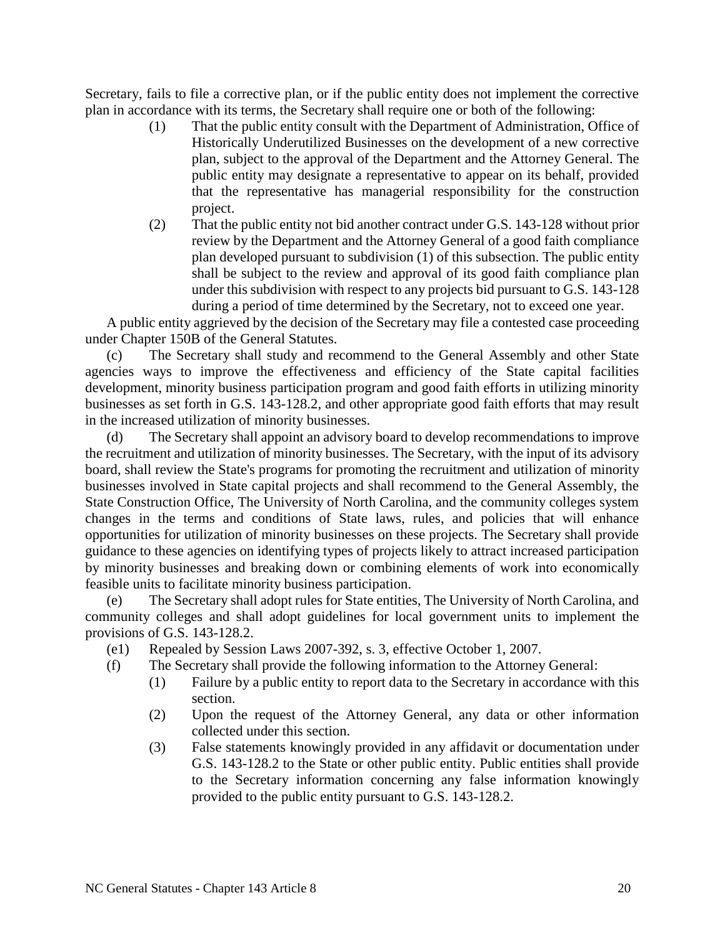Secretary, fails to file a corrective plan, or if the public entity does not implement the corrective plan in accordance with its terms, the Secretary shall require one or both of the following:

- (1) That the public entity consult with the Department of Administration, Office of Historically Underutilized Businesses on the development of a new corrective plan, subject to the approval of the Department and the Attorney General. The public entity may designate a representative to appear on its behalf, provided that the representative has managerial responsibility for the construction project.
- (2) That the public entity not bid another contract under G.S. 143-128 without prior review by the Department and the Attorney General of a good faith compliance plan developed pursuant to subdivision (1) of this subsection. The public entity shall be subject to the review and approval of its good faith compliance plan under this subdivision with respect to any projects bid pursuant to G.S. 143-128 during a period of time determined by the Secretary, not to exceed one year.

A public entity aggrieved by the decision of the Secretary may file a contested case proceeding under Chapter 150B of the General Statutes.

(c) The Secretary shall study and recommend to the General Assembly and other State agencies ways to improve the effectiveness and efficiency of the State capital facilities development, minority business participation program and good faith efforts in utilizing minority businesses as set forth in G.S. 143-128.2, and other appropriate good faith efforts that may result in the increased utilization of minority businesses.

(d) The Secretary shall appoint an advisory board to develop recommendations to improve the recruitment and utilization of minority businesses. The Secretary, with the input of its advisory board, shall review the State's programs for promoting the recruitment and utilization of minority businesses involved in State capital projects and shall recommend to the General Assembly, the State Construction Office, The University of North Carolina, and the community colleges system changes in the terms and conditions of State laws, rules, and policies that will enhance opportunities for utilization of minority businesses on these projects. The Secretary shall provide guidance to these agencies on identifying types of projects likely to attract increased participation by minority businesses and breaking down or combining elements of work into economically feasible units to facilitate minority business participation.

(e) The Secretary shall adopt rules for State entities, The University of North Carolina, and community colleges and shall adopt guidelines for local government units to implement the provisions of G.S. 143-128.2.

- (e1) Repealed by Session Laws 2007-392, s. 3, effective October 1, 2007.
- (f) The Secretary shall provide the following information to the Attorney General:
	- (1) Failure by a public entity to report data to the Secretary in accordance with this section.
	- (2) Upon the request of the Attorney General, any data or other information collected under this section.
	- (3) False statements knowingly provided in any affidavit or documentation under G.S. 143-128.2 to the State or other public entity. Public entities shall provide to the Secretary information concerning any false information knowingly provided to the public entity pursuant to G.S. 143-128.2.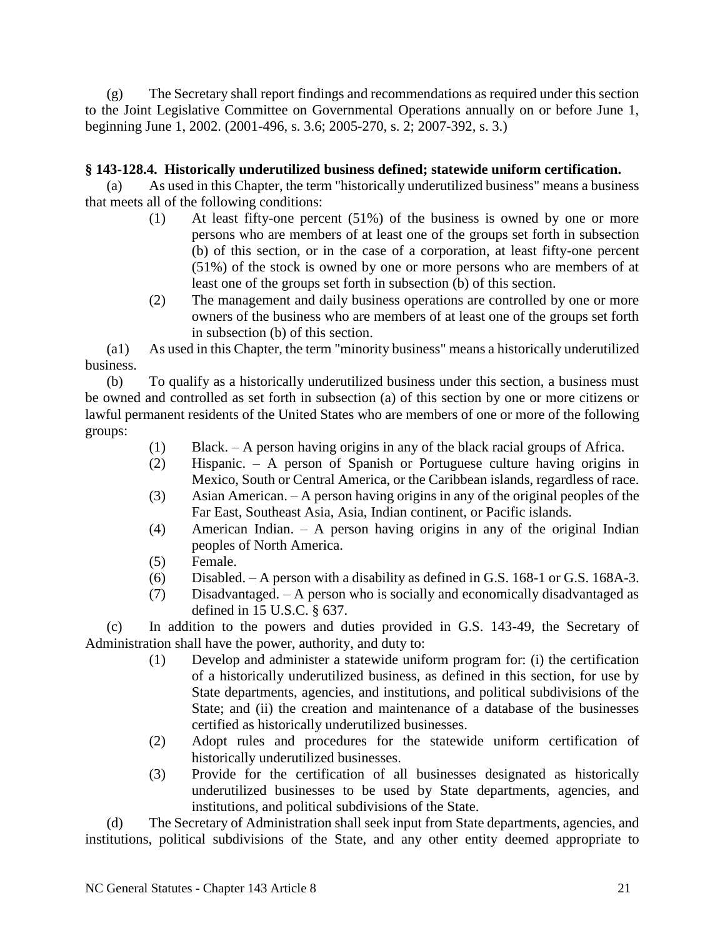(g) The Secretary shall report findings and recommendations as required under this section to the Joint Legislative Committee on Governmental Operations annually on or before June 1, beginning June 1, 2002. (2001-496, s. 3.6; 2005-270, s. 2; 2007-392, s. 3.)

# **§ 143-128.4. Historically underutilized business defined; statewide uniform certification.**

(a) As used in this Chapter, the term "historically underutilized business" means a business that meets all of the following conditions:

- (1) At least fifty-one percent (51%) of the business is owned by one or more persons who are members of at least one of the groups set forth in subsection (b) of this section, or in the case of a corporation, at least fifty-one percent (51%) of the stock is owned by one or more persons who are members of at least one of the groups set forth in subsection (b) of this section.
- (2) The management and daily business operations are controlled by one or more owners of the business who are members of at least one of the groups set forth in subsection (b) of this section.

(a1) As used in this Chapter, the term "minority business" means a historically underutilized business.

(b) To qualify as a historically underutilized business under this section, a business must be owned and controlled as set forth in subsection (a) of this section by one or more citizens or lawful permanent residents of the United States who are members of one or more of the following groups:

- (1) Black. A person having origins in any of the black racial groups of Africa.
- (2) Hispanic. A person of Spanish or Portuguese culture having origins in Mexico, South or Central America, or the Caribbean islands, regardless of race.
- (3) Asian American. A person having origins in any of the original peoples of the Far East, Southeast Asia, Asia, Indian continent, or Pacific islands.
- (4) American Indian. A person having origins in any of the original Indian peoples of North America.
- (5) Female.
- (6) Disabled. A person with a disability as defined in G.S. 168-1 or G.S. 168A-3.
- (7) Disadvantaged. A person who is socially and economically disadvantaged as defined in 15 U.S.C. § 637.

(c) In addition to the powers and duties provided in G.S. 143-49, the Secretary of Administration shall have the power, authority, and duty to:

- (1) Develop and administer a statewide uniform program for: (i) the certification of a historically underutilized business, as defined in this section, for use by State departments, agencies, and institutions, and political subdivisions of the State; and (ii) the creation and maintenance of a database of the businesses certified as historically underutilized businesses.
- (2) Adopt rules and procedures for the statewide uniform certification of historically underutilized businesses.
- (3) Provide for the certification of all businesses designated as historically underutilized businesses to be used by State departments, agencies, and institutions, and political subdivisions of the State.

(d) The Secretary of Administration shall seek input from State departments, agencies, and institutions, political subdivisions of the State, and any other entity deemed appropriate to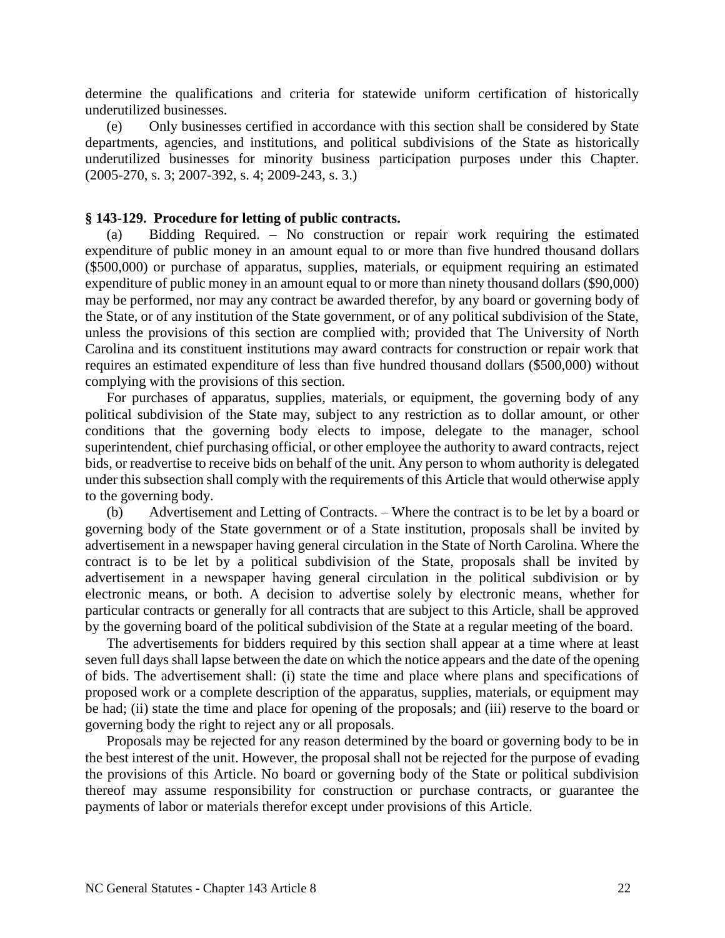determine the qualifications and criteria for statewide uniform certification of historically underutilized businesses.

(e) Only businesses certified in accordance with this section shall be considered by State departments, agencies, and institutions, and political subdivisions of the State as historically underutilized businesses for minority business participation purposes under this Chapter. (2005-270, s. 3; 2007-392, s. 4; 2009-243, s. 3.)

#### **§ 143-129. Procedure for letting of public contracts.**

(a) Bidding Required. – No construction or repair work requiring the estimated expenditure of public money in an amount equal to or more than five hundred thousand dollars (\$500,000) or purchase of apparatus, supplies, materials, or equipment requiring an estimated expenditure of public money in an amount equal to or more than ninety thousand dollars (\$90,000) may be performed, nor may any contract be awarded therefor, by any board or governing body of the State, or of any institution of the State government, or of any political subdivision of the State, unless the provisions of this section are complied with; provided that The University of North Carolina and its constituent institutions may award contracts for construction or repair work that requires an estimated expenditure of less than five hundred thousand dollars (\$500,000) without complying with the provisions of this section.

For purchases of apparatus, supplies, materials, or equipment, the governing body of any political subdivision of the State may, subject to any restriction as to dollar amount, or other conditions that the governing body elects to impose, delegate to the manager, school superintendent, chief purchasing official, or other employee the authority to award contracts, reject bids, or readvertise to receive bids on behalf of the unit. Any person to whom authority is delegated under this subsection shall comply with the requirements of this Article that would otherwise apply to the governing body.

(b) Advertisement and Letting of Contracts. – Where the contract is to be let by a board or governing body of the State government or of a State institution, proposals shall be invited by advertisement in a newspaper having general circulation in the State of North Carolina. Where the contract is to be let by a political subdivision of the State, proposals shall be invited by advertisement in a newspaper having general circulation in the political subdivision or by electronic means, or both. A decision to advertise solely by electronic means, whether for particular contracts or generally for all contracts that are subject to this Article, shall be approved by the governing board of the political subdivision of the State at a regular meeting of the board.

The advertisements for bidders required by this section shall appear at a time where at least seven full days shall lapse between the date on which the notice appears and the date of the opening of bids. The advertisement shall: (i) state the time and place where plans and specifications of proposed work or a complete description of the apparatus, supplies, materials, or equipment may be had; (ii) state the time and place for opening of the proposals; and (iii) reserve to the board or governing body the right to reject any or all proposals.

Proposals may be rejected for any reason determined by the board or governing body to be in the best interest of the unit. However, the proposal shall not be rejected for the purpose of evading the provisions of this Article. No board or governing body of the State or political subdivision thereof may assume responsibility for construction or purchase contracts, or guarantee the payments of labor or materials therefor except under provisions of this Article.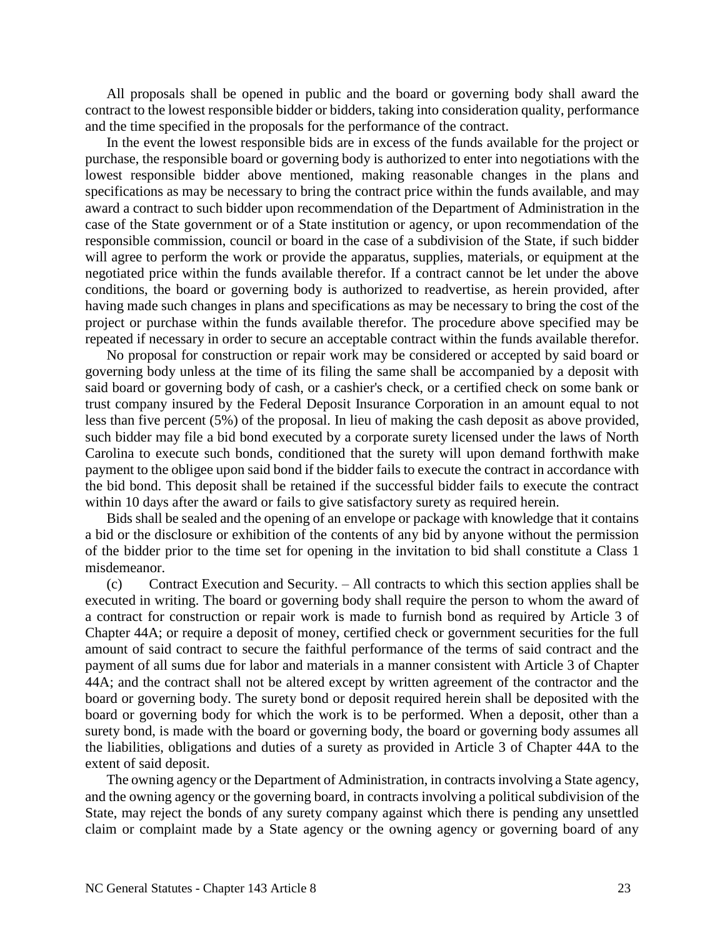All proposals shall be opened in public and the board or governing body shall award the contract to the lowest responsible bidder or bidders, taking into consideration quality, performance and the time specified in the proposals for the performance of the contract.

In the event the lowest responsible bids are in excess of the funds available for the project or purchase, the responsible board or governing body is authorized to enter into negotiations with the lowest responsible bidder above mentioned, making reasonable changes in the plans and specifications as may be necessary to bring the contract price within the funds available, and may award a contract to such bidder upon recommendation of the Department of Administration in the case of the State government or of a State institution or agency, or upon recommendation of the responsible commission, council or board in the case of a subdivision of the State, if such bidder will agree to perform the work or provide the apparatus, supplies, materials, or equipment at the negotiated price within the funds available therefor. If a contract cannot be let under the above conditions, the board or governing body is authorized to readvertise, as herein provided, after having made such changes in plans and specifications as may be necessary to bring the cost of the project or purchase within the funds available therefor. The procedure above specified may be repeated if necessary in order to secure an acceptable contract within the funds available therefor.

No proposal for construction or repair work may be considered or accepted by said board or governing body unless at the time of its filing the same shall be accompanied by a deposit with said board or governing body of cash, or a cashier's check, or a certified check on some bank or trust company insured by the Federal Deposit Insurance Corporation in an amount equal to not less than five percent (5%) of the proposal. In lieu of making the cash deposit as above provided, such bidder may file a bid bond executed by a corporate surety licensed under the laws of North Carolina to execute such bonds, conditioned that the surety will upon demand forthwith make payment to the obligee upon said bond if the bidder fails to execute the contract in accordance with the bid bond. This deposit shall be retained if the successful bidder fails to execute the contract within 10 days after the award or fails to give satisfactory surety as required herein.

Bids shall be sealed and the opening of an envelope or package with knowledge that it contains a bid or the disclosure or exhibition of the contents of any bid by anyone without the permission of the bidder prior to the time set for opening in the invitation to bid shall constitute a Class 1 misdemeanor.

(c) Contract Execution and Security. – All contracts to which this section applies shall be executed in writing. The board or governing body shall require the person to whom the award of a contract for construction or repair work is made to furnish bond as required by Article 3 of Chapter 44A; or require a deposit of money, certified check or government securities for the full amount of said contract to secure the faithful performance of the terms of said contract and the payment of all sums due for labor and materials in a manner consistent with Article 3 of Chapter 44A; and the contract shall not be altered except by written agreement of the contractor and the board or governing body. The surety bond or deposit required herein shall be deposited with the board or governing body for which the work is to be performed. When a deposit, other than a surety bond, is made with the board or governing body, the board or governing body assumes all the liabilities, obligations and duties of a surety as provided in Article 3 of Chapter 44A to the extent of said deposit.

The owning agency or the Department of Administration, in contracts involving a State agency, and the owning agency or the governing board, in contracts involving a political subdivision of the State, may reject the bonds of any surety company against which there is pending any unsettled claim or complaint made by a State agency or the owning agency or governing board of any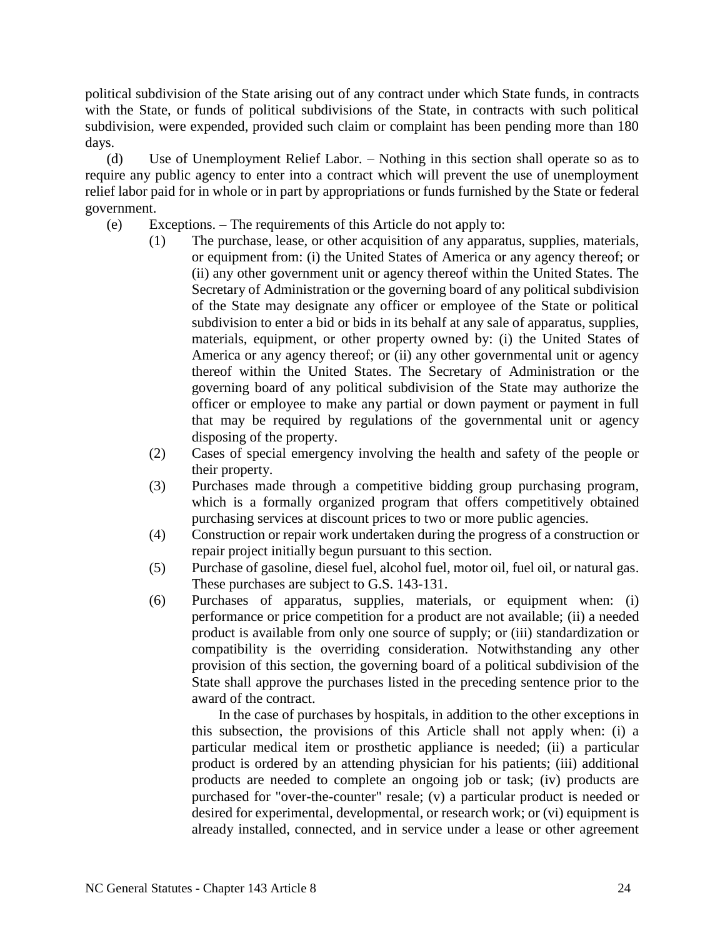political subdivision of the State arising out of any contract under which State funds, in contracts with the State, or funds of political subdivisions of the State, in contracts with such political subdivision, were expended, provided such claim or complaint has been pending more than 180 days.

(d) Use of Unemployment Relief Labor. – Nothing in this section shall operate so as to require any public agency to enter into a contract which will prevent the use of unemployment relief labor paid for in whole or in part by appropriations or funds furnished by the State or federal government.

- (e) Exceptions. The requirements of this Article do not apply to:
	- (1) The purchase, lease, or other acquisition of any apparatus, supplies, materials, or equipment from: (i) the United States of America or any agency thereof; or (ii) any other government unit or agency thereof within the United States. The Secretary of Administration or the governing board of any political subdivision of the State may designate any officer or employee of the State or political subdivision to enter a bid or bids in its behalf at any sale of apparatus, supplies, materials, equipment, or other property owned by: (i) the United States of America or any agency thereof; or (ii) any other governmental unit or agency thereof within the United States. The Secretary of Administration or the governing board of any political subdivision of the State may authorize the officer or employee to make any partial or down payment or payment in full that may be required by regulations of the governmental unit or agency disposing of the property.
	- (2) Cases of special emergency involving the health and safety of the people or their property.
	- (3) Purchases made through a competitive bidding group purchasing program, which is a formally organized program that offers competitively obtained purchasing services at discount prices to two or more public agencies.
	- (4) Construction or repair work undertaken during the progress of a construction or repair project initially begun pursuant to this section.
	- (5) Purchase of gasoline, diesel fuel, alcohol fuel, motor oil, fuel oil, or natural gas. These purchases are subject to G.S. 143-131.
	- (6) Purchases of apparatus, supplies, materials, or equipment when: (i) performance or price competition for a product are not available; (ii) a needed product is available from only one source of supply; or (iii) standardization or compatibility is the overriding consideration. Notwithstanding any other provision of this section, the governing board of a political subdivision of the State shall approve the purchases listed in the preceding sentence prior to the award of the contract.

In the case of purchases by hospitals, in addition to the other exceptions in this subsection, the provisions of this Article shall not apply when: (i) a particular medical item or prosthetic appliance is needed; (ii) a particular product is ordered by an attending physician for his patients; (iii) additional products are needed to complete an ongoing job or task; (iv) products are purchased for "over-the-counter" resale; (v) a particular product is needed or desired for experimental, developmental, or research work; or (vi) equipment is already installed, connected, and in service under a lease or other agreement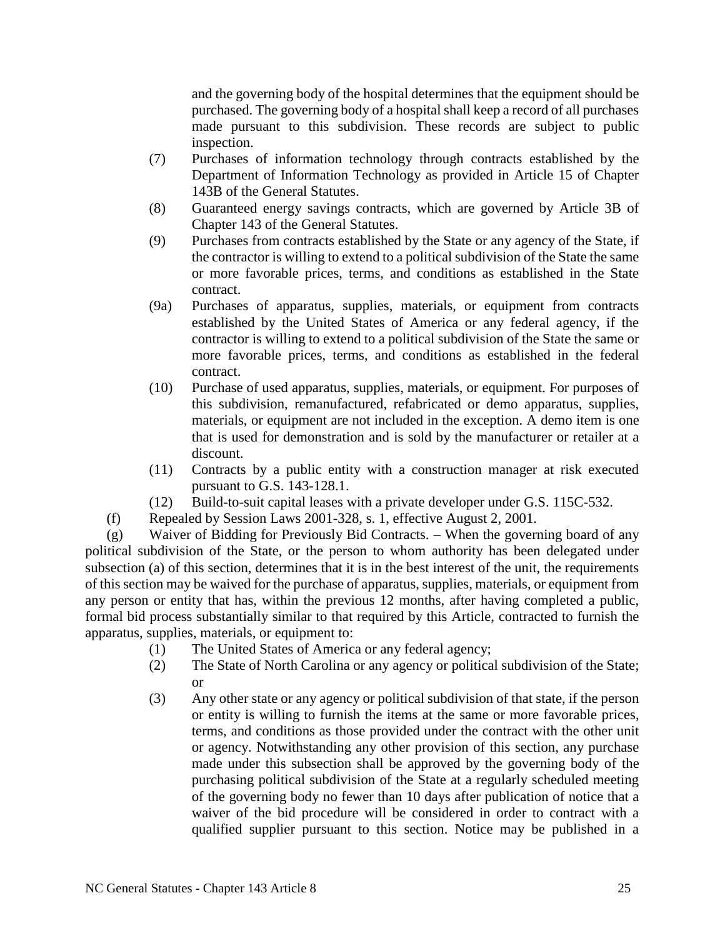and the governing body of the hospital determines that the equipment should be purchased. The governing body of a hospital shall keep a record of all purchases made pursuant to this subdivision. These records are subject to public inspection.

- (7) Purchases of information technology through contracts established by the Department of Information Technology as provided in Article 15 of Chapter 143B of the General Statutes.
- (8) Guaranteed energy savings contracts, which are governed by Article 3B of Chapter 143 of the General Statutes.
- (9) Purchases from contracts established by the State or any agency of the State, if the contractor is willing to extend to a political subdivision of the State the same or more favorable prices, terms, and conditions as established in the State contract.
- (9a) Purchases of apparatus, supplies, materials, or equipment from contracts established by the United States of America or any federal agency, if the contractor is willing to extend to a political subdivision of the State the same or more favorable prices, terms, and conditions as established in the federal contract.
- (10) Purchase of used apparatus, supplies, materials, or equipment. For purposes of this subdivision, remanufactured, refabricated or demo apparatus, supplies, materials, or equipment are not included in the exception. A demo item is one that is used for demonstration and is sold by the manufacturer or retailer at a discount.
- (11) Contracts by a public entity with a construction manager at risk executed pursuant to G.S. 143-128.1.
- (12) Build-to-suit capital leases with a private developer under G.S. 115C-532.
- (f) Repealed by Session Laws 2001-328, s. 1, effective August 2, 2001.

(g) Waiver of Bidding for Previously Bid Contracts. – When the governing board of any political subdivision of the State, or the person to whom authority has been delegated under subsection (a) of this section, determines that it is in the best interest of the unit, the requirements of this section may be waived for the purchase of apparatus, supplies, materials, or equipment from any person or entity that has, within the previous 12 months, after having completed a public, formal bid process substantially similar to that required by this Article, contracted to furnish the apparatus, supplies, materials, or equipment to:

- (1) The United States of America or any federal agency;
- (2) The State of North Carolina or any agency or political subdivision of the State; or
- (3) Any other state or any agency or political subdivision of that state, if the person or entity is willing to furnish the items at the same or more favorable prices, terms, and conditions as those provided under the contract with the other unit or agency. Notwithstanding any other provision of this section, any purchase made under this subsection shall be approved by the governing body of the purchasing political subdivision of the State at a regularly scheduled meeting of the governing body no fewer than 10 days after publication of notice that a waiver of the bid procedure will be considered in order to contract with a qualified supplier pursuant to this section. Notice may be published in a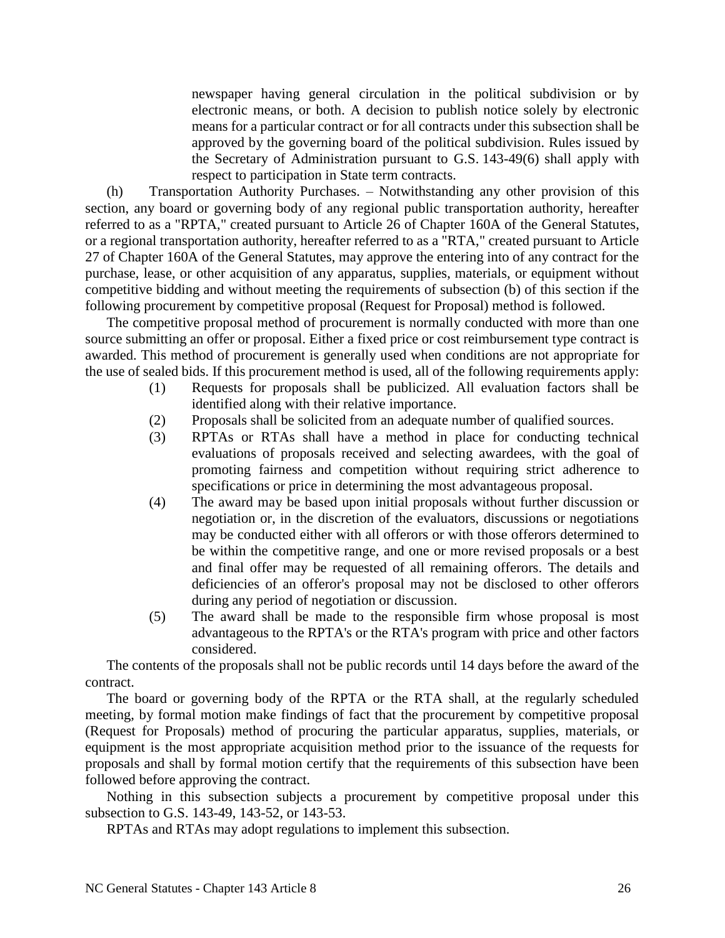newspaper having general circulation in the political subdivision or by electronic means, or both. A decision to publish notice solely by electronic means for a particular contract or for all contracts under this subsection shall be approved by the governing board of the political subdivision. Rules issued by the Secretary of Administration pursuant to G.S. 143-49(6) shall apply with respect to participation in State term contracts.

(h) Transportation Authority Purchases. – Notwithstanding any other provision of this section, any board or governing body of any regional public transportation authority, hereafter referred to as a "RPTA," created pursuant to Article 26 of Chapter 160A of the General Statutes, or a regional transportation authority, hereafter referred to as a "RTA," created pursuant to Article 27 of Chapter 160A of the General Statutes, may approve the entering into of any contract for the purchase, lease, or other acquisition of any apparatus, supplies, materials, or equipment without competitive bidding and without meeting the requirements of subsection (b) of this section if the following procurement by competitive proposal (Request for Proposal) method is followed.

The competitive proposal method of procurement is normally conducted with more than one source submitting an offer or proposal. Either a fixed price or cost reimbursement type contract is awarded. This method of procurement is generally used when conditions are not appropriate for the use of sealed bids. If this procurement method is used, all of the following requirements apply:

- (1) Requests for proposals shall be publicized. All evaluation factors shall be identified along with their relative importance.
- (2) Proposals shall be solicited from an adequate number of qualified sources.
- (3) RPTAs or RTAs shall have a method in place for conducting technical evaluations of proposals received and selecting awardees, with the goal of promoting fairness and competition without requiring strict adherence to specifications or price in determining the most advantageous proposal.
- (4) The award may be based upon initial proposals without further discussion or negotiation or, in the discretion of the evaluators, discussions or negotiations may be conducted either with all offerors or with those offerors determined to be within the competitive range, and one or more revised proposals or a best and final offer may be requested of all remaining offerors. The details and deficiencies of an offeror's proposal may not be disclosed to other offerors during any period of negotiation or discussion.
- (5) The award shall be made to the responsible firm whose proposal is most advantageous to the RPTA's or the RTA's program with price and other factors considered.

The contents of the proposals shall not be public records until 14 days before the award of the contract.

The board or governing body of the RPTA or the RTA shall, at the regularly scheduled meeting, by formal motion make findings of fact that the procurement by competitive proposal (Request for Proposals) method of procuring the particular apparatus, supplies, materials, or equipment is the most appropriate acquisition method prior to the issuance of the requests for proposals and shall by formal motion certify that the requirements of this subsection have been followed before approving the contract.

Nothing in this subsection subjects a procurement by competitive proposal under this subsection to G.S. 143-49, 143-52, or 143-53.

RPTAs and RTAs may adopt regulations to implement this subsection.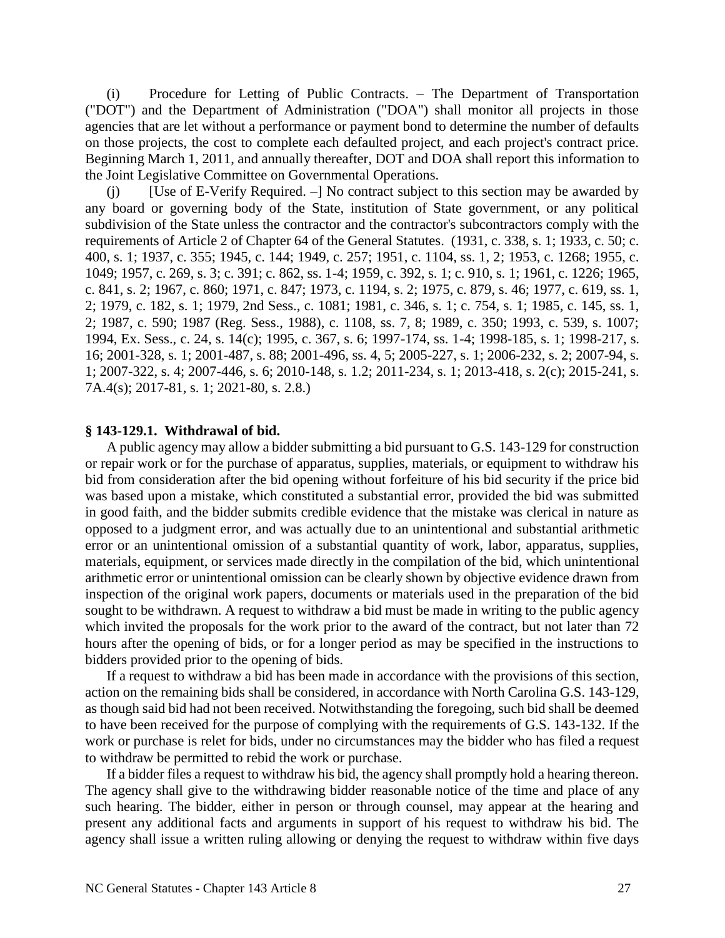(i) Procedure for Letting of Public Contracts. – The Department of Transportation ("DOT") and the Department of Administration ("DOA") shall monitor all projects in those agencies that are let without a performance or payment bond to determine the number of defaults on those projects, the cost to complete each defaulted project, and each project's contract price. Beginning March 1, 2011, and annually thereafter, DOT and DOA shall report this information to the Joint Legislative Committee on Governmental Operations.

(j) [Use of E-Verify Required. –] No contract subject to this section may be awarded by any board or governing body of the State, institution of State government, or any political subdivision of the State unless the contractor and the contractor's subcontractors comply with the requirements of Article 2 of Chapter 64 of the General Statutes. (1931, c. 338, s. 1; 1933, c. 50; c. 400, s. 1; 1937, c. 355; 1945, c. 144; 1949, c. 257; 1951, c. 1104, ss. 1, 2; 1953, c. 1268; 1955, c. 1049; 1957, c. 269, s. 3; c. 391; c. 862, ss. 1-4; 1959, c. 392, s. 1; c. 910, s. 1; 1961, c. 1226; 1965, c. 841, s. 2; 1967, c. 860; 1971, c. 847; 1973, c. 1194, s. 2; 1975, c. 879, s. 46; 1977, c. 619, ss. 1, 2; 1979, c. 182, s. 1; 1979, 2nd Sess., c. 1081; 1981, c. 346, s. 1; c. 754, s. 1; 1985, c. 145, ss. 1, 2; 1987, c. 590; 1987 (Reg. Sess., 1988), c. 1108, ss. 7, 8; 1989, c. 350; 1993, c. 539, s. 1007; 1994, Ex. Sess., c. 24, s. 14(c); 1995, c. 367, s. 6; 1997-174, ss. 1-4; 1998-185, s. 1; 1998-217, s. 16; 2001-328, s. 1; 2001-487, s. 88; 2001-496, ss. 4, 5; 2005-227, s. 1; 2006-232, s. 2; 2007-94, s. 1; 2007-322, s. 4; 2007-446, s. 6; 2010-148, s. 1.2; 2011-234, s. 1; 2013-418, s. 2(c); 2015-241, s. 7A.4(s); 2017-81, s. 1; 2021-80, s. 2.8.)

### **§ 143-129.1. Withdrawal of bid.**

A public agency may allow a bidder submitting a bid pursuant to G.S. 143-129 for construction or repair work or for the purchase of apparatus, supplies, materials, or equipment to withdraw his bid from consideration after the bid opening without forfeiture of his bid security if the price bid was based upon a mistake, which constituted a substantial error, provided the bid was submitted in good faith, and the bidder submits credible evidence that the mistake was clerical in nature as opposed to a judgment error, and was actually due to an unintentional and substantial arithmetic error or an unintentional omission of a substantial quantity of work, labor, apparatus, supplies, materials, equipment, or services made directly in the compilation of the bid, which unintentional arithmetic error or unintentional omission can be clearly shown by objective evidence drawn from inspection of the original work papers, documents or materials used in the preparation of the bid sought to be withdrawn. A request to withdraw a bid must be made in writing to the public agency which invited the proposals for the work prior to the award of the contract, but not later than 72 hours after the opening of bids, or for a longer period as may be specified in the instructions to bidders provided prior to the opening of bids.

If a request to withdraw a bid has been made in accordance with the provisions of this section, action on the remaining bids shall be considered, in accordance with North Carolina G.S. 143-129, as though said bid had not been received. Notwithstanding the foregoing, such bid shall be deemed to have been received for the purpose of complying with the requirements of G.S. 143-132. If the work or purchase is relet for bids, under no circumstances may the bidder who has filed a request to withdraw be permitted to rebid the work or purchase.

If a bidder files a request to withdraw his bid, the agency shall promptly hold a hearing thereon. The agency shall give to the withdrawing bidder reasonable notice of the time and place of any such hearing. The bidder, either in person or through counsel, may appear at the hearing and present any additional facts and arguments in support of his request to withdraw his bid. The agency shall issue a written ruling allowing or denying the request to withdraw within five days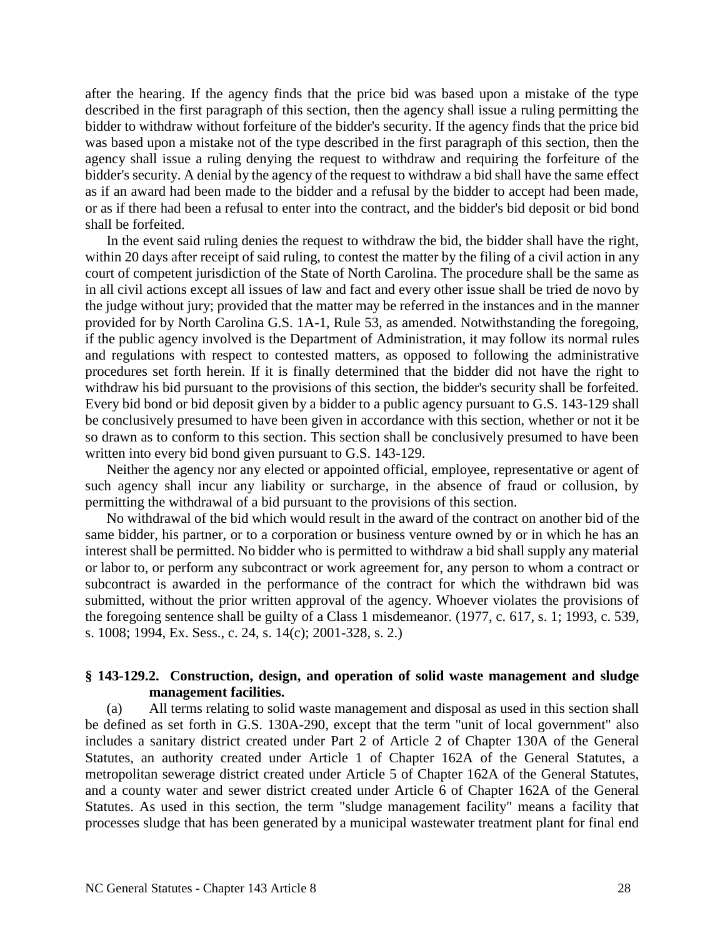after the hearing. If the agency finds that the price bid was based upon a mistake of the type described in the first paragraph of this section, then the agency shall issue a ruling permitting the bidder to withdraw without forfeiture of the bidder's security. If the agency finds that the price bid was based upon a mistake not of the type described in the first paragraph of this section, then the agency shall issue a ruling denying the request to withdraw and requiring the forfeiture of the bidder's security. A denial by the agency of the request to withdraw a bid shall have the same effect as if an award had been made to the bidder and a refusal by the bidder to accept had been made, or as if there had been a refusal to enter into the contract, and the bidder's bid deposit or bid bond shall be forfeited.

In the event said ruling denies the request to withdraw the bid, the bidder shall have the right, within 20 days after receipt of said ruling, to contest the matter by the filing of a civil action in any court of competent jurisdiction of the State of North Carolina. The procedure shall be the same as in all civil actions except all issues of law and fact and every other issue shall be tried de novo by the judge without jury; provided that the matter may be referred in the instances and in the manner provided for by North Carolina G.S. 1A-1, Rule 53, as amended. Notwithstanding the foregoing, if the public agency involved is the Department of Administration, it may follow its normal rules and regulations with respect to contested matters, as opposed to following the administrative procedures set forth herein. If it is finally determined that the bidder did not have the right to withdraw his bid pursuant to the provisions of this section, the bidder's security shall be forfeited. Every bid bond or bid deposit given by a bidder to a public agency pursuant to G.S. 143-129 shall be conclusively presumed to have been given in accordance with this section, whether or not it be so drawn as to conform to this section. This section shall be conclusively presumed to have been written into every bid bond given pursuant to G.S. 143-129.

Neither the agency nor any elected or appointed official, employee, representative or agent of such agency shall incur any liability or surcharge, in the absence of fraud or collusion, by permitting the withdrawal of a bid pursuant to the provisions of this section.

No withdrawal of the bid which would result in the award of the contract on another bid of the same bidder, his partner, or to a corporation or business venture owned by or in which he has an interest shall be permitted. No bidder who is permitted to withdraw a bid shall supply any material or labor to, or perform any subcontract or work agreement for, any person to whom a contract or subcontract is awarded in the performance of the contract for which the withdrawn bid was submitted, without the prior written approval of the agency. Whoever violates the provisions of the foregoing sentence shall be guilty of a Class 1 misdemeanor. (1977, c. 617, s. 1; 1993, c. 539, s. 1008; 1994, Ex. Sess., c. 24, s. 14(c); 2001-328, s. 2.)

## **§ 143-129.2. Construction, design, and operation of solid waste management and sludge management facilities.**

(a) All terms relating to solid waste management and disposal as used in this section shall be defined as set forth in G.S. 130A-290, except that the term "unit of local government" also includes a sanitary district created under Part 2 of Article 2 of Chapter 130A of the General Statutes, an authority created under Article 1 of Chapter 162A of the General Statutes, a metropolitan sewerage district created under Article 5 of Chapter 162A of the General Statutes, and a county water and sewer district created under Article 6 of Chapter 162A of the General Statutes. As used in this section, the term "sludge management facility" means a facility that processes sludge that has been generated by a municipal wastewater treatment plant for final end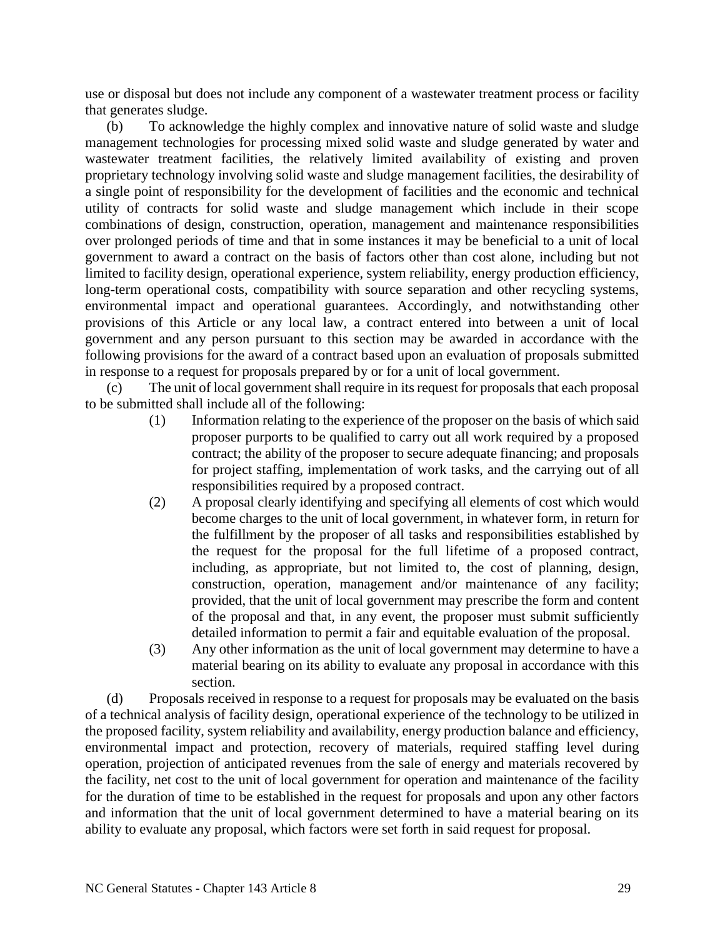use or disposal but does not include any component of a wastewater treatment process or facility that generates sludge.

(b) To acknowledge the highly complex and innovative nature of solid waste and sludge management technologies for processing mixed solid waste and sludge generated by water and wastewater treatment facilities, the relatively limited availability of existing and proven proprietary technology involving solid waste and sludge management facilities, the desirability of a single point of responsibility for the development of facilities and the economic and technical utility of contracts for solid waste and sludge management which include in their scope combinations of design, construction, operation, management and maintenance responsibilities over prolonged periods of time and that in some instances it may be beneficial to a unit of local government to award a contract on the basis of factors other than cost alone, including but not limited to facility design, operational experience, system reliability, energy production efficiency, long-term operational costs, compatibility with source separation and other recycling systems, environmental impact and operational guarantees. Accordingly, and notwithstanding other provisions of this Article or any local law, a contract entered into between a unit of local government and any person pursuant to this section may be awarded in accordance with the following provisions for the award of a contract based upon an evaluation of proposals submitted in response to a request for proposals prepared by or for a unit of local government.

(c) The unit of local government shall require in its request for proposals that each proposal to be submitted shall include all of the following:

- (1) Information relating to the experience of the proposer on the basis of which said proposer purports to be qualified to carry out all work required by a proposed contract; the ability of the proposer to secure adequate financing; and proposals for project staffing, implementation of work tasks, and the carrying out of all responsibilities required by a proposed contract.
- (2) A proposal clearly identifying and specifying all elements of cost which would become charges to the unit of local government, in whatever form, in return for the fulfillment by the proposer of all tasks and responsibilities established by the request for the proposal for the full lifetime of a proposed contract, including, as appropriate, but not limited to, the cost of planning, design, construction, operation, management and/or maintenance of any facility; provided, that the unit of local government may prescribe the form and content of the proposal and that, in any event, the proposer must submit sufficiently detailed information to permit a fair and equitable evaluation of the proposal.
- (3) Any other information as the unit of local government may determine to have a material bearing on its ability to evaluate any proposal in accordance with this section.

(d) Proposals received in response to a request for proposals may be evaluated on the basis of a technical analysis of facility design, operational experience of the technology to be utilized in the proposed facility, system reliability and availability, energy production balance and efficiency, environmental impact and protection, recovery of materials, required staffing level during operation, projection of anticipated revenues from the sale of energy and materials recovered by the facility, net cost to the unit of local government for operation and maintenance of the facility for the duration of time to be established in the request for proposals and upon any other factors and information that the unit of local government determined to have a material bearing on its ability to evaluate any proposal, which factors were set forth in said request for proposal.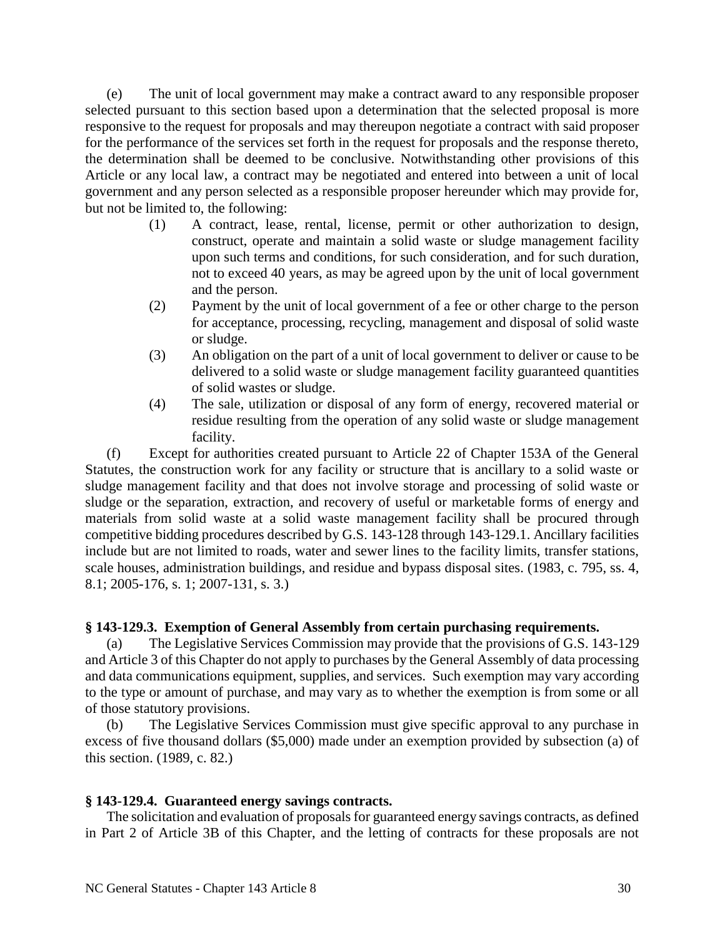(e) The unit of local government may make a contract award to any responsible proposer selected pursuant to this section based upon a determination that the selected proposal is more responsive to the request for proposals and may thereupon negotiate a contract with said proposer for the performance of the services set forth in the request for proposals and the response thereto, the determination shall be deemed to be conclusive. Notwithstanding other provisions of this Article or any local law, a contract may be negotiated and entered into between a unit of local government and any person selected as a responsible proposer hereunder which may provide for, but not be limited to, the following:

- (1) A contract, lease, rental, license, permit or other authorization to design, construct, operate and maintain a solid waste or sludge management facility upon such terms and conditions, for such consideration, and for such duration, not to exceed 40 years, as may be agreed upon by the unit of local government and the person.
- (2) Payment by the unit of local government of a fee or other charge to the person for acceptance, processing, recycling, management and disposal of solid waste or sludge.
- (3) An obligation on the part of a unit of local government to deliver or cause to be delivered to a solid waste or sludge management facility guaranteed quantities of solid wastes or sludge.
- (4) The sale, utilization or disposal of any form of energy, recovered material or residue resulting from the operation of any solid waste or sludge management facility.

(f) Except for authorities created pursuant to Article 22 of Chapter 153A of the General Statutes, the construction work for any facility or structure that is ancillary to a solid waste or sludge management facility and that does not involve storage and processing of solid waste or sludge or the separation, extraction, and recovery of useful or marketable forms of energy and materials from solid waste at a solid waste management facility shall be procured through competitive bidding procedures described by G.S. 143-128 through 143-129.1. Ancillary facilities include but are not limited to roads, water and sewer lines to the facility limits, transfer stations, scale houses, administration buildings, and residue and bypass disposal sites. (1983, c. 795, ss. 4, 8.1; 2005-176, s. 1; 2007-131, s. 3.)

## **§ 143-129.3. Exemption of General Assembly from certain purchasing requirements.**

(a) The Legislative Services Commission may provide that the provisions of G.S. 143-129 and Article 3 of this Chapter do not apply to purchases by the General Assembly of data processing and data communications equipment, supplies, and services. Such exemption may vary according to the type or amount of purchase, and may vary as to whether the exemption is from some or all of those statutory provisions.

(b) The Legislative Services Commission must give specific approval to any purchase in excess of five thousand dollars (\$5,000) made under an exemption provided by subsection (a) of this section. (1989, c. 82.)

#### **§ 143-129.4. Guaranteed energy savings contracts.**

The solicitation and evaluation of proposals for guaranteed energy savings contracts, as defined in Part 2 of Article 3B of this Chapter, and the letting of contracts for these proposals are not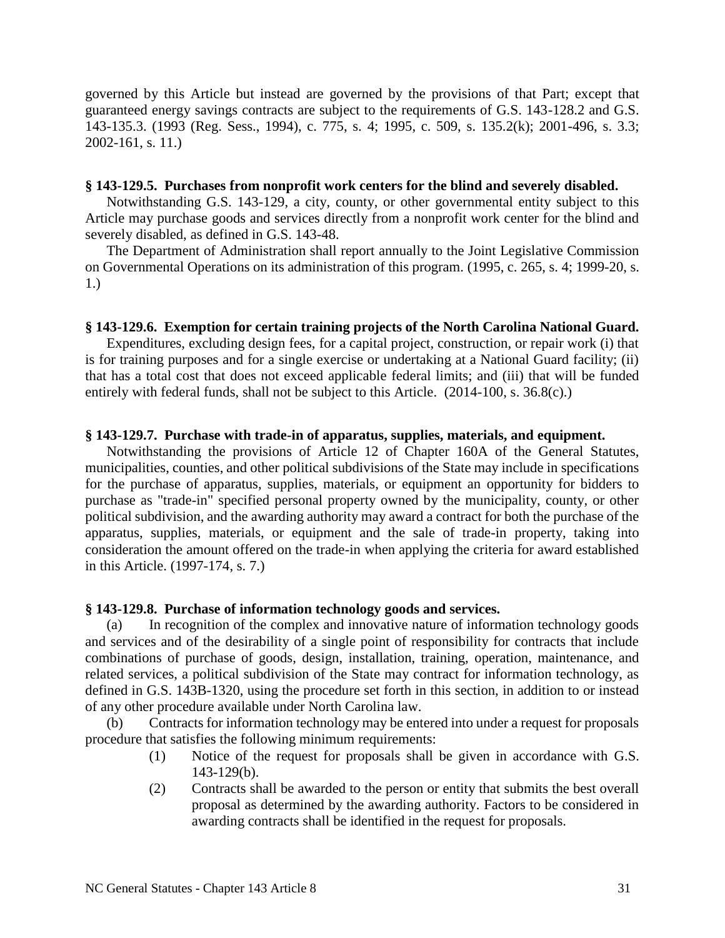governed by this Article but instead are governed by the provisions of that Part; except that guaranteed energy savings contracts are subject to the requirements of G.S. 143-128.2 and G.S. 143-135.3. (1993 (Reg. Sess., 1994), c. 775, s. 4; 1995, c. 509, s. 135.2(k); 2001-496, s. 3.3; 2002-161, s. 11.)

### **§ 143-129.5. Purchases from nonprofit work centers for the blind and severely disabled.**

Notwithstanding G.S. 143-129, a city, county, or other governmental entity subject to this Article may purchase goods and services directly from a nonprofit work center for the blind and severely disabled, as defined in G.S. 143-48.

The Department of Administration shall report annually to the Joint Legislative Commission on Governmental Operations on its administration of this program. (1995, c. 265, s. 4; 1999-20, s. 1.)

## **§ 143-129.6. Exemption for certain training projects of the North Carolina National Guard.**

Expenditures, excluding design fees, for a capital project, construction, or repair work (i) that is for training purposes and for a single exercise or undertaking at a National Guard facility; (ii) that has a total cost that does not exceed applicable federal limits; and (iii) that will be funded entirely with federal funds, shall not be subject to this Article. (2014-100, s. 36.8(c).)

## **§ 143-129.7. Purchase with trade-in of apparatus, supplies, materials, and equipment.**

Notwithstanding the provisions of Article 12 of Chapter 160A of the General Statutes, municipalities, counties, and other political subdivisions of the State may include in specifications for the purchase of apparatus, supplies, materials, or equipment an opportunity for bidders to purchase as "trade-in" specified personal property owned by the municipality, county, or other political subdivision, and the awarding authority may award a contract for both the purchase of the apparatus, supplies, materials, or equipment and the sale of trade-in property, taking into consideration the amount offered on the trade-in when applying the criteria for award established in this Article. (1997-174, s. 7.)

## **§ 143-129.8. Purchase of information technology goods and services.**

(a) In recognition of the complex and innovative nature of information technology goods and services and of the desirability of a single point of responsibility for contracts that include combinations of purchase of goods, design, installation, training, operation, maintenance, and related services, a political subdivision of the State may contract for information technology, as defined in G.S. 143B-1320, using the procedure set forth in this section, in addition to or instead of any other procedure available under North Carolina law.

(b) Contracts for information technology may be entered into under a request for proposals procedure that satisfies the following minimum requirements:

- (1) Notice of the request for proposals shall be given in accordance with G.S. 143-129(b).
- (2) Contracts shall be awarded to the person or entity that submits the best overall proposal as determined by the awarding authority. Factors to be considered in awarding contracts shall be identified in the request for proposals.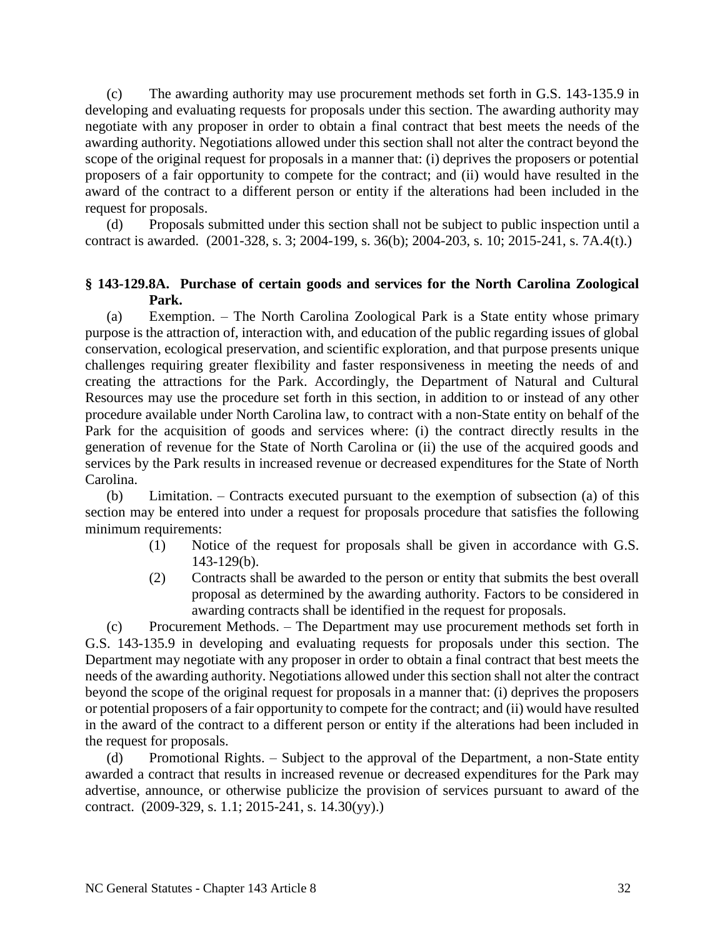(c) The awarding authority may use procurement methods set forth in G.S. 143-135.9 in developing and evaluating requests for proposals under this section. The awarding authority may negotiate with any proposer in order to obtain a final contract that best meets the needs of the awarding authority. Negotiations allowed under this section shall not alter the contract beyond the scope of the original request for proposals in a manner that: (i) deprives the proposers or potential proposers of a fair opportunity to compete for the contract; and (ii) would have resulted in the award of the contract to a different person or entity if the alterations had been included in the request for proposals.

(d) Proposals submitted under this section shall not be subject to public inspection until a contract is awarded. (2001-328, s. 3; 2004-199, s. 36(b); 2004-203, s. 10; 2015-241, s. 7A.4(t).)

## **§ 143-129.8A. Purchase of certain goods and services for the North Carolina Zoological Park.**

(a) Exemption. – The North Carolina Zoological Park is a State entity whose primary purpose is the attraction of, interaction with, and education of the public regarding issues of global conservation, ecological preservation, and scientific exploration, and that purpose presents unique challenges requiring greater flexibility and faster responsiveness in meeting the needs of and creating the attractions for the Park. Accordingly, the Department of Natural and Cultural Resources may use the procedure set forth in this section, in addition to or instead of any other procedure available under North Carolina law, to contract with a non-State entity on behalf of the Park for the acquisition of goods and services where: (i) the contract directly results in the generation of revenue for the State of North Carolina or (ii) the use of the acquired goods and services by the Park results in increased revenue or decreased expenditures for the State of North Carolina.

(b) Limitation. – Contracts executed pursuant to the exemption of subsection (a) of this section may be entered into under a request for proposals procedure that satisfies the following minimum requirements:

- (1) Notice of the request for proposals shall be given in accordance with G.S. 143-129(b).
- (2) Contracts shall be awarded to the person or entity that submits the best overall proposal as determined by the awarding authority. Factors to be considered in awarding contracts shall be identified in the request for proposals.

(c) Procurement Methods. – The Department may use procurement methods set forth in G.S. 143-135.9 in developing and evaluating requests for proposals under this section. The Department may negotiate with any proposer in order to obtain a final contract that best meets the needs of the awarding authority. Negotiations allowed under this section shall not alter the contract beyond the scope of the original request for proposals in a manner that: (i) deprives the proposers or potential proposers of a fair opportunity to compete for the contract; and (ii) would have resulted in the award of the contract to a different person or entity if the alterations had been included in the request for proposals.

(d) Promotional Rights. – Subject to the approval of the Department, a non-State entity awarded a contract that results in increased revenue or decreased expenditures for the Park may advertise, announce, or otherwise publicize the provision of services pursuant to award of the contract. (2009-329, s. 1.1; 2015-241, s. 14.30(yy).)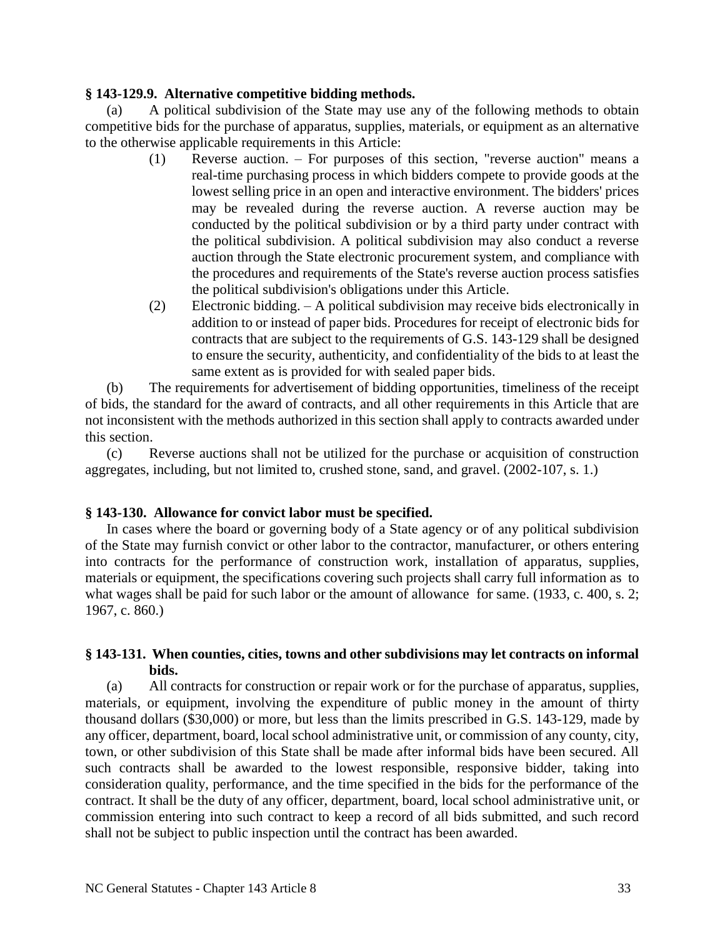## **§ 143-129.9. Alternative competitive bidding methods.**

(a) A political subdivision of the State may use any of the following methods to obtain competitive bids for the purchase of apparatus, supplies, materials, or equipment as an alternative to the otherwise applicable requirements in this Article:

- (1) Reverse auction. For purposes of this section, "reverse auction" means a real-time purchasing process in which bidders compete to provide goods at the lowest selling price in an open and interactive environment. The bidders' prices may be revealed during the reverse auction. A reverse auction may be conducted by the political subdivision or by a third party under contract with the political subdivision. A political subdivision may also conduct a reverse auction through the State electronic procurement system, and compliance with the procedures and requirements of the State's reverse auction process satisfies the political subdivision's obligations under this Article.
- (2) Electronic bidding. A political subdivision may receive bids electronically in addition to or instead of paper bids. Procedures for receipt of electronic bids for contracts that are subject to the requirements of G.S. 143-129 shall be designed to ensure the security, authenticity, and confidentiality of the bids to at least the same extent as is provided for with sealed paper bids.

(b) The requirements for advertisement of bidding opportunities, timeliness of the receipt of bids, the standard for the award of contracts, and all other requirements in this Article that are not inconsistent with the methods authorized in this section shall apply to contracts awarded under this section.

(c) Reverse auctions shall not be utilized for the purchase or acquisition of construction aggregates, including, but not limited to, crushed stone, sand, and gravel. (2002-107, s. 1.)

## **§ 143-130. Allowance for convict labor must be specified.**

In cases where the board or governing body of a State agency or of any political subdivision of the State may furnish convict or other labor to the contractor, manufacturer, or others entering into contracts for the performance of construction work, installation of apparatus, supplies, materials or equipment, the specifications covering such projects shall carry full information as to what wages shall be paid for such labor or the amount of allowance for same. (1933, c. 400, s. 2; 1967, c. 860.)

## **§ 143-131. When counties, cities, towns and other subdivisions may let contracts on informal bids.**

(a) All contracts for construction or repair work or for the purchase of apparatus, supplies, materials, or equipment, involving the expenditure of public money in the amount of thirty thousand dollars (\$30,000) or more, but less than the limits prescribed in G.S. 143-129, made by any officer, department, board, local school administrative unit, or commission of any county, city, town, or other subdivision of this State shall be made after informal bids have been secured. All such contracts shall be awarded to the lowest responsible, responsive bidder, taking into consideration quality, performance, and the time specified in the bids for the performance of the contract. It shall be the duty of any officer, department, board, local school administrative unit, or commission entering into such contract to keep a record of all bids submitted, and such record shall not be subject to public inspection until the contract has been awarded.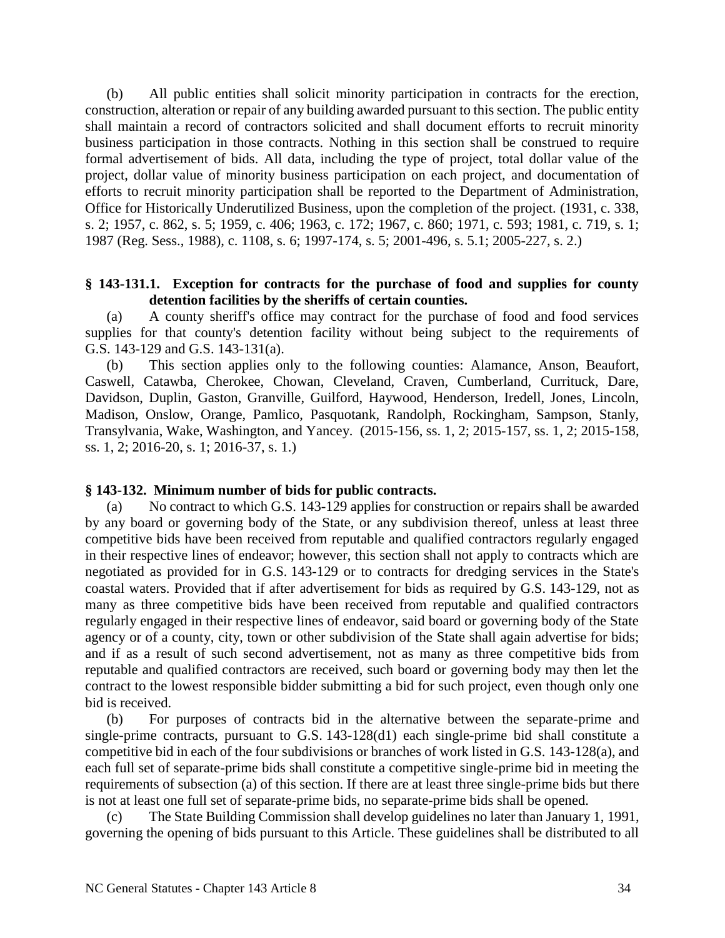(b) All public entities shall solicit minority participation in contracts for the erection, construction, alteration or repair of any building awarded pursuant to this section. The public entity shall maintain a record of contractors solicited and shall document efforts to recruit minority business participation in those contracts. Nothing in this section shall be construed to require formal advertisement of bids. All data, including the type of project, total dollar value of the project, dollar value of minority business participation on each project, and documentation of efforts to recruit minority participation shall be reported to the Department of Administration, Office for Historically Underutilized Business, upon the completion of the project. (1931, c. 338, s. 2; 1957, c. 862, s. 5; 1959, c. 406; 1963, c. 172; 1967, c. 860; 1971, c. 593; 1981, c. 719, s. 1; 1987 (Reg. Sess., 1988), c. 1108, s. 6; 1997-174, s. 5; 2001-496, s. 5.1; 2005-227, s. 2.)

### **§ 143-131.1. Exception for contracts for the purchase of food and supplies for county detention facilities by the sheriffs of certain counties.**

(a) A county sheriff's office may contract for the purchase of food and food services supplies for that county's detention facility without being subject to the requirements of G.S. 143-129 and G.S. 143-131(a).

(b) This section applies only to the following counties: Alamance, Anson, Beaufort, Caswell, Catawba, Cherokee, Chowan, Cleveland, Craven, Cumberland, Currituck, Dare, Davidson, Duplin, Gaston, Granville, Guilford, Haywood, Henderson, Iredell, Jones, Lincoln, Madison, Onslow, Orange, Pamlico, Pasquotank, Randolph, Rockingham, Sampson, Stanly, Transylvania, Wake, Washington, and Yancey. (2015-156, ss. 1, 2; 2015-157, ss. 1, 2; 2015-158, ss. 1, 2; 2016-20, s. 1; 2016-37, s. 1.)

#### **§ 143-132. Minimum number of bids for public contracts.**

(a) No contract to which G.S. 143-129 applies for construction or repairs shall be awarded by any board or governing body of the State, or any subdivision thereof, unless at least three competitive bids have been received from reputable and qualified contractors regularly engaged in their respective lines of endeavor; however, this section shall not apply to contracts which are negotiated as provided for in G.S. 143-129 or to contracts for dredging services in the State's coastal waters. Provided that if after advertisement for bids as required by G.S. 143-129, not as many as three competitive bids have been received from reputable and qualified contractors regularly engaged in their respective lines of endeavor, said board or governing body of the State agency or of a county, city, town or other subdivision of the State shall again advertise for bids; and if as a result of such second advertisement, not as many as three competitive bids from reputable and qualified contractors are received, such board or governing body may then let the contract to the lowest responsible bidder submitting a bid for such project, even though only one bid is received.

(b) For purposes of contracts bid in the alternative between the separate-prime and single-prime contracts, pursuant to G.S. 143-128(d1) each single-prime bid shall constitute a competitive bid in each of the four subdivisions or branches of work listed in G.S. 143-128(a), and each full set of separate-prime bids shall constitute a competitive single-prime bid in meeting the requirements of subsection (a) of this section. If there are at least three single-prime bids but there is not at least one full set of separate-prime bids, no separate-prime bids shall be opened.

The State Building Commission shall develop guidelines no later than January 1, 1991, governing the opening of bids pursuant to this Article. These guidelines shall be distributed to all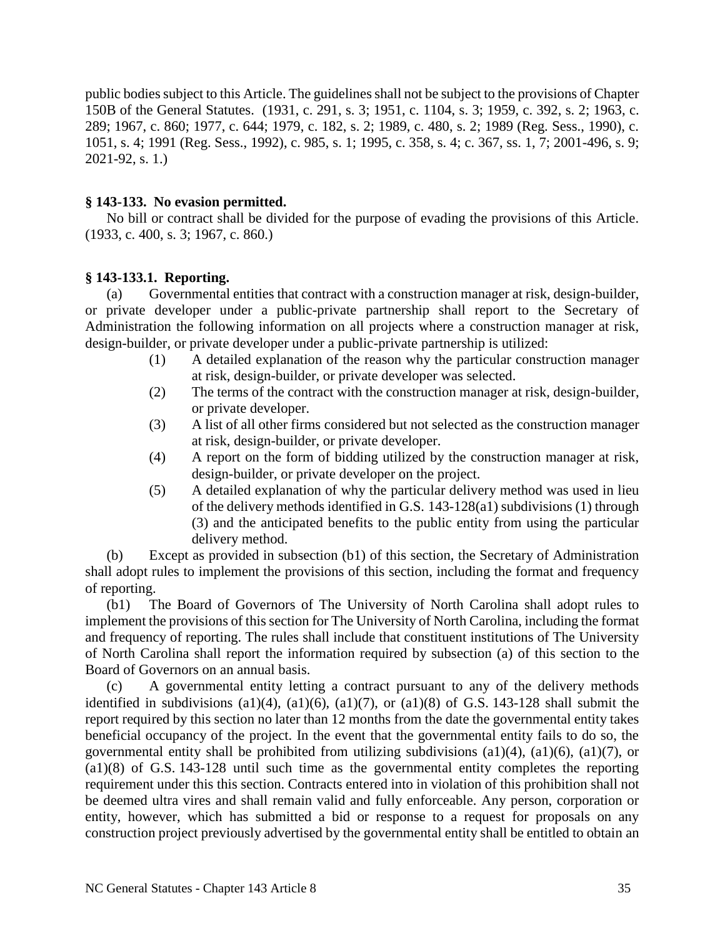public bodies subject to this Article. The guidelines shall not be subject to the provisions of Chapter 150B of the General Statutes. (1931, c. 291, s. 3; 1951, c. 1104, s. 3; 1959, c. 392, s. 2; 1963, c. 289; 1967, c. 860; 1977, c. 644; 1979, c. 182, s. 2; 1989, c. 480, s. 2; 1989 (Reg. Sess., 1990), c. 1051, s. 4; 1991 (Reg. Sess., 1992), c. 985, s. 1; 1995, c. 358, s. 4; c. 367, ss. 1, 7; 2001-496, s. 9; 2021-92, s. 1.)

## **§ 143-133. No evasion permitted.**

No bill or contract shall be divided for the purpose of evading the provisions of this Article. (1933, c. 400, s. 3; 1967, c. 860.)

## **§ 143-133.1. Reporting.**

(a) Governmental entities that contract with a construction manager at risk, design-builder, or private developer under a public-private partnership shall report to the Secretary of Administration the following information on all projects where a construction manager at risk, design-builder, or private developer under a public-private partnership is utilized:

- (1) A detailed explanation of the reason why the particular construction manager at risk, design-builder, or private developer was selected.
- (2) The terms of the contract with the construction manager at risk, design-builder, or private developer.
- (3) A list of all other firms considered but not selected as the construction manager at risk, design-builder, or private developer.
- (4) A report on the form of bidding utilized by the construction manager at risk, design-builder, or private developer on the project.
- (5) A detailed explanation of why the particular delivery method was used in lieu of the delivery methods identified in G.S. 143-128(a1) subdivisions (1) through (3) and the anticipated benefits to the public entity from using the particular delivery method.

(b) Except as provided in subsection (b1) of this section, the Secretary of Administration shall adopt rules to implement the provisions of this section, including the format and frequency of reporting.

(b1) The Board of Governors of The University of North Carolina shall adopt rules to implement the provisions of this section for The University of North Carolina, including the format and frequency of reporting. The rules shall include that constituent institutions of The University of North Carolina shall report the information required by subsection (a) of this section to the Board of Governors on an annual basis.

(c) A governmental entity letting a contract pursuant to any of the delivery methods identified in subdivisions (a1)(4), (a1)(6), (a1)(7), or (a1)(8) of G.S. 143-128 shall submit the report required by this section no later than 12 months from the date the governmental entity takes beneficial occupancy of the project. In the event that the governmental entity fails to do so, the governmental entity shall be prohibited from utilizing subdivisions  $(a1)(4)$ ,  $(a1)(6)$ ,  $(a1)(7)$ , or (a1)(8) of G.S. 143-128 until such time as the governmental entity completes the reporting requirement under this this section. Contracts entered into in violation of this prohibition shall not be deemed ultra vires and shall remain valid and fully enforceable. Any person, corporation or entity, however, which has submitted a bid or response to a request for proposals on any construction project previously advertised by the governmental entity shall be entitled to obtain an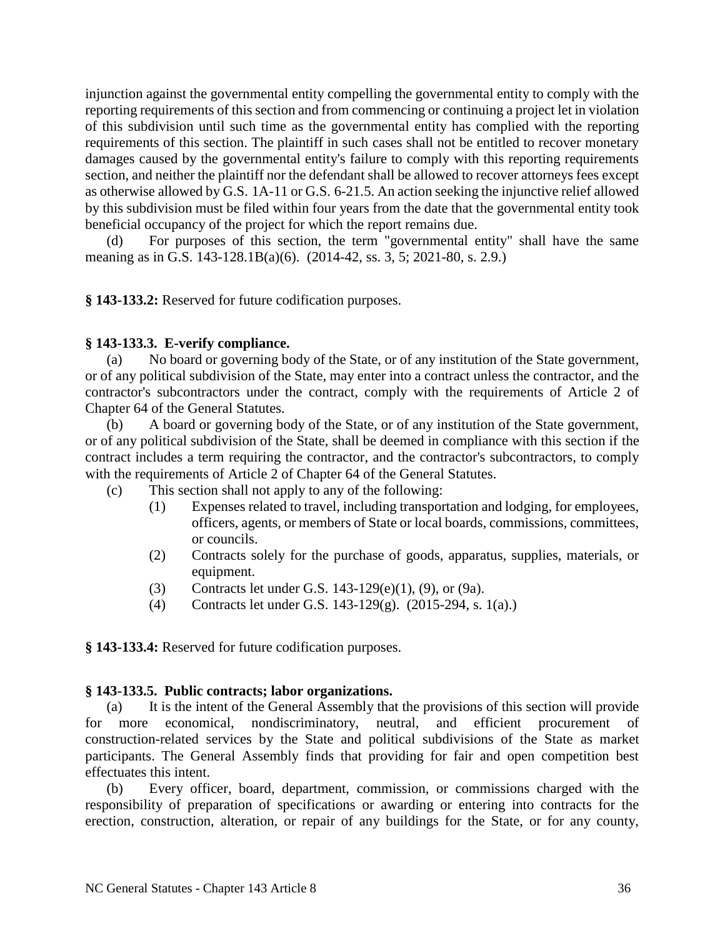injunction against the governmental entity compelling the governmental entity to comply with the reporting requirements of this section and from commencing or continuing a project let in violation of this subdivision until such time as the governmental entity has complied with the reporting requirements of this section. The plaintiff in such cases shall not be entitled to recover monetary damages caused by the governmental entity's failure to comply with this reporting requirements section, and neither the plaintiff nor the defendant shall be allowed to recover attorneys fees except as otherwise allowed by G.S. 1A-11 or G.S. 6-21.5. An action seeking the injunctive relief allowed by this subdivision must be filed within four years from the date that the governmental entity took beneficial occupancy of the project for which the report remains due.

For purposes of this section, the term "governmental entity" shall have the same meaning as in G.S. 143-128.1B(a)(6). (2014-42, ss. 3, 5; 2021-80, s. 2.9.)

**§ 143-133.2:** Reserved for future codification purposes.

## **§ 143-133.3. E-verify compliance.**

(a) No board or governing body of the State, or of any institution of the State government, or of any political subdivision of the State, may enter into a contract unless the contractor, and the contractor's subcontractors under the contract, comply with the requirements of Article 2 of Chapter 64 of the General Statutes.

(b) A board or governing body of the State, or of any institution of the State government, or of any political subdivision of the State, shall be deemed in compliance with this section if the contract includes a term requiring the contractor, and the contractor's subcontractors, to comply with the requirements of Article 2 of Chapter 64 of the General Statutes.

(c) This section shall not apply to any of the following:

- (1) Expenses related to travel, including transportation and lodging, for employees, officers, agents, or members of State or local boards, commissions, committees, or councils.
- (2) Contracts solely for the purchase of goods, apparatus, supplies, materials, or equipment.
- (3) Contracts let under G.S. 143-129(e)(1), (9), or (9a).
- (4) Contracts let under G.S. 143-129(g). (2015-294, s. 1(a).)

**§ 143-133.4:** Reserved for future codification purposes.

# **§ 143-133.5. Public contracts; labor organizations.**

(a) It is the intent of the General Assembly that the provisions of this section will provide for more economical, nondiscriminatory, neutral, and efficient procurement of construction-related services by the State and political subdivisions of the State as market participants. The General Assembly finds that providing for fair and open competition best effectuates this intent.

(b) Every officer, board, department, commission, or commissions charged with the responsibility of preparation of specifications or awarding or entering into contracts for the erection, construction, alteration, or repair of any buildings for the State, or for any county,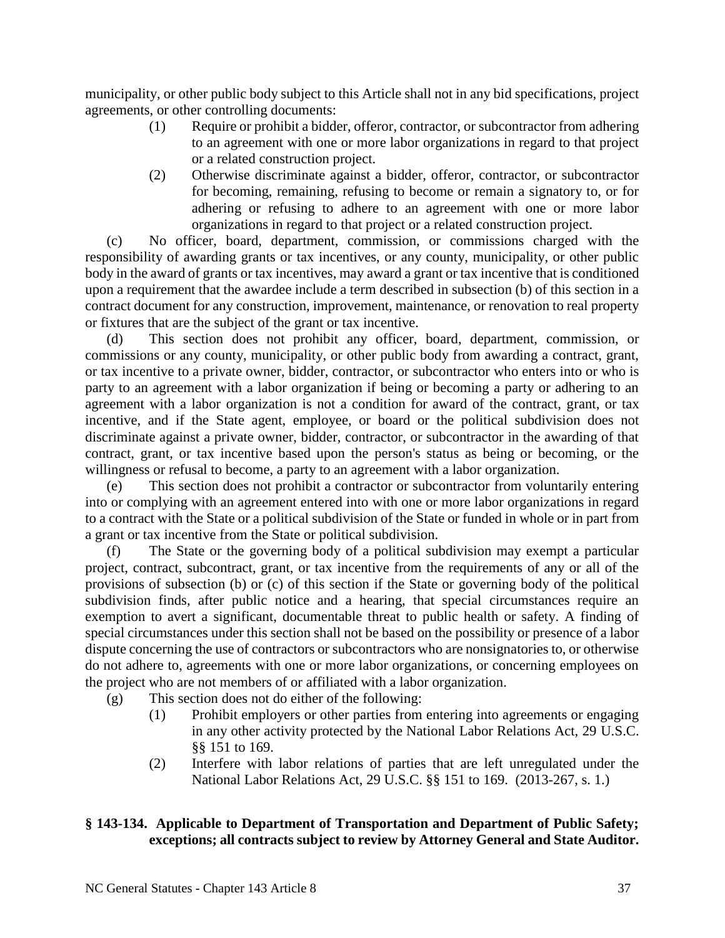municipality, or other public body subject to this Article shall not in any bid specifications, project agreements, or other controlling documents:

- (1) Require or prohibit a bidder, offeror, contractor, or subcontractor from adhering to an agreement with one or more labor organizations in regard to that project or a related construction project.
- (2) Otherwise discriminate against a bidder, offeror, contractor, or subcontractor for becoming, remaining, refusing to become or remain a signatory to, or for adhering or refusing to adhere to an agreement with one or more labor organizations in regard to that project or a related construction project.

(c) No officer, board, department, commission, or commissions charged with the responsibility of awarding grants or tax incentives, or any county, municipality, or other public body in the award of grants or tax incentives, may award a grant or tax incentive that is conditioned upon a requirement that the awardee include a term described in subsection (b) of this section in a contract document for any construction, improvement, maintenance, or renovation to real property or fixtures that are the subject of the grant or tax incentive.

(d) This section does not prohibit any officer, board, department, commission, or commissions or any county, municipality, or other public body from awarding a contract, grant, or tax incentive to a private owner, bidder, contractor, or subcontractor who enters into or who is party to an agreement with a labor organization if being or becoming a party or adhering to an agreement with a labor organization is not a condition for award of the contract, grant, or tax incentive, and if the State agent, employee, or board or the political subdivision does not discriminate against a private owner, bidder, contractor, or subcontractor in the awarding of that contract, grant, or tax incentive based upon the person's status as being or becoming, or the willingness or refusal to become, a party to an agreement with a labor organization.

(e) This section does not prohibit a contractor or subcontractor from voluntarily entering into or complying with an agreement entered into with one or more labor organizations in regard to a contract with the State or a political subdivision of the State or funded in whole or in part from a grant or tax incentive from the State or political subdivision.

(f) The State or the governing body of a political subdivision may exempt a particular project, contract, subcontract, grant, or tax incentive from the requirements of any or all of the provisions of subsection (b) or (c) of this section if the State or governing body of the political subdivision finds, after public notice and a hearing, that special circumstances require an exemption to avert a significant, documentable threat to public health or safety. A finding of special circumstances under this section shall not be based on the possibility or presence of a labor dispute concerning the use of contractors or subcontractors who are nonsignatories to, or otherwise do not adhere to, agreements with one or more labor organizations, or concerning employees on the project who are not members of or affiliated with a labor organization.

(g) This section does not do either of the following:

- (1) Prohibit employers or other parties from entering into agreements or engaging in any other activity protected by the National Labor Relations Act, 29 U.S.C. §§ 151 to 169.
	- (2) Interfere with labor relations of parties that are left unregulated under the National Labor Relations Act, 29 U.S.C. §§ 151 to 169. (2013-267, s. 1.)

# **§ 143-134. Applicable to Department of Transportation and Department of Public Safety; exceptions; all contracts subject to review by Attorney General and State Auditor.**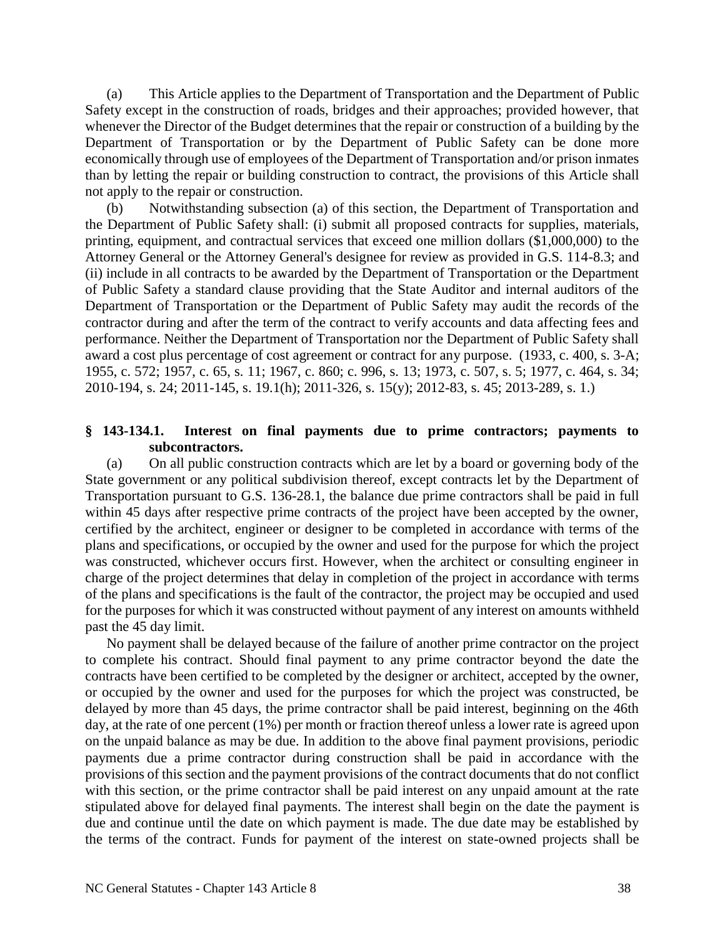(a) This Article applies to the Department of Transportation and the Department of Public Safety except in the construction of roads, bridges and their approaches; provided however, that whenever the Director of the Budget determines that the repair or construction of a building by the Department of Transportation or by the Department of Public Safety can be done more economically through use of employees of the Department of Transportation and/or prison inmates than by letting the repair or building construction to contract, the provisions of this Article shall not apply to the repair or construction.

(b) Notwithstanding subsection (a) of this section, the Department of Transportation and the Department of Public Safety shall: (i) submit all proposed contracts for supplies, materials, printing, equipment, and contractual services that exceed one million dollars (\$1,000,000) to the Attorney General or the Attorney General's designee for review as provided in G.S. 114-8.3; and (ii) include in all contracts to be awarded by the Department of Transportation or the Department of Public Safety a standard clause providing that the State Auditor and internal auditors of the Department of Transportation or the Department of Public Safety may audit the records of the contractor during and after the term of the contract to verify accounts and data affecting fees and performance. Neither the Department of Transportation nor the Department of Public Safety shall award a cost plus percentage of cost agreement or contract for any purpose. (1933, c. 400, s. 3-A; 1955, c. 572; 1957, c. 65, s. 11; 1967, c. 860; c. 996, s. 13; 1973, c. 507, s. 5; 1977, c. 464, s. 34; 2010-194, s. 24; 2011-145, s. 19.1(h); 2011-326, s. 15(y); 2012-83, s. 45; 2013-289, s. 1.)

## **§ 143-134.1. Interest on final payments due to prime contractors; payments to subcontractors.**

(a) On all public construction contracts which are let by a board or governing body of the State government or any political subdivision thereof, except contracts let by the Department of Transportation pursuant to G.S. 136-28.1, the balance due prime contractors shall be paid in full within 45 days after respective prime contracts of the project have been accepted by the owner, certified by the architect, engineer or designer to be completed in accordance with terms of the plans and specifications, or occupied by the owner and used for the purpose for which the project was constructed, whichever occurs first. However, when the architect or consulting engineer in charge of the project determines that delay in completion of the project in accordance with terms of the plans and specifications is the fault of the contractor, the project may be occupied and used for the purposes for which it was constructed without payment of any interest on amounts withheld past the 45 day limit.

No payment shall be delayed because of the failure of another prime contractor on the project to complete his contract. Should final payment to any prime contractor beyond the date the contracts have been certified to be completed by the designer or architect, accepted by the owner, or occupied by the owner and used for the purposes for which the project was constructed, be delayed by more than 45 days, the prime contractor shall be paid interest, beginning on the 46th day, at the rate of one percent (1%) per month or fraction thereof unless a lower rate is agreed upon on the unpaid balance as may be due. In addition to the above final payment provisions, periodic payments due a prime contractor during construction shall be paid in accordance with the provisions of this section and the payment provisions of the contract documents that do not conflict with this section, or the prime contractor shall be paid interest on any unpaid amount at the rate stipulated above for delayed final payments. The interest shall begin on the date the payment is due and continue until the date on which payment is made. The due date may be established by the terms of the contract. Funds for payment of the interest on state-owned projects shall be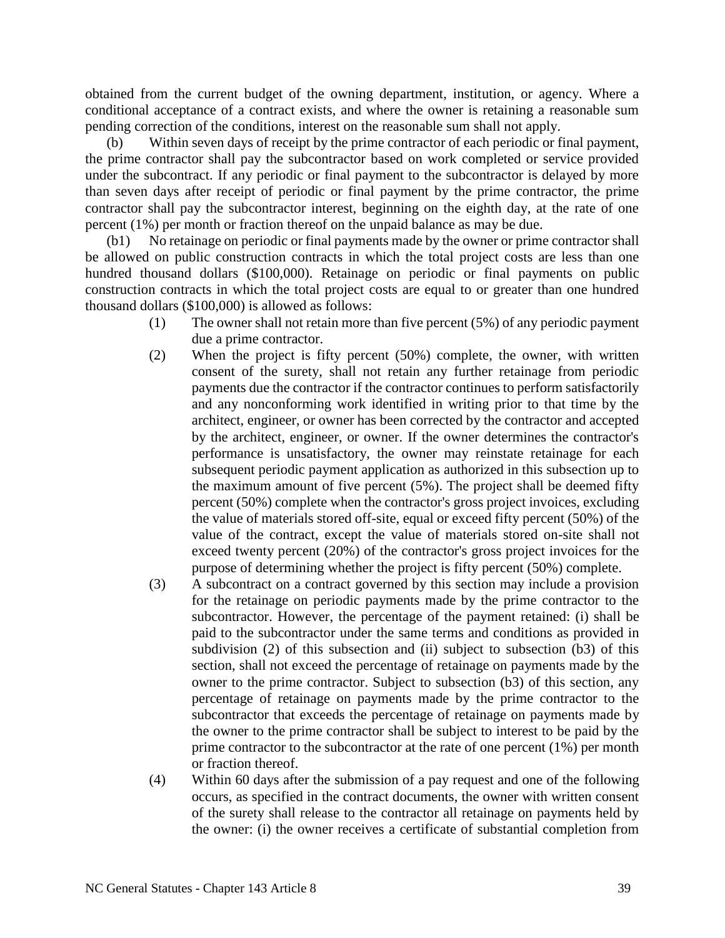obtained from the current budget of the owning department, institution, or agency. Where a conditional acceptance of a contract exists, and where the owner is retaining a reasonable sum pending correction of the conditions, interest on the reasonable sum shall not apply.

Within seven days of receipt by the prime contractor of each periodic or final payment, the prime contractor shall pay the subcontractor based on work completed or service provided under the subcontract. If any periodic or final payment to the subcontractor is delayed by more than seven days after receipt of periodic or final payment by the prime contractor, the prime contractor shall pay the subcontractor interest, beginning on the eighth day, at the rate of one percent (1%) per month or fraction thereof on the unpaid balance as may be due.

(b1) No retainage on periodic or final payments made by the owner or prime contractor shall be allowed on public construction contracts in which the total project costs are less than one hundred thousand dollars (\$100,000). Retainage on periodic or final payments on public construction contracts in which the total project costs are equal to or greater than one hundred thousand dollars (\$100,000) is allowed as follows:

- (1) The owner shall not retain more than five percent (5%) of any periodic payment due a prime contractor.
- (2) When the project is fifty percent (50%) complete, the owner, with written consent of the surety, shall not retain any further retainage from periodic payments due the contractor if the contractor continues to perform satisfactorily and any nonconforming work identified in writing prior to that time by the architect, engineer, or owner has been corrected by the contractor and accepted by the architect, engineer, or owner. If the owner determines the contractor's performance is unsatisfactory, the owner may reinstate retainage for each subsequent periodic payment application as authorized in this subsection up to the maximum amount of five percent (5%). The project shall be deemed fifty percent (50%) complete when the contractor's gross project invoices, excluding the value of materials stored off-site, equal or exceed fifty percent (50%) of the value of the contract, except the value of materials stored on-site shall not exceed twenty percent (20%) of the contractor's gross project invoices for the purpose of determining whether the project is fifty percent (50%) complete.
- (3) A subcontract on a contract governed by this section may include a provision for the retainage on periodic payments made by the prime contractor to the subcontractor. However, the percentage of the payment retained: (i) shall be paid to the subcontractor under the same terms and conditions as provided in subdivision (2) of this subsection and (ii) subject to subsection (b3) of this section, shall not exceed the percentage of retainage on payments made by the owner to the prime contractor. Subject to subsection (b3) of this section, any percentage of retainage on payments made by the prime contractor to the subcontractor that exceeds the percentage of retainage on payments made by the owner to the prime contractor shall be subject to interest to be paid by the prime contractor to the subcontractor at the rate of one percent (1%) per month or fraction thereof.
- (4) Within 60 days after the submission of a pay request and one of the following occurs, as specified in the contract documents, the owner with written consent of the surety shall release to the contractor all retainage on payments held by the owner: (i) the owner receives a certificate of substantial completion from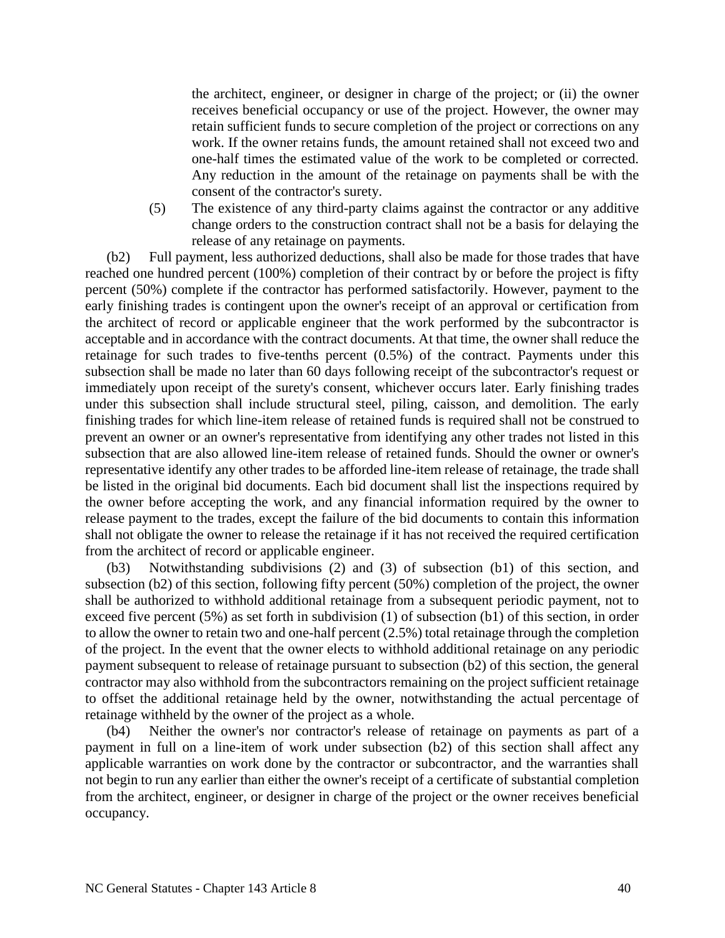the architect, engineer, or designer in charge of the project; or (ii) the owner receives beneficial occupancy or use of the project. However, the owner may retain sufficient funds to secure completion of the project or corrections on any work. If the owner retains funds, the amount retained shall not exceed two and one-half times the estimated value of the work to be completed or corrected. Any reduction in the amount of the retainage on payments shall be with the consent of the contractor's surety.

(5) The existence of any third-party claims against the contractor or any additive change orders to the construction contract shall not be a basis for delaying the release of any retainage on payments.

(b2) Full payment, less authorized deductions, shall also be made for those trades that have reached one hundred percent (100%) completion of their contract by or before the project is fifty percent (50%) complete if the contractor has performed satisfactorily. However, payment to the early finishing trades is contingent upon the owner's receipt of an approval or certification from the architect of record or applicable engineer that the work performed by the subcontractor is acceptable and in accordance with the contract documents. At that time, the owner shall reduce the retainage for such trades to five-tenths percent (0.5%) of the contract. Payments under this subsection shall be made no later than 60 days following receipt of the subcontractor's request or immediately upon receipt of the surety's consent, whichever occurs later. Early finishing trades under this subsection shall include structural steel, piling, caisson, and demolition. The early finishing trades for which line-item release of retained funds is required shall not be construed to prevent an owner or an owner's representative from identifying any other trades not listed in this subsection that are also allowed line-item release of retained funds. Should the owner or owner's representative identify any other trades to be afforded line-item release of retainage, the trade shall be listed in the original bid documents. Each bid document shall list the inspections required by the owner before accepting the work, and any financial information required by the owner to release payment to the trades, except the failure of the bid documents to contain this information shall not obligate the owner to release the retainage if it has not received the required certification from the architect of record or applicable engineer.

(b3) Notwithstanding subdivisions (2) and (3) of subsection (b1) of this section, and subsection (b2) of this section, following fifty percent (50%) completion of the project, the owner shall be authorized to withhold additional retainage from a subsequent periodic payment, not to exceed five percent (5%) as set forth in subdivision (1) of subsection (b1) of this section, in order to allow the owner to retain two and one-half percent (2.5%) total retainage through the completion of the project. In the event that the owner elects to withhold additional retainage on any periodic payment subsequent to release of retainage pursuant to subsection (b2) of this section, the general contractor may also withhold from the subcontractors remaining on the project sufficient retainage to offset the additional retainage held by the owner, notwithstanding the actual percentage of retainage withheld by the owner of the project as a whole.

(b4) Neither the owner's nor contractor's release of retainage on payments as part of a payment in full on a line-item of work under subsection (b2) of this section shall affect any applicable warranties on work done by the contractor or subcontractor, and the warranties shall not begin to run any earlier than either the owner's receipt of a certificate of substantial completion from the architect, engineer, or designer in charge of the project or the owner receives beneficial occupancy.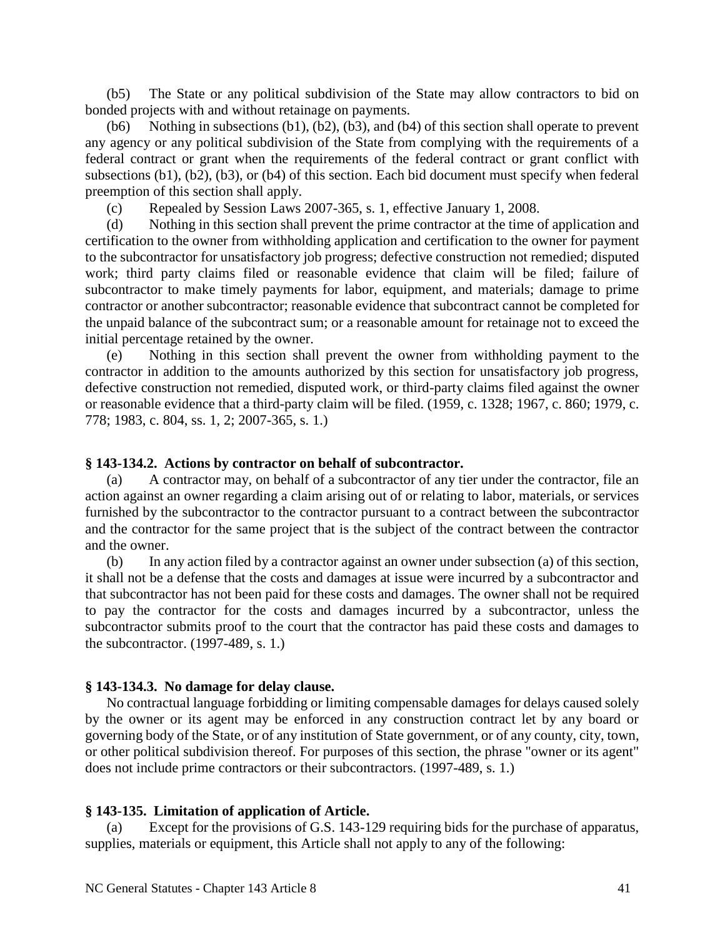(b5) The State or any political subdivision of the State may allow contractors to bid on bonded projects with and without retainage on payments.

(b6) Nothing in subsections (b1), (b2), (b3), and (b4) of this section shall operate to prevent any agency or any political subdivision of the State from complying with the requirements of a federal contract or grant when the requirements of the federal contract or grant conflict with subsections (b1), (b2), (b3), or (b4) of this section. Each bid document must specify when federal preemption of this section shall apply.

(c) Repealed by Session Laws 2007-365, s. 1, effective January 1, 2008.

(d) Nothing in this section shall prevent the prime contractor at the time of application and certification to the owner from withholding application and certification to the owner for payment to the subcontractor for unsatisfactory job progress; defective construction not remedied; disputed work; third party claims filed or reasonable evidence that claim will be filed; failure of subcontractor to make timely payments for labor, equipment, and materials; damage to prime contractor or another subcontractor; reasonable evidence that subcontract cannot be completed for the unpaid balance of the subcontract sum; or a reasonable amount for retainage not to exceed the initial percentage retained by the owner.

(e) Nothing in this section shall prevent the owner from withholding payment to the contractor in addition to the amounts authorized by this section for unsatisfactory job progress, defective construction not remedied, disputed work, or third-party claims filed against the owner or reasonable evidence that a third-party claim will be filed. (1959, c. 1328; 1967, c. 860; 1979, c. 778; 1983, c. 804, ss. 1, 2; 2007-365, s. 1.)

#### **§ 143-134.2. Actions by contractor on behalf of subcontractor.**

(a) A contractor may, on behalf of a subcontractor of any tier under the contractor, file an action against an owner regarding a claim arising out of or relating to labor, materials, or services furnished by the subcontractor to the contractor pursuant to a contract between the subcontractor and the contractor for the same project that is the subject of the contract between the contractor and the owner.

(b) In any action filed by a contractor against an owner under subsection (a) of this section, it shall not be a defense that the costs and damages at issue were incurred by a subcontractor and that subcontractor has not been paid for these costs and damages. The owner shall not be required to pay the contractor for the costs and damages incurred by a subcontractor, unless the subcontractor submits proof to the court that the contractor has paid these costs and damages to the subcontractor. (1997-489, s. 1.)

#### **§ 143-134.3. No damage for delay clause.**

No contractual language forbidding or limiting compensable damages for delays caused solely by the owner or its agent may be enforced in any construction contract let by any board or governing body of the State, or of any institution of State government, or of any county, city, town, or other political subdivision thereof. For purposes of this section, the phrase "owner or its agent" does not include prime contractors or their subcontractors. (1997-489, s. 1.)

## **§ 143-135. Limitation of application of Article.**

(a) Except for the provisions of G.S. 143-129 requiring bids for the purchase of apparatus, supplies, materials or equipment, this Article shall not apply to any of the following: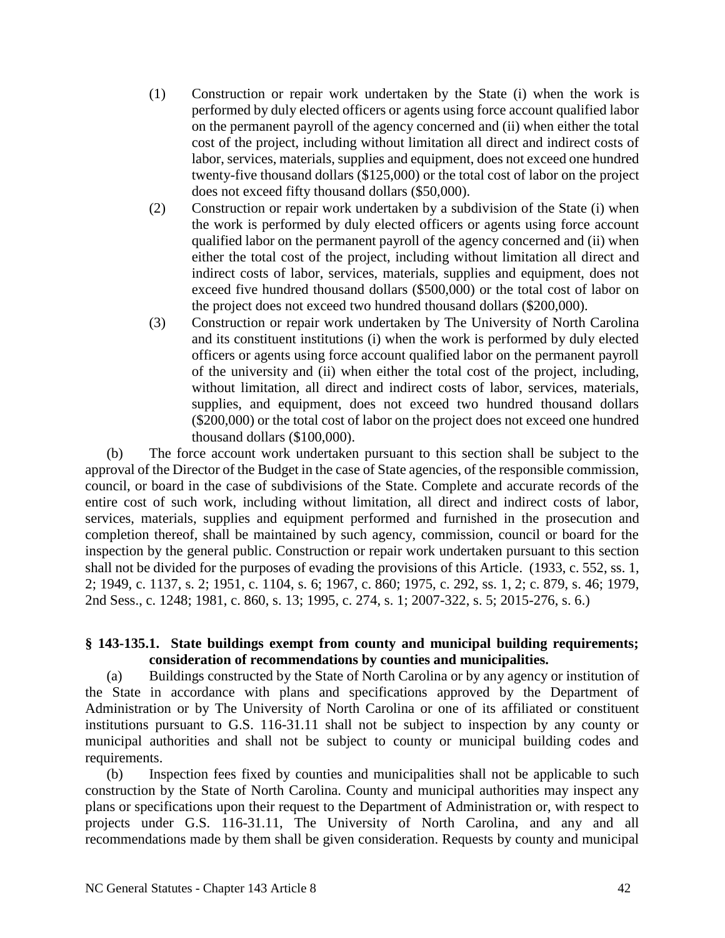- (1) Construction or repair work undertaken by the State (i) when the work is performed by duly elected officers or agents using force account qualified labor on the permanent payroll of the agency concerned and (ii) when either the total cost of the project, including without limitation all direct and indirect costs of labor, services, materials, supplies and equipment, does not exceed one hundred twenty-five thousand dollars (\$125,000) or the total cost of labor on the project does not exceed fifty thousand dollars (\$50,000).
- (2) Construction or repair work undertaken by a subdivision of the State (i) when the work is performed by duly elected officers or agents using force account qualified labor on the permanent payroll of the agency concerned and (ii) when either the total cost of the project, including without limitation all direct and indirect costs of labor, services, materials, supplies and equipment, does not exceed five hundred thousand dollars (\$500,000) or the total cost of labor on the project does not exceed two hundred thousand dollars (\$200,000).
- (3) Construction or repair work undertaken by The University of North Carolina and its constituent institutions (i) when the work is performed by duly elected officers or agents using force account qualified labor on the permanent payroll of the university and (ii) when either the total cost of the project, including, without limitation, all direct and indirect costs of labor, services, materials, supplies, and equipment, does not exceed two hundred thousand dollars (\$200,000) or the total cost of labor on the project does not exceed one hundred thousand dollars (\$100,000).

(b) The force account work undertaken pursuant to this section shall be subject to the approval of the Director of the Budget in the case of State agencies, of the responsible commission, council, or board in the case of subdivisions of the State. Complete and accurate records of the entire cost of such work, including without limitation, all direct and indirect costs of labor, services, materials, supplies and equipment performed and furnished in the prosecution and completion thereof, shall be maintained by such agency, commission, council or board for the inspection by the general public. Construction or repair work undertaken pursuant to this section shall not be divided for the purposes of evading the provisions of this Article. (1933, c. 552, ss. 1, 2; 1949, c. 1137, s. 2; 1951, c. 1104, s. 6; 1967, c. 860; 1975, c. 292, ss. 1, 2; c. 879, s. 46; 1979, 2nd Sess., c. 1248; 1981, c. 860, s. 13; 1995, c. 274, s. 1; 2007-322, s. 5; 2015-276, s. 6.)

### **§ 143-135.1. State buildings exempt from county and municipal building requirements; consideration of recommendations by counties and municipalities.**

(a) Buildings constructed by the State of North Carolina or by any agency or institution of the State in accordance with plans and specifications approved by the Department of Administration or by The University of North Carolina or one of its affiliated or constituent institutions pursuant to G.S. 116-31.11 shall not be subject to inspection by any county or municipal authorities and shall not be subject to county or municipal building codes and requirements.

(b) Inspection fees fixed by counties and municipalities shall not be applicable to such construction by the State of North Carolina. County and municipal authorities may inspect any plans or specifications upon their request to the Department of Administration or, with respect to projects under G.S. 116-31.11, The University of North Carolina, and any and all recommendations made by them shall be given consideration. Requests by county and municipal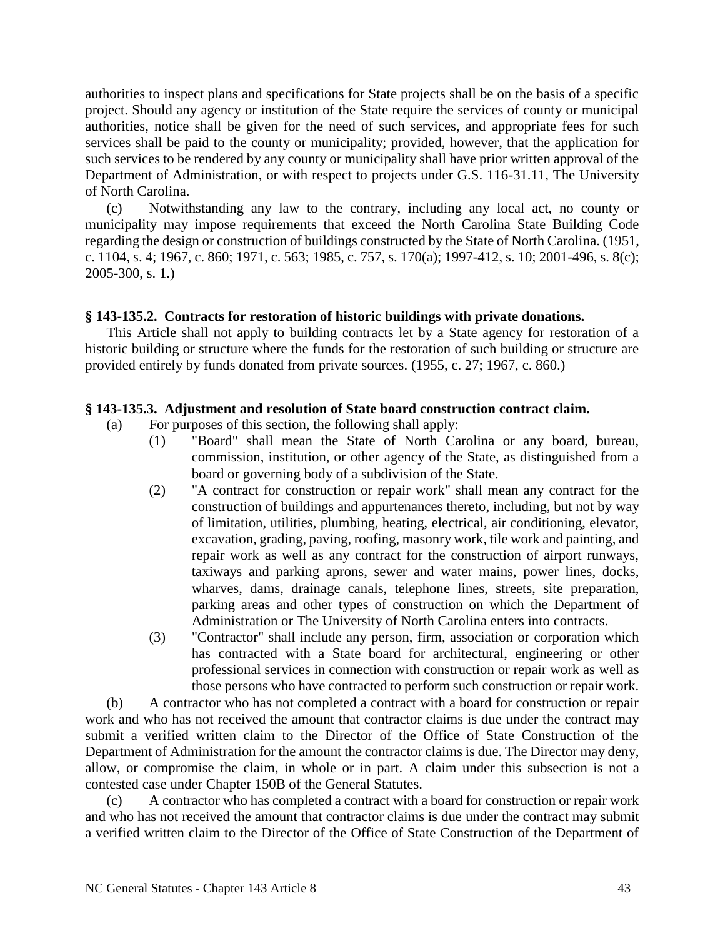authorities to inspect plans and specifications for State projects shall be on the basis of a specific project. Should any agency or institution of the State require the services of county or municipal authorities, notice shall be given for the need of such services, and appropriate fees for such services shall be paid to the county or municipality; provided, however, that the application for such services to be rendered by any county or municipality shall have prior written approval of the Department of Administration, or with respect to projects under G.S. 116-31.11, The University of North Carolina.

(c) Notwithstanding any law to the contrary, including any local act, no county or municipality may impose requirements that exceed the North Carolina State Building Code regarding the design or construction of buildings constructed by the State of North Carolina. (1951, c. 1104, s. 4; 1967, c. 860; 1971, c. 563; 1985, c. 757, s. 170(a); 1997-412, s. 10; 2001-496, s. 8(c); 2005-300, s. 1.)

## **§ 143-135.2. Contracts for restoration of historic buildings with private donations.**

This Article shall not apply to building contracts let by a State agency for restoration of a historic building or structure where the funds for the restoration of such building or structure are provided entirely by funds donated from private sources. (1955, c. 27; 1967, c. 860.)

## **§ 143-135.3. Adjustment and resolution of State board construction contract claim.**

- (a) For purposes of this section, the following shall apply:
	- (1) "Board" shall mean the State of North Carolina or any board, bureau, commission, institution, or other agency of the State, as distinguished from a board or governing body of a subdivision of the State.
		- (2) "A contract for construction or repair work" shall mean any contract for the construction of buildings and appurtenances thereto, including, but not by way of limitation, utilities, plumbing, heating, electrical, air conditioning, elevator, excavation, grading, paving, roofing, masonry work, tile work and painting, and repair work as well as any contract for the construction of airport runways, taxiways and parking aprons, sewer and water mains, power lines, docks, wharves, dams, drainage canals, telephone lines, streets, site preparation, parking areas and other types of construction on which the Department of Administration or The University of North Carolina enters into contracts.
		- (3) "Contractor" shall include any person, firm, association or corporation which has contracted with a State board for architectural, engineering or other professional services in connection with construction or repair work as well as those persons who have contracted to perform such construction or repair work.

(b) A contractor who has not completed a contract with a board for construction or repair work and who has not received the amount that contractor claims is due under the contract may submit a verified written claim to the Director of the Office of State Construction of the Department of Administration for the amount the contractor claims is due. The Director may deny, allow, or compromise the claim, in whole or in part. A claim under this subsection is not a contested case under Chapter 150B of the General Statutes.

(c) A contractor who has completed a contract with a board for construction or repair work and who has not received the amount that contractor claims is due under the contract may submit a verified written claim to the Director of the Office of State Construction of the Department of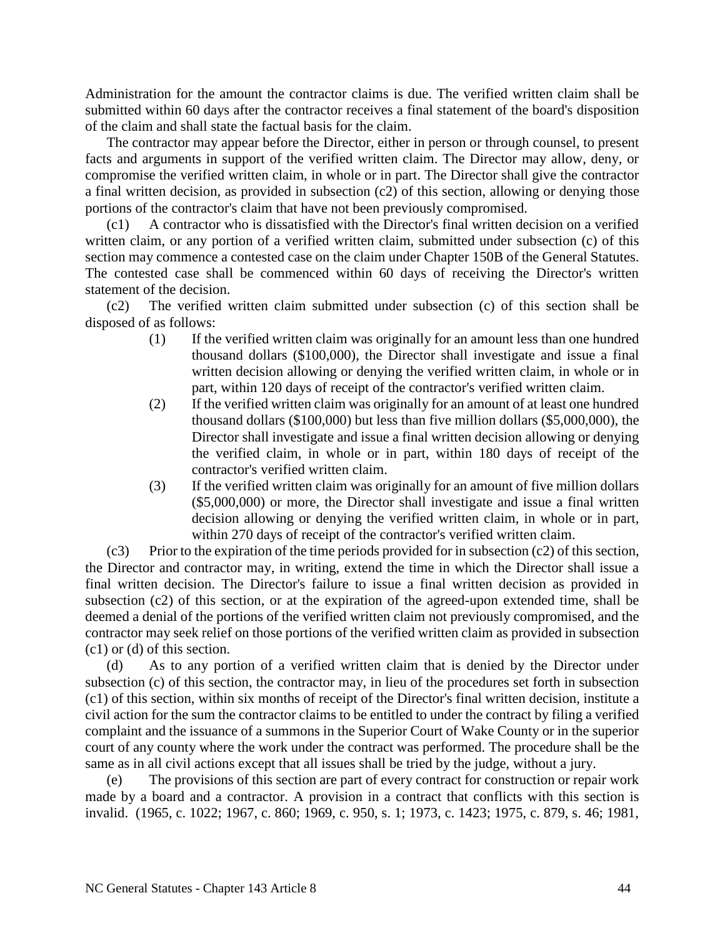Administration for the amount the contractor claims is due. The verified written claim shall be submitted within 60 days after the contractor receives a final statement of the board's disposition of the claim and shall state the factual basis for the claim.

The contractor may appear before the Director, either in person or through counsel, to present facts and arguments in support of the verified written claim. The Director may allow, deny, or compromise the verified written claim, in whole or in part. The Director shall give the contractor a final written decision, as provided in subsection (c2) of this section, allowing or denying those portions of the contractor's claim that have not been previously compromised.

(c1) A contractor who is dissatisfied with the Director's final written decision on a verified written claim, or any portion of a verified written claim, submitted under subsection (c) of this section may commence a contested case on the claim under Chapter 150B of the General Statutes. The contested case shall be commenced within 60 days of receiving the Director's written statement of the decision.

(c2) The verified written claim submitted under subsection (c) of this section shall be disposed of as follows:

- (1) If the verified written claim was originally for an amount less than one hundred thousand dollars (\$100,000), the Director shall investigate and issue a final written decision allowing or denying the verified written claim, in whole or in part, within 120 days of receipt of the contractor's verified written claim.
- (2) If the verified written claim was originally for an amount of at least one hundred thousand dollars (\$100,000) but less than five million dollars (\$5,000,000), the Director shall investigate and issue a final written decision allowing or denying the verified claim, in whole or in part, within 180 days of receipt of the contractor's verified written claim.
- (3) If the verified written claim was originally for an amount of five million dollars (\$5,000,000) or more, the Director shall investigate and issue a final written decision allowing or denying the verified written claim, in whole or in part, within 270 days of receipt of the contractor's verified written claim.

 $(c3)$  Prior to the expiration of the time periods provided for in subsection  $(c2)$  of this section, the Director and contractor may, in writing, extend the time in which the Director shall issue a final written decision. The Director's failure to issue a final written decision as provided in subsection (c2) of this section, or at the expiration of the agreed-upon extended time, shall be deemed a denial of the portions of the verified written claim not previously compromised, and the contractor may seek relief on those portions of the verified written claim as provided in subsection (c1) or (d) of this section.

(d) As to any portion of a verified written claim that is denied by the Director under subsection (c) of this section, the contractor may, in lieu of the procedures set forth in subsection (c1) of this section, within six months of receipt of the Director's final written decision, institute a civil action for the sum the contractor claims to be entitled to under the contract by filing a verified complaint and the issuance of a summons in the Superior Court of Wake County or in the superior court of any county where the work under the contract was performed. The procedure shall be the same as in all civil actions except that all issues shall be tried by the judge, without a jury.

(e) The provisions of this section are part of every contract for construction or repair work made by a board and a contractor. A provision in a contract that conflicts with this section is invalid. (1965, c. 1022; 1967, c. 860; 1969, c. 950, s. 1; 1973, c. 1423; 1975, c. 879, s. 46; 1981,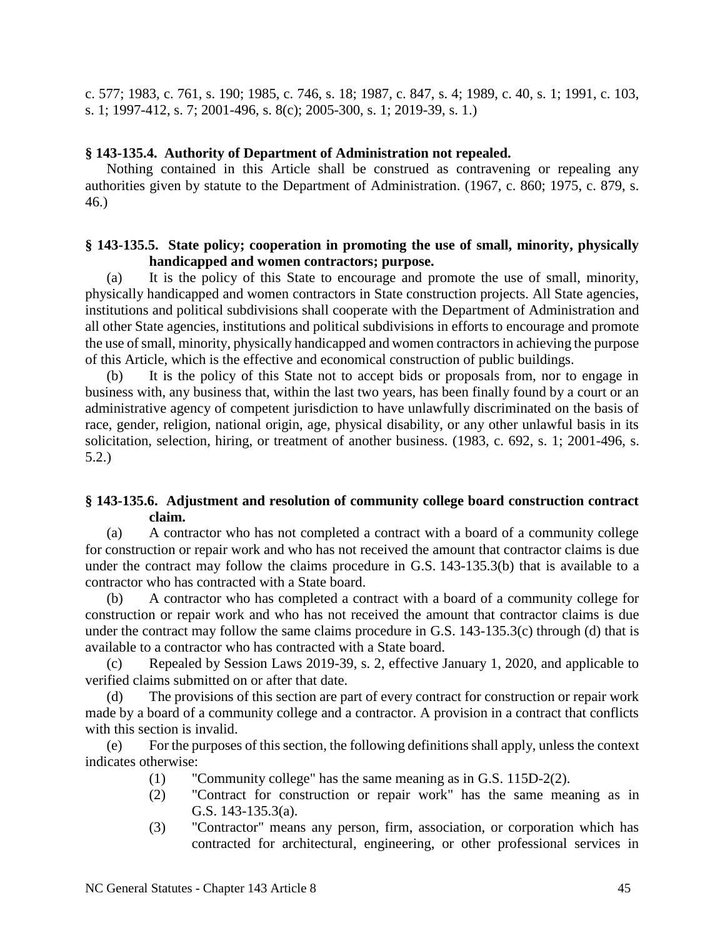c. 577; 1983, c. 761, s. 190; 1985, c. 746, s. 18; 1987, c. 847, s. 4; 1989, c. 40, s. 1; 1991, c. 103, s. 1; 1997-412, s. 7; 2001-496, s. 8(c); 2005-300, s. 1; 2019-39, s. 1.)

### **§ 143-135.4. Authority of Department of Administration not repealed.**

Nothing contained in this Article shall be construed as contravening or repealing any authorities given by statute to the Department of Administration. (1967, c. 860; 1975, c. 879, s. 46.)

## **§ 143-135.5. State policy; cooperation in promoting the use of small, minority, physically handicapped and women contractors; purpose.**

(a) It is the policy of this State to encourage and promote the use of small, minority, physically handicapped and women contractors in State construction projects. All State agencies, institutions and political subdivisions shall cooperate with the Department of Administration and all other State agencies, institutions and political subdivisions in efforts to encourage and promote the use of small, minority, physically handicapped and women contractors in achieving the purpose of this Article, which is the effective and economical construction of public buildings.

(b) It is the policy of this State not to accept bids or proposals from, nor to engage in business with, any business that, within the last two years, has been finally found by a court or an administrative agency of competent jurisdiction to have unlawfully discriminated on the basis of race, gender, religion, national origin, age, physical disability, or any other unlawful basis in its solicitation, selection, hiring, or treatment of another business. (1983, c. 692, s. 1; 2001-496, s. 5.2.)

## **§ 143-135.6. Adjustment and resolution of community college board construction contract claim.**

(a) A contractor who has not completed a contract with a board of a community college for construction or repair work and who has not received the amount that contractor claims is due under the contract may follow the claims procedure in G.S. 143-135.3(b) that is available to a contractor who has contracted with a State board.

(b) A contractor who has completed a contract with a board of a community college for construction or repair work and who has not received the amount that contractor claims is due under the contract may follow the same claims procedure in G.S. 143-135.3(c) through (d) that is available to a contractor who has contracted with a State board.

(c) Repealed by Session Laws 2019-39, s. 2, effective January 1, 2020, and applicable to verified claims submitted on or after that date.

(d) The provisions of this section are part of every contract for construction or repair work made by a board of a community college and a contractor. A provision in a contract that conflicts with this section is invalid.

(e) For the purposes of this section, the following definitions shall apply, unless the context indicates otherwise:

- (1) "Community college" has the same meaning as in G.S. 115D-2(2).
- (2) "Contract for construction or repair work" has the same meaning as in G.S. 143-135.3(a).
- (3) "Contractor" means any person, firm, association, or corporation which has contracted for architectural, engineering, or other professional services in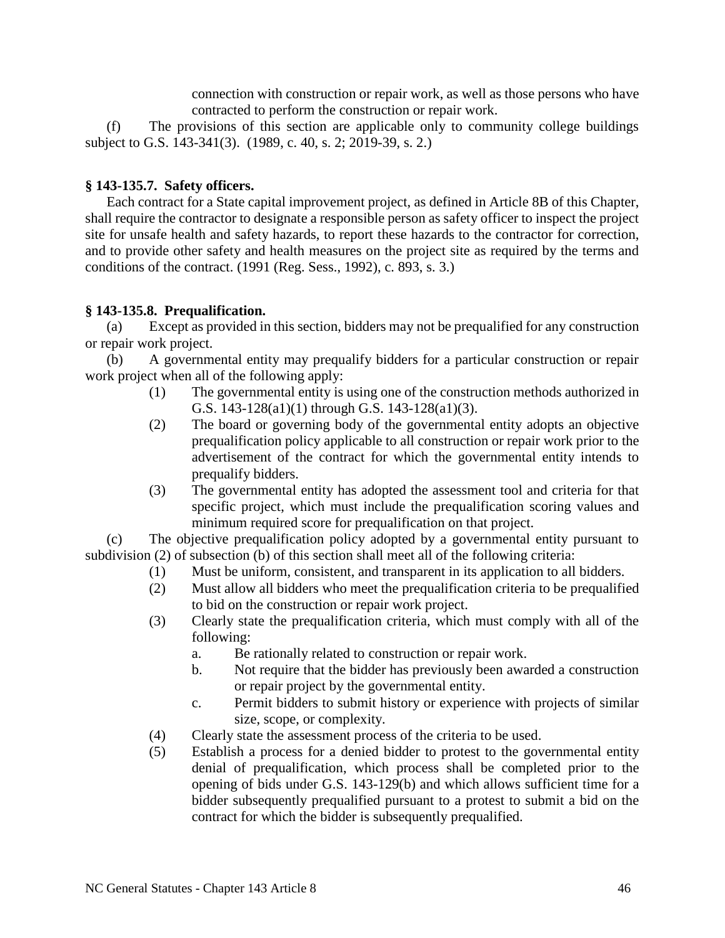connection with construction or repair work, as well as those persons who have contracted to perform the construction or repair work.

(f) The provisions of this section are applicable only to community college buildings subject to G.S. 143-341(3). (1989, c. 40, s. 2; 2019-39, s. 2.)

## **§ 143-135.7. Safety officers.**

Each contract for a State capital improvement project, as defined in Article 8B of this Chapter, shall require the contractor to designate a responsible person as safety officer to inspect the project site for unsafe health and safety hazards, to report these hazards to the contractor for correction, and to provide other safety and health measures on the project site as required by the terms and conditions of the contract. (1991 (Reg. Sess., 1992), c. 893, s. 3.)

## **§ 143-135.8. Prequalification.**

(a) Except as provided in this section, bidders may not be prequalified for any construction or repair work project.

(b) A governmental entity may prequalify bidders for a particular construction or repair work project when all of the following apply:

- (1) The governmental entity is using one of the construction methods authorized in G.S. 143-128(a1)(1) through G.S. 143-128(a1)(3).
- (2) The board or governing body of the governmental entity adopts an objective prequalification policy applicable to all construction or repair work prior to the advertisement of the contract for which the governmental entity intends to prequalify bidders.
- (3) The governmental entity has adopted the assessment tool and criteria for that specific project, which must include the prequalification scoring values and minimum required score for prequalification on that project.

(c) The objective prequalification policy adopted by a governmental entity pursuant to subdivision (2) of subsection (b) of this section shall meet all of the following criteria:

- (1) Must be uniform, consistent, and transparent in its application to all bidders.
- (2) Must allow all bidders who meet the prequalification criteria to be prequalified to bid on the construction or repair work project.
- (3) Clearly state the prequalification criteria, which must comply with all of the following:
	- a. Be rationally related to construction or repair work.
	- b. Not require that the bidder has previously been awarded a construction or repair project by the governmental entity.
	- c. Permit bidders to submit history or experience with projects of similar size, scope, or complexity.
- (4) Clearly state the assessment process of the criteria to be used.
- (5) Establish a process for a denied bidder to protest to the governmental entity denial of prequalification, which process shall be completed prior to the opening of bids under G.S. 143-129(b) and which allows sufficient time for a bidder subsequently prequalified pursuant to a protest to submit a bid on the contract for which the bidder is subsequently prequalified.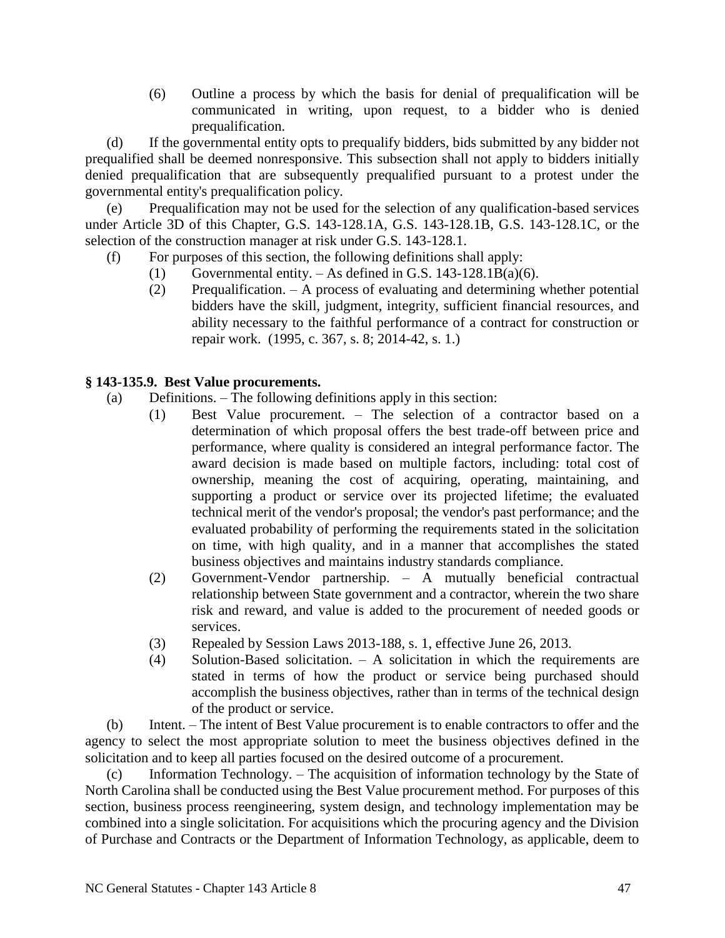(6) Outline a process by which the basis for denial of prequalification will be communicated in writing, upon request, to a bidder who is denied prequalification.

(d) If the governmental entity opts to prequalify bidders, bids submitted by any bidder not prequalified shall be deemed nonresponsive. This subsection shall not apply to bidders initially denied prequalification that are subsequently prequalified pursuant to a protest under the governmental entity's prequalification policy.

(e) Prequalification may not be used for the selection of any qualification-based services under Article 3D of this Chapter, G.S. 143-128.1A, G.S. 143-128.1B, G.S. 143-128.1C, or the selection of the construction manager at risk under G.S. 143-128.1.

- (f) For purposes of this section, the following definitions shall apply:
	- (1) Governmental entity.  $-$  As defined in G.S. 143-128.1B(a)(6).
	- (2) Prequalification. A process of evaluating and determining whether potential bidders have the skill, judgment, integrity, sufficient financial resources, and ability necessary to the faithful performance of a contract for construction or repair work. (1995, c. 367, s. 8; 2014-42, s. 1.)

# **§ 143-135.9. Best Value procurements.**

- (a) Definitions. The following definitions apply in this section:
	- (1) Best Value procurement. The selection of a contractor based on a determination of which proposal offers the best trade-off between price and performance, where quality is considered an integral performance factor. The award decision is made based on multiple factors, including: total cost of ownership, meaning the cost of acquiring, operating, maintaining, and supporting a product or service over its projected lifetime; the evaluated technical merit of the vendor's proposal; the vendor's past performance; and the evaluated probability of performing the requirements stated in the solicitation on time, with high quality, and in a manner that accomplishes the stated business objectives and maintains industry standards compliance.
	- (2) Government-Vendor partnership. A mutually beneficial contractual relationship between State government and a contractor, wherein the two share risk and reward, and value is added to the procurement of needed goods or services.
	- (3) Repealed by Session Laws 2013-188, s. 1, effective June 26, 2013.
	- (4) Solution-Based solicitation. A solicitation in which the requirements are stated in terms of how the product or service being purchased should accomplish the business objectives, rather than in terms of the technical design of the product or service.

(b) Intent. – The intent of Best Value procurement is to enable contractors to offer and the agency to select the most appropriate solution to meet the business objectives defined in the solicitation and to keep all parties focused on the desired outcome of a procurement.

(c) Information Technology. – The acquisition of information technology by the State of North Carolina shall be conducted using the Best Value procurement method. For purposes of this section, business process reengineering, system design, and technology implementation may be combined into a single solicitation. For acquisitions which the procuring agency and the Division of Purchase and Contracts or the Department of Information Technology, as applicable, deem to